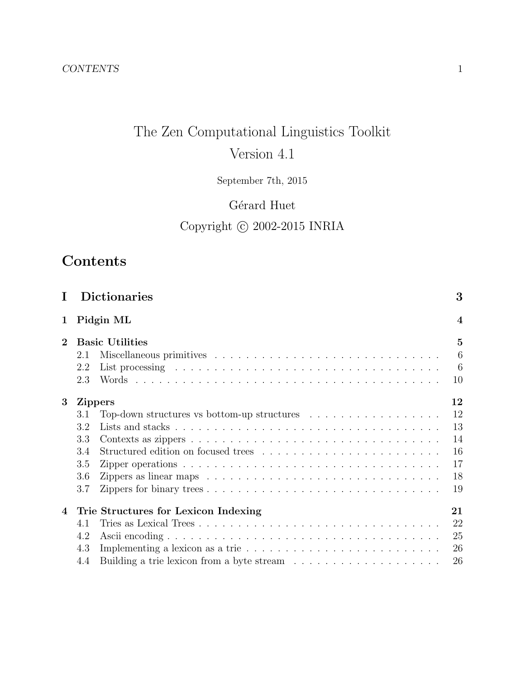# The Zen Computational Linguistics Toolkit Version 4.1

September 7th, 2015

# Gérard Huet

# Copyright  $\copyright$  2002-2015 INRIA

# Contents

|                | <b>Dictionaries</b>                                                                                                                                                                                                                   | 3                       |
|----------------|---------------------------------------------------------------------------------------------------------------------------------------------------------------------------------------------------------------------------------------|-------------------------|
| 1              | Pidgin ML                                                                                                                                                                                                                             | $\overline{\mathbf{4}}$ |
| $\overline{2}$ | <b>Basic Utilities</b>                                                                                                                                                                                                                | $\overline{5}$          |
|                | 2.1                                                                                                                                                                                                                                   | 6                       |
|                | 2.2<br>List processing enterpreteration in the contract of the contract of the contract of the contract of the contract of the contract of the contract of the contract of the contract of the contract of the contract of the contra | - 6                     |
|                | 2.3                                                                                                                                                                                                                                   | 10                      |
| 3              | <b>Zippers</b>                                                                                                                                                                                                                        | 12                      |
|                | Top-down structures vs bottom-up structures $\ldots \ldots \ldots \ldots \ldots$<br>3.1                                                                                                                                               | 12                      |
|                | 3.2                                                                                                                                                                                                                                   | 13                      |
|                | 3.3                                                                                                                                                                                                                                   | 14                      |
|                | 3.4                                                                                                                                                                                                                                   | 16                      |
|                | 3.5                                                                                                                                                                                                                                   | 17                      |
|                | 3.6<br>Zippers as linear maps $\ldots \ldots \ldots \ldots \ldots \ldots \ldots \ldots \ldots \ldots \ldots$                                                                                                                          | 18                      |
|                | 3.7                                                                                                                                                                                                                                   | 19                      |
| $\overline{4}$ | Trie Structures for Lexicon Indexing                                                                                                                                                                                                  | 21                      |
|                | 4.1                                                                                                                                                                                                                                   | 22                      |
|                | 4.2                                                                                                                                                                                                                                   | 25                      |
|                | 4.3                                                                                                                                                                                                                                   | 26                      |
|                | Building a trie lexicon from a byte stream $\ldots \ldots \ldots \ldots \ldots \ldots$<br>4.4                                                                                                                                         | 26                      |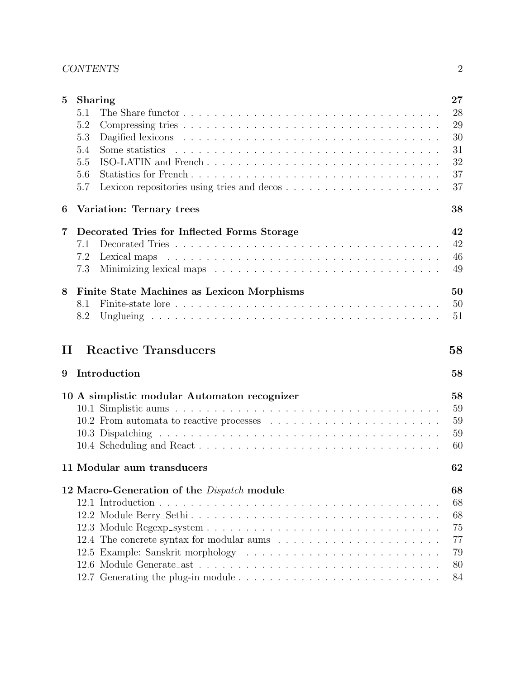### CONTENTS 2

| $\bf{5}$ | <b>Sharing</b>                                    |  | 27 |
|----------|---------------------------------------------------|--|----|
|          | 5.1                                               |  | 28 |
|          | 5.2                                               |  | 29 |
|          | 5.3                                               |  | 30 |
|          | 5.4                                               |  | 31 |
|          | ISO-LATIN and French<br>5.5                       |  | 32 |
|          | 5.6                                               |  | 37 |
|          | 5.7                                               |  | 37 |
| 6        | Variation: Ternary trees                          |  | 38 |
| 7        | Decorated Tries for Inflected Forms Storage       |  | 42 |
|          | 7.1                                               |  | 42 |
|          | 7.2                                               |  | 46 |
|          | 7.3                                               |  | 49 |
| 8        | Finite State Machines as Lexicon Morphisms        |  | 50 |
|          | 8.1                                               |  | 50 |
|          | 8.2                                               |  | 51 |
|          |                                                   |  |    |
| П        | <b>Reactive Transducers</b>                       |  | 58 |
| 9        | Introduction                                      |  | 58 |
|          | 10 A simplistic modular Automaton recognizer      |  | 58 |
|          |                                                   |  | 59 |
|          |                                                   |  | 59 |
|          |                                                   |  | 59 |
|          |                                                   |  | 60 |
|          | 11 Modular aum transducers                        |  | 62 |
|          | 12 Macro-Generation of the <i>Dispatch</i> module |  | 68 |
|          |                                                   |  | 68 |
|          |                                                   |  | 68 |
|          |                                                   |  | 75 |
|          |                                                   |  | 77 |
|          |                                                   |  | 79 |
|          |                                                   |  | 80 |
|          |                                                   |  | 84 |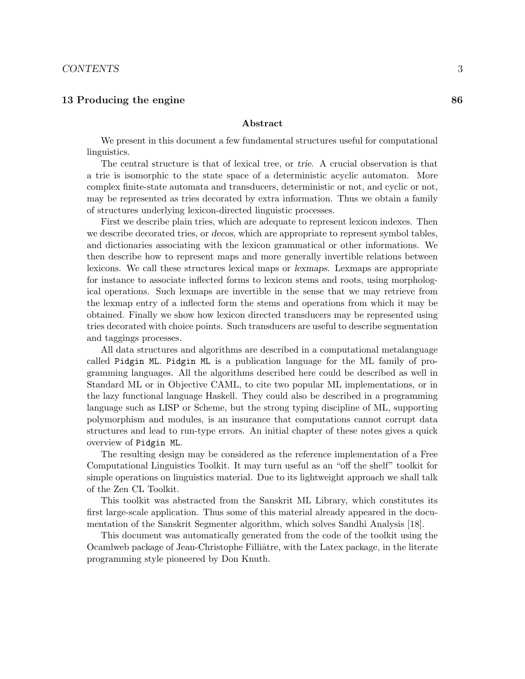#### 13 Producing the engine 86

#### Abstract

We present in this document a few fundamental structures useful for computational linguistics.

The central structure is that of lexical tree, or trie. A crucial observation is that a trie is isomorphic to the state space of a deterministic acyclic automaton. More complex finite-state automata and transducers, deterministic or not, and cyclic or not, may be represented as tries decorated by extra information. Thus we obtain a family of structures underlying lexicon-directed linguistic processes.

First we describe plain tries, which are adequate to represent lexicon indexes. Then we describe decorated tries, or decos, which are appropriate to represent symbol tables, and dictionaries associating with the lexicon grammatical or other informations. We then describe how to represent maps and more generally invertible relations between lexicons. We call these structures lexical maps or lexmaps. Lexmaps are appropriate for instance to associate inflected forms to lexicon stems and roots, using morphological operations. Such lexmaps are invertible in the sense that we may retrieve from the lexmap entry of a inflected form the stems and operations from which it may be obtained. Finally we show how lexicon directed transducers may be represented using tries decorated with choice points. Such transducers are useful to describe segmentation and taggings processes.

All data structures and algorithms are described in a computational metalanguage called Pidgin ML. Pidgin ML is a publication language for the ML family of programming languages. All the algorithms described here could be described as well in Standard ML or in Objective CAML, to cite two popular ML implementations, or in the lazy functional language Haskell. They could also be described in a programming language such as LISP or Scheme, but the strong typing discipline of ML, supporting polymorphism and modules, is an insurance that computations cannot corrupt data structures and lead to run-type errors. An initial chapter of these notes gives a quick overview of Pidgin ML.

The resulting design may be considered as the reference implementation of a Free Computational Linguistics Toolkit. It may turn useful as an "off the shelf" toolkit for simple operations on linguistics material. Due to its lightweight approach we shall talk of the Zen CL Toolkit.

This toolkit was abstracted from the Sanskrit ML Library, which constitutes its first large-scale application. Thus some of this material already appeared in the documentation of the Sanskrit Segmenter algorithm, which solves Sandhi Analysis [18].

This document was automatically generated from the code of the toolkit using the Ocamlweb package of Jean-Christophe Filliâtre, with the Latex package, in the literate programming style pioneered by Don Knuth.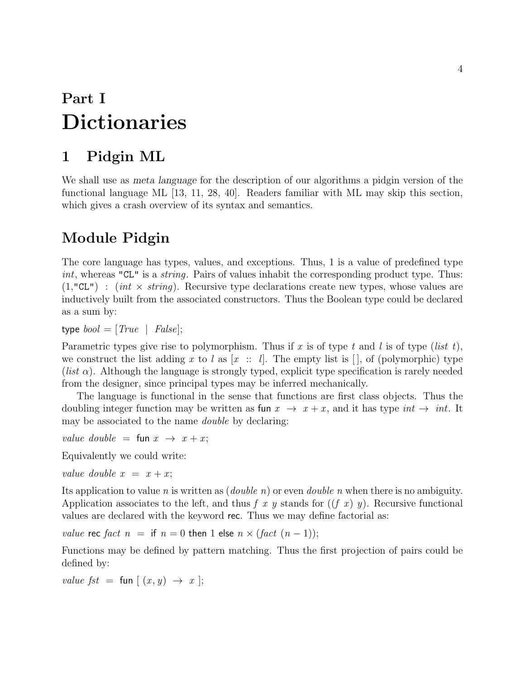# Part I Dictionaries

# 1 Pidgin ML

We shall use as meta language for the description of our algorithms a pidgin version of the functional language ML [13, 11, 28, 40]. Readers familiar with ML may skip this section, which gives a crash overview of its syntax and semantics.

# Module Pidgin

The core language has types, values, and exceptions. Thus, 1 is a value of predefined type int, whereas "CL" is a *string*. Pairs of values inhabit the corresponding product type. Thus:  $(1, "CL")$ : (int  $\times$  string). Recursive type declarations create new types, whose values are inductively built from the associated constructors. Thus the Boolean type could be declared as a sum by:

type  $bool = [True \mid False];$ 

Parametric types give rise to polymorphism. Thus if x is of type t and l is of type (list t), we construct the list adding x to l as  $[x :: l]$ . The empty list is  $[]$ , of (polymorphic) type (*list*  $\alpha$ ). Although the language is strongly typed, explicit type specification is rarely needed from the designer, since principal types may be inferred mechanically.

The language is functional in the sense that functions are first class objects. Thus the doubling integer function may be written as fun  $x \to x + x$ , and it has type int  $\to int$ . It may be associated to the name *double* by declaring:

value double = fun  $x \rightarrow x + x$ ;

Equivalently we could write:

value double  $x = x + x$ ;

Its application to value n is written as  $(double n)$  or even *double n* when there is no ambiguity. Application associates to the left, and thus f x y stands for  $((f x) y)$ . Recursive functional values are declared with the keyword rec. Thus we may define factorial as:

value rec fact  $n =$  if  $n = 0$  then 1 else  $n \times$  (fact  $(n - 1)$ );

Functions may be defined by pattern matching. Thus the first projection of pairs could be defined by:

value fst = fun  $\left[ (x, y) \rightarrow x \right]$ ;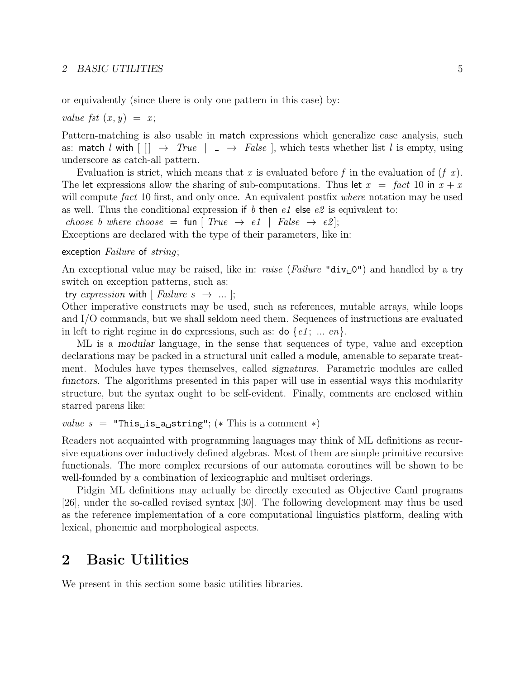or equivalently (since there is only one pattern in this case) by:

value fst  $(x, y) = x$ ;

Pattern-matching is also usable in match expressions which generalize case analysis, such as: match l with  $\begin{array}{c} \vert \vert \end{array} \rightarrow True \vert \end{array} \rightarrow False \vert$ , which tests whether list l is empty, using underscore as catch-all pattern.

Evaluation is strict, which means that x is evaluated before f in the evaluation of  $(f\ x)$ . The let expressions allow the sharing of sub-computations. Thus let  $x = \text{fact } 10$  in  $x + x$ will compute fact 10 first, and only once. An equivalent postfix where notation may be used as well. Thus the conditional expression if b then  $e1$  else  $e2$  is equivalent to:

choose b where choose = fun  $[True \rightarrow e1$  | False  $\rightarrow e2$ ];

Exceptions are declared with the type of their parameters, like in:

#### exception Failure of string;

An exceptional value may be raised, like in: *raise (Failure* " $div_0$ ") and handled by a try switch on exception patterns, such as:

try expression with [ Failure  $s \rightarrow \dots$  ];

Other imperative constructs may be used, such as references, mutable arrays, while loops and I/O commands, but we shall seldom need them. Sequences of instructions are evaluated in left to right regime in do expressions, such as: do  $\{e1, \ldots en\}$ .

ML is a modular language, in the sense that sequences of type, value and exception declarations may be packed in a structural unit called a module, amenable to separate treatment. Modules have types themselves, called signatures. Parametric modules are called functors. The algorithms presented in this paper will use in essential ways this modularity structure, but the syntax ought to be self-evident. Finally, comments are enclosed within starred parens like:

```
value s = "This<sub>\bigcup</sub> is\bigcup a<sub>\bigcup</sub> string"; (* This is a comment *)
```
Readers not acquainted with programming languages may think of ML definitions as recursive equations over inductively defined algebras. Most of them are simple primitive recursive functionals. The more complex recursions of our automata coroutines will be shown to be well-founded by a combination of lexicographic and multiset orderings.

Pidgin ML definitions may actually be directly executed as Objective Caml programs [26], under the so-called revised syntax [30]. The following development may thus be used as the reference implementation of a core computational linguistics platform, dealing with lexical, phonemic and morphological aspects.

### 2 Basic Utilities

We present in this section some basic utilities libraries.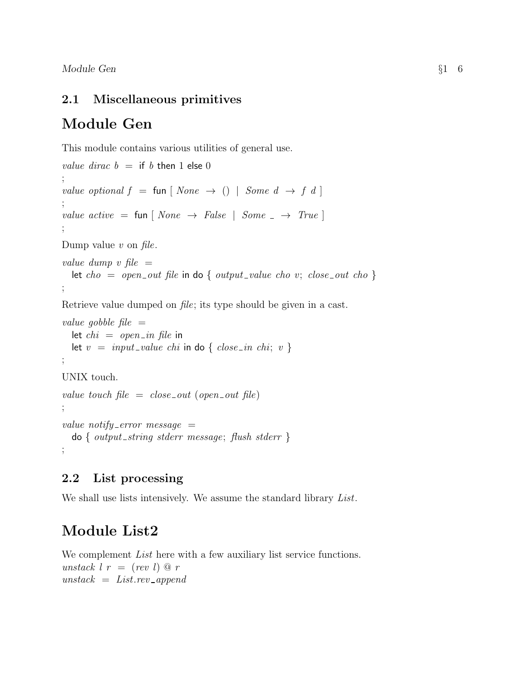### 2.1 Miscellaneous primitives

# Module Gen

This module contains various utilities of general use.

```
value dirac b = if b then 1 else 0
;
value optional f = \text{fun} \mid None \rightarrow () \mid Some \ d \rightarrow f \ d \mid;
value active = fun \lceil None \rightarrow False \rceil Some \lceil \rightarrow True \rceil;
Dump value v on file.
value dump v file =let cho = open_out file in do { output_value cho v; close_out cho }
;
Retrieve value dumped on file; its type should be given in a cast.
value gobble file =let chi = open_in file in
  let v = input_value chi in do { close_in chi; v }
;
UNIX touch.
value touch file = close_{out} (open out file)
;
value notify error message =\text{do } \{ \text{ output\_string} \text{ stderr} \text{ message}; \text{ flush} \text{ stderr} \};
```
### 2.2 List processing

We shall use lists intensively. We assume the standard library List.

# Module List2

We complement *List* here with a few auxiliary list service functions. unstack  $l r = (rev l) \mathcal{Q} r$  $unstack = Listrev\_append$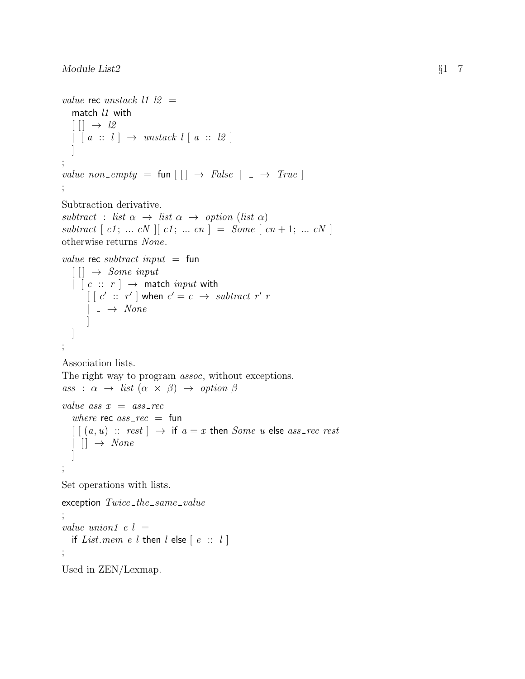```
value rec unstack 11 12 =match l1 with
  [ ] \rightarrow l2[ a :: l ] \rightarrow unstack l [ a :: l2 ]]
;
value non_empty = fun \begin{bmatrix} \end{bmatrix} \rightarrow False \begin{bmatrix} \end{bmatrix} \rightarrow True \end{bmatrix};
Subtraction derivative.
subtract : list \alpha \rightarrow list \alpha \rightarrow option (list \alpha)
subtract [ c1; ... cN] [ c1; ... cn] = Some [ cn+1; ... cN ]otherwise returns None.
value rec subtract input = fun
  \lceil \cdot \rceil \rightarrow Some input
  \left| \begin{array}{c} c \ \vdots \ r \end{array} \right| \rightarrow match input with
        \left[\begin{array}{ccc} c' & \cdots & r' \end{array}\right] when c' = c \rightarrow subtract \ r' r
       |\rightarrow None]
  ]
;
Association lists.
The right way to program assoc, without exceptions.
ass : \alpha \rightarrow list (\alpha \times \beta) \rightarrow option \betavalue ass x = ass_rec
   where rec ass\_rec = fun
  \left[ \begin{array}{ccc} (a, u) & \cdots & rest \end{array} \right] \rightarrow if a = x then Some u else ass rec rest
  | | | \rightarrow None\overline{\phantom{a}};
Set operations with lists.
exception Twice\_the\_same\_value;
value union1 e l =if List. mem e l then l else [e :: l];
Used in ZEN/Lexmap.
```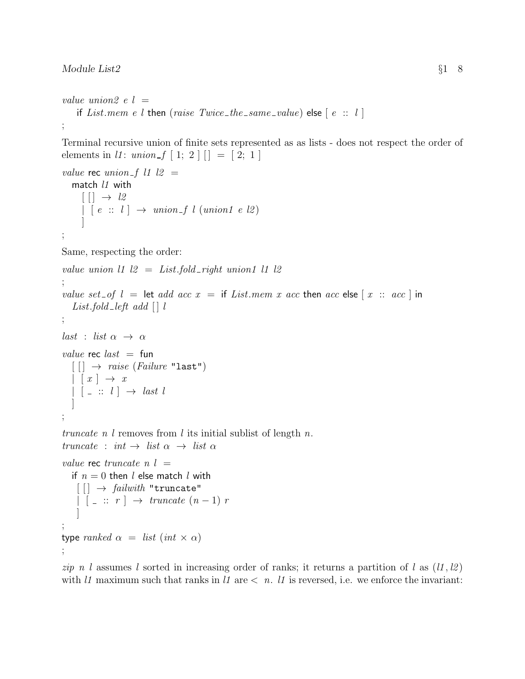#### Module List2  $§18$

```
value union2 e l =if List.mem e l then (raise Twice_the_same_value) else [e:: l];
```
Terminal recursive union of finite sets represented as as lists - does not respect the order of elements in *l1*:  $union_f [1; 2]$   $| = [2; 1]$ 

```
value rec union f l1 l2 =
   match l1 with
     [ ] \rightarrow l2| \tbinom{e}{1} \rightarrow \t{union_f} \tbinom{union1}{e} \tbinom{1}{2}]
;
Same, respecting the order:
value union 11 \, 12 = List-fold\_right union 11 12
;
value set of l = \text{let } add \ acc x = \text{if } List. Then x acc then acc else x : acc \text{ in }List.fold_left add \begin{bmatrix} \cdot & v \end{bmatrix};
last : list \alpha \rightarrow \alphavalue rec last = fun
  \lceil \cdot \rceil \rightarrow \text{raise (Failure "last")}| x | \rightarrow x| [ - :: l ] \rightarrow last l
   ]
;
truncate n l removes from l its initial sublist of length n.
truncate : int \rightarrow list \alpha \rightarrow list \alphavalue rec truncate n l =if n = 0 then l else match l with
    \lceil \cdot \rceil \rightarrow \text{failure} "truncate"
    | \cdot | :: r | \rightarrow truncate (n-1) r
     ]
;
type ranked \alpha = list (int \times \alpha)
```
;

zip n l assumes l sorted in increasing order of ranks; it returns a partition of l as  $(l1, l2)$ with l1 maximum such that ranks in l1 are  $\langle n, l \rangle$  is reversed, i.e. we enforce the invariant: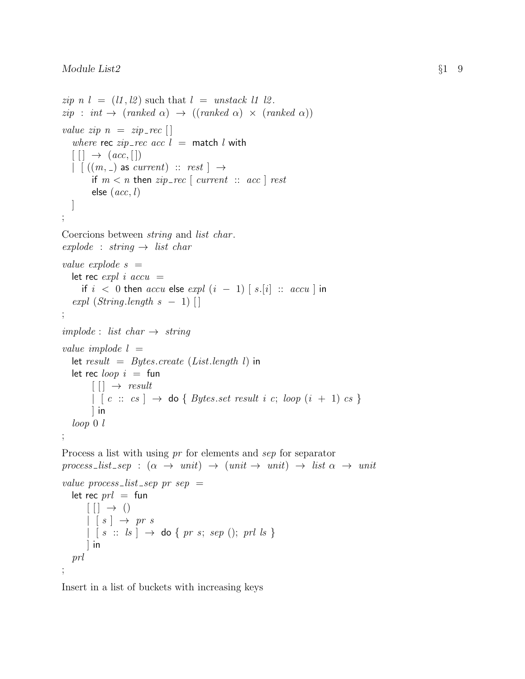```
zip n l = (l1, l2) such that l = unstack l1 l2.
zip : int \rightarrow (ranked \alpha) \rightarrow ((ranked \alpha) \times (ranked \alpha))value zip n = zip\_recwhere rec zip\_rec acc l = match l with
  [ | ] \rightarrow (acc, [])| (m, ) as current) :: rest | \rightarrowif m < n then zip\_rec [ current :: acc ] rest
        else (ac, l)\overline{\phantom{a}};
Coercions between string and list char .
explode : string \rightarrow list char
value explode s =let rec expl i accu =if i < 0 then accu else expl (i - 1) [s][i] :: accu] in
  expl (String.length s - 1) []
;
impliede: list char \rightarrow string
value implode l =let result = Bytes.create (List.length l) in
  let rec loop i = \text{fun}[[] \rightarrow result\left[\begin{array}{ccc} c :: cs \end{array}\right] \rightarrow do { Bytes.set result i c; loop (i + 1) cs }
        ] in
  loop 0 l
;
Process a list with using pr for elements and sep for separator
process_list_sep : (\alpha \rightarrow unit) \rightarrow (unit \rightarrow unit) \rightarrow list \alpha \rightarrow unitvalue process_list_sep pr sep =let rec prl = fun
      [ ] \rightarrow ()
      | \t s | \rightarrow pr s\vert s :: ls \vert \rightarrow do { pr s; sep (); prl ls }
      ] in
  prl
;
```
Insert in a list of buckets with increasing keys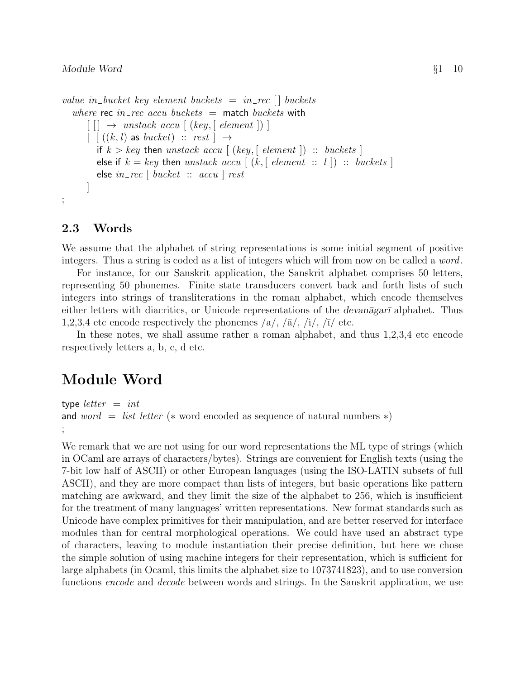#### $\emph{Module Word}$   $\emph{81}$  10

```
value in bucket key element buckets = in rec \Box buckets
   where rec in_rec accu buckets = match buckets with
       \lceil \cdot \rceil \rightarrow unstack accu \lceil (key, \lceil element \rceil) \rceil\|\cdot\|((k, l) as bucket) :: rest \rightharpoonupif k > key then unstack accu \lceil (key, \lceil element \rceil) :: buckets \rceilelse if k = key then unstack accu [(k, \lceil element : : l] ) :: buckets ]else in\_rec [ bucket :: accu ] rest
       \overline{\phantom{a}};
```
#### 2.3 Words

We assume that the alphabet of string representations is some initial segment of positive integers. Thus a string is coded as a list of integers which will from now on be called a *word*.

For instance, for our Sanskrit application, the Sanskrit alphabet comprises 50 letters, representing 50 phonemes. Finite state transducers convert back and forth lists of such integers into strings of transliterations in the roman alphabet, which encode themselves either letters with diacritics, or Unicode representations of the *devanagar*<sup> $\bar{a}$ </sup> alphabet. Thus 1,2,3,4 etc encode respectively the phonemes  $\langle a \rangle$ ,  $\langle \bar{a} \rangle$ ,  $\langle i \rangle$ ,  $\langle \bar{i} \rangle$  etc.

In these notes, we shall assume rather a roman alphabet, and thus 1,2,3,4 etc encode respectively letters a, b, c, d etc.

# Module Word

```
type letter = intand word = list letter (* word encoded as sequence of natural numbers *)
;
```
We remark that we are not using for our word representations the ML type of strings (which in OCaml are arrays of characters/bytes). Strings are convenient for English texts (using the 7-bit low half of ASCII) or other European languages (using the ISO-LATIN subsets of full ASCII), and they are more compact than lists of integers, but basic operations like pattern matching are awkward, and they limit the size of the alphabet to 256, which is insufficient for the treatment of many languages' written representations. New format standards such as Unicode have complex primitives for their manipulation, and are better reserved for interface modules than for central morphological operations. We could have used an abstract type of characters, leaving to module instantiation their precise definition, but here we chose the simple solution of using machine integers for their representation, which is sufficient for large alphabets (in Ocaml, this limits the alphabet size to 1073741823), and to use conversion functions encode and decode between words and strings. In the Sanskrit application, we use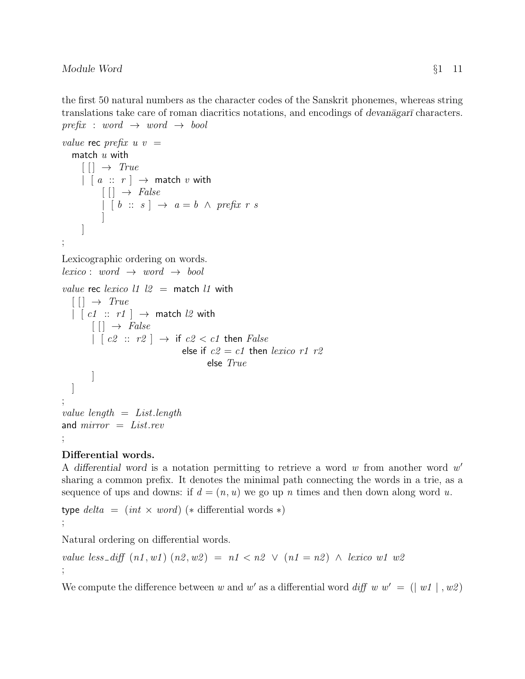the first 50 natural numbers as the character codes of the Sanskrit phonemes, whereas string translations take care of roman diacritics notations, and encodings of *devanagar* characters.  $prefix: word \rightarrow word \rightarrow bool$ 

```
value rec prefix u v =
   match u with
      [[] \rightarrow True\left| \begin{array}{c} [a :: r] \rightarrow \text{match } v \text{ with } \end{array} \right|[ ] \rightarrow False
              \vert \, [b :: s] \rightarrow a = b \land prefix \, r \, s]
      ]
;
Lexicographic ordering on words.
lexico: word \rightarrow word \rightarrow boolvalue rec lexico 11 \ 12 = match 11 with
   \lceil \cdot \rceil \rightarrow True\vert \vert c1 \cdots r1 \vert \rightarrow match l2 with
          [[] \rightarrow False\left| \begin{array}{c} \lfloor c2 \end{array} \right| : r2 \rfloor \rightarrow if c2 < c1 then False
                                         else if c2 = c1 then lexico r1 r2
                                                  else True
          ]
  ]
;
value length = List.lengthand mirror = List.rev;
```
#### Differential words.

A differential word is a notation permitting to retrieve a word  $w$  from another word  $w'$ sharing a common prefix. It denotes the minimal path connecting the words in a trie, as a sequence of ups and downs: if  $d = (n, u)$  we go up n times and then down along word u.

type  $delta = (int \times word)$  (\* differential words \*) ;

Natural ordering on differential words.

```
value less_diff (n1, w1) (n2, w2) = n1 < n2 \vee (n1 = n2) \wedge lexico w1 w2
;
```
We compute the difference between w and w' as a differential word diff w  $w' = (|w1|, w2)$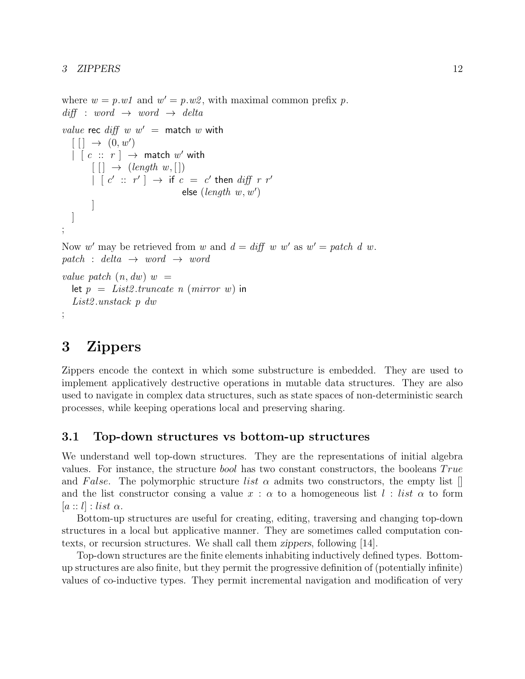where  $w = p.w1$  and  $w' = p.w2$ , with maximal common prefix p.  $diff : word \rightarrow word \rightarrow delta$ value rec diff  $w w' =$  match w with  $[$  $] \rightarrow (0, w')$  $\begin{pmatrix} \cdot & \cdot & \cdot & r \end{pmatrix}$   $\rightarrow$  match  $w'$  with  $[[] \rightarrow (length w, [])$  $\begin{array}{cccc} \mid & [c' \; :: \; r' \; ] \; \rightarrow \; \text{if} \; c \; = \; c' \; \text{then} \; \mathit{diff} \; \; r \; \; r' \end{array}$ else  $(length w, w')$ ] ] ; Now w' may be retrieved from w and  $d = diff \ w \ w'$  as  $w' = patch \ d \ w$ . patch : delta  $\rightarrow$  word  $\rightarrow$  word value patch  $(n, dw)$  w = let  $p = List2. truncate$  n (mirror w) in List2 .unstack p dw ;

# 3 Zippers

Zippers encode the context in which some substructure is embedded. They are used to implement applicatively destructive operations in mutable data structures. They are also used to navigate in complex data structures, such as state spaces of non-deterministic search processes, while keeping operations local and preserving sharing.

#### 3.1 Top-down structures vs bottom-up structures

We understand well top-down structures. They are the representations of initial algebra values. For instance, the structure bool has two constant constructors, the booleans  $True$ and False. The polymorphic structure list  $\alpha$  admits two constructors, the empty list  $\Box$ and the list constructor consing a value  $x : \alpha$  to a homogeneous list  $l : list \alpha$  to form  $|a:: l|$  : list  $\alpha$ .

Bottom-up structures are useful for creating, editing, traversing and changing top-down structures in a local but applicative manner. They are sometimes called computation contexts, or recursion structures. We shall call them zippers, following [14].

Top-down structures are the finite elements inhabiting inductively defined types. Bottomup structures are also finite, but they permit the progressive definition of (potentially infinite) values of co-inductive types. They permit incremental navigation and modification of very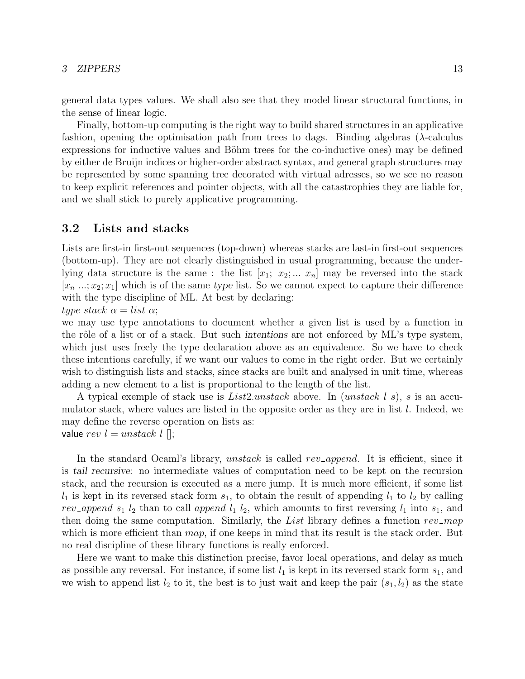#### 3 ZIPPERS 13

general data types values. We shall also see that they model linear structural functions, in the sense of linear logic.

Finally, bottom-up computing is the right way to build shared structures in an applicative fashion, opening the optimisation path from trees to dags. Binding algebras ( $\lambda$ -calculus expressions for inductive values and Böhm trees for the co-inductive ones) may be defined by either de Bruijn indices or higher-order abstract syntax, and general graph structures may be represented by some spanning tree decorated with virtual adresses, so we see no reason to keep explicit references and pointer objects, with all the catastrophies they are liable for, and we shall stick to purely applicative programming.

#### 3.2 Lists and stacks

Lists are first-in first-out sequences (top-down) whereas stacks are last-in first-out sequences (bottom-up). They are not clearly distinguished in usual programming, because the underlying data structure is the same : the list  $[x_1; x_2; ... x_n]$  may be reversed into the stack  $[x_n \dots, x_2; x_1]$  which is of the same type list. So we cannot expect to capture their difference with the type discipline of ML. At best by declaring:

type stack  $\alpha = list \alpha$ ;

we may use type annotations to document whether a given list is used by a function in the rôle of a list or of a stack. But such intentions are not enforced by ML's type system, which just uses freely the type declaration above as an equivalence. So we have to check these intentions carefully, if we want our values to come in the right order. But we certainly wish to distinguish lists and stacks, since stacks are built and analysed in unit time, whereas adding a new element to a list is proportional to the length of the list.

A typical exemple of stack use is  $List2.unstack$  above. In (unstack l s), s is an accumulator stack, where values are listed in the opposite order as they are in list  $l$ . Indeed, we may define the reverse operation on lists as: value  $rev \, l = unstack \, l \, ||;$ 

In the standard Ocaml's library, unstack is called rev-append. It is efficient, since it is tail recursive: no intermediate values of computation need to be kept on the recursion stack, and the recursion is executed as a mere jump. It is much more efficient, if some list  $l_1$  is kept in its reversed stack form  $s_1$ , to obtain the result of appending  $l_1$  to  $l_2$  by calling rev append  $s_1$  l<sub>2</sub> than to call append  $l_1$  l<sub>2</sub>, which amounts to first reversing  $l_1$  into  $s_1$ , and then doing the same computation. Similarly, the List library defines a function  $rev\_{map}$ which is more efficient than  $map$ , if one keeps in mind that its result is the stack order. But no real discipline of these library functions is really enforced.

Here we want to make this distinction precise, favor local operations, and delay as much as possible any reversal. For instance, if some list  $l_1$  is kept in its reversed stack form  $s_1$ , and we wish to append list  $l_2$  to it, the best is to just wait and keep the pair  $(s_1, l_2)$  as the state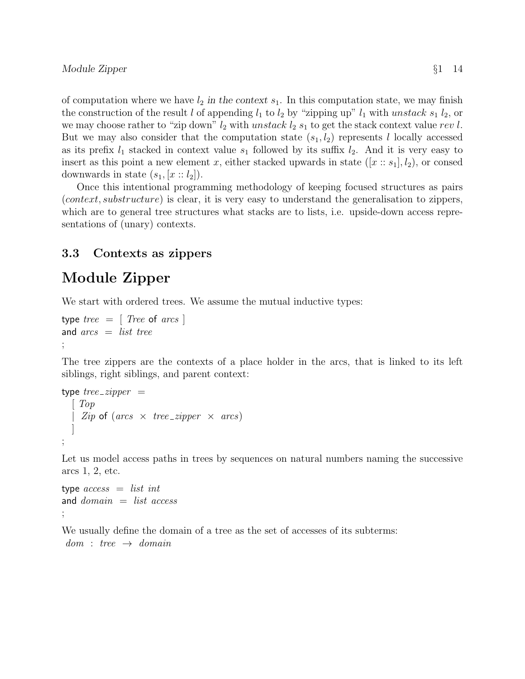of computation where we have  $l_2$  in the context  $s_1$ . In this computation state, we may finish the construction of the result l of appending  $l_1$  to  $l_2$  by "zipping up"  $l_1$  with unstack  $s_1$   $l_2$ , or we may choose rather to "zip down"  $l_2$  with unstack  $l_2$  s<sub>1</sub> to get the stack context value rev l. But we may also consider that the computation state  $(s_1, l_2)$  represents l locally accessed as its prefix  $l_1$  stacked in context value  $s_1$  followed by its suffix  $l_2$ . And it is very easy to insert as this point a new element x, either stacked upwards in state  $([x:: s_1], l_2)$ , or consed downwards in state  $(s_1, [x : a_2])$ .

Once this intentional programming methodology of keeping focused structures as pairs (context, substructure) is clear, it is very easy to understand the generalisation to zippers, which are to general tree structures what stacks are to lists, i.e. upside-down access representations of (unary) contexts.

### 3.3 Contexts as zippers

# Module Zipper

We start with ordered trees. We assume the mutual inductive types:

```
type tree = [Tree \space of \space arcs]and \arcs = list tree
;
```
The tree zippers are the contexts of a place holder in the arcs, that is linked to its left siblings, right siblings, and parent context:

```
type tree\_zipper =\mid Top| Zip of (arcs \times tree\_zipper \times arcs)]
;
```
Let us model access paths in trees by sequences on natural numbers naming the successive arcs 1, 2, etc.

```
type access = list intand domain = list access;
```
We usually define the domain of a tree as the set of accesses of its subterms:  $dom : tree \rightarrow domain$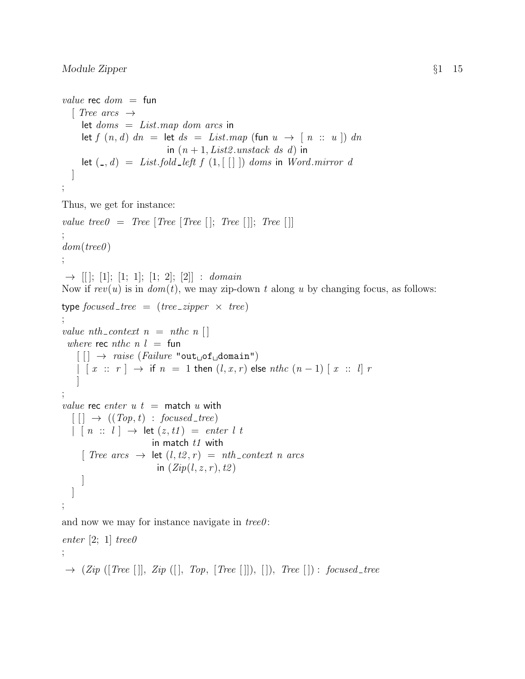value rec  $dom =$  fun  $\lceil$  Tree arcs  $\rightarrow$ let  $doms = Listmap dom arcs$  in let  $f(n, d)$   $dn =$  let  $ds = List-map$  (fun  $u \rightarrow [n :: u]$ )  $dn$ in  $(n+1, List2.unstack ds d)$  in let  $(0, d) = List-fold-left f (1, \lceil \rceil)$  doms in Word.mirror d ] ;

Thus, we get for instance:

value tree $0 = Tree$  [Tree [Tree []; Tree []]; Tree []] ;  $dom(tree0)$ ;  $\rightarrow$  [[]; [1]; [1; 1]; [1; 2]; [2]] : domain Now if  $rev(u)$  is in  $dom(t)$ , we may zip-down t along u by changing focus, as follows: type focused tree  $=$  (tree *zipper*  $\times$  tree) ; value nth-context  $n = n$ thc  $n \in \mathbb{R}$ where rec nthc  $n l = \text{fun}$  $\lceil \cdot \rceil \rightarrow \text{raise (Failure "out\_of\_domain")}$  $\left| \begin{array}{ccc} [x : c] \end{array} \right|$   $\rightarrow$  if  $n = 1$  then  $(l, x, r)$  else nthc  $(n - 1) [x : c]$  r ] ; value rec enter  $u t =$  match  $u$  with  $\lceil \lceil \cdot \rceil \rightarrow ((Top, t) : focused\_tree)$  $| [ n :: l ] \rightarrow let (z, t1) = enter l t$ in match  $t1$  with [ Tree arcs  $\rightarrow$  let  $(l, t2, r) = nth\_context \ n \ arcs$ in  $(Zip(l, z, r), t2)$ ] ] ;

and now we may for instance navigate in  $tree0$ :

enter [2; 1] tree $\theta$ ;  $\rightarrow$  (Zip ([Tree []], Zip ([], Top, [Tree []]), []), Tree []) : focused\_tree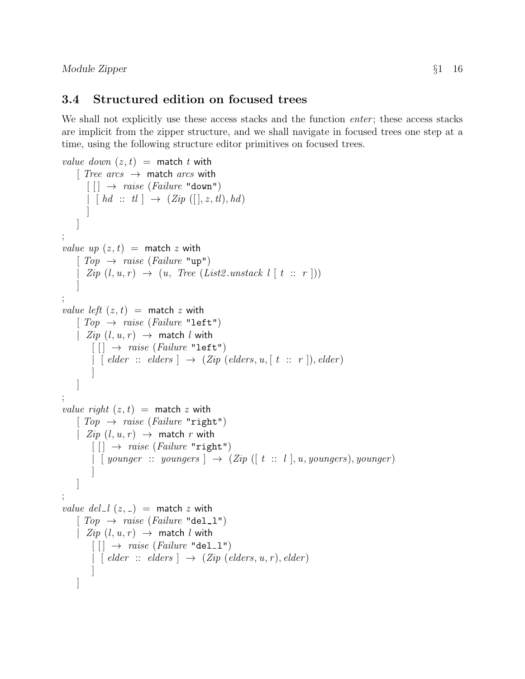Module Zipper  $\S1$  16

### 3.4 Structured edition on focused trees

We shall not explicitly use these access stacks and the function *enter*; these access stacks are implicit from the zipper structure, and we shall navigate in focused trees one step at a time, using the following structure editor primitives on focused trees.

```
value down (z, t) = match t with
    [Tree\ arcs \rightarrow match\ arcs\lceil \cdot \rceil \rightarrow \text{raise (Failure "down")}\lceil \int h d \; : : \; tl \rceil \rightarrow (Zip \; ([], z, tl), hd)]
    ]
;
value up (z, t) = match z with
    [Top \rightarrow raise (Failure \texttt "up")\text{Zip } (l, u, r) \rightarrow (u, \text{ Tree } (List2.unstack l [ t :: r ]))]
;
value left (z, t) = match z with
    [Top \rightarrow raise (Failure \text{ "left"})]| Zip (l, u, r) \rightarrow match l with
         \lceil \cdot \rceil \rightarrow \text{raise (Failure "left"')}| [ elder :: elders ] \rightarrow (Zip (elders, u, [ t :: r ]), elder)
          ]
     ]
;
value right (z, t) = match z with
    [Top \rightarrow raise (Failure "right")| Zip (l, u, r) \rightarrow match r with\lceil \cdot \rceil \rightarrow \text{raise (Failure "right")}| [ \{ \text{ younger} \ :: \ \text{youngers} \ ] \ \rightarrow \ (\text{Zip } ([t \ :: \ l \ ], u, \text{youngers}), \text{younger})]
     ]
;
value del l (z, z) = match z with
     [Top \rightarrow raise (Failure \text{ "del\_l"})]| Zip (l, u, r) \rightarrow match l with[[] \rightarrow raise (Failure "del_l"')\vert [ elder :: elders \vert \rightarrow (Zip (elders, u, r), elder)
          ]
    ]
```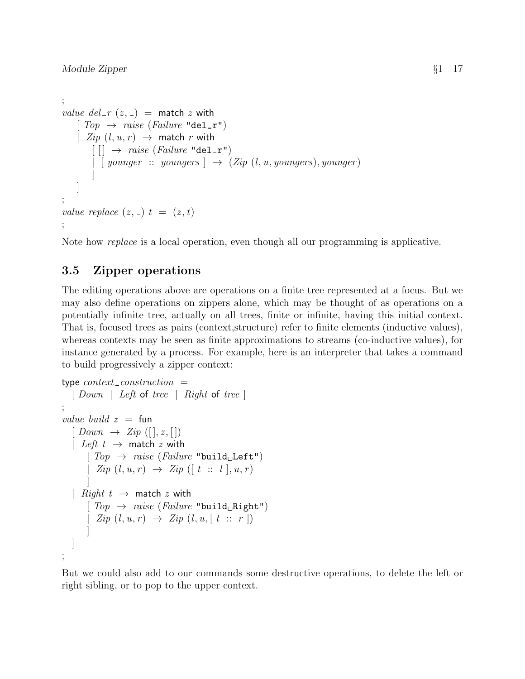```
;
value del_r (z, z) = match z with
    [Top \rightarrow raise (Failure \texttt "del_r")| Zip (l, u, r) \rightarrow match r with
         \lceil \cdot \rceil \rightarrow \text{raise (Failure "del_r"')}| [ \text{younger} :: \text{youngers} | \rightarrow (Zip (l, u, youngers), younger)
         ]
    ]
;
value replace (z, z) t = (z, t);
```
Note how replace is a local operation, even though all our programming is applicative.

### 3.5 Zipper operations

The editing operations above are operations on a finite tree represented at a focus. But we may also define operations on zippers alone, which may be thought of as operations on a potentially infinite tree, actually on all trees, finite or infinite, having this initial context. That is, focused trees as pairs (context,structure) refer to finite elements (inductive values), whereas contexts may be seen as finite approximations to streams (co-inductive values), for instance generated by a process. For example, here is an interpreter that takes a command to build progressively a zipper context:

```
type context\_construction =[ Down | Left of tree | Right of tree ]
;
value build z = \text{fun}[Down \rightarrow Zip([], z, []]| Left t \rightarrow match z with
       [Top \rightarrow raise (Failure "build<sub>u</sub>Left")| Zip (l, u, r) \rightarrow Zip (l t :: l], u, r)]
  | Right t \rightarrow match z with
       [Top \rightarrow raise (Failure "build_HRight")| \text{ } Zip (l, u, r) \rightarrow Zip (l, u, [t :: r])]
  ]
;
```
But we could also add to our commands some destructive operations, to delete the left or right sibling, or to pop to the upper context.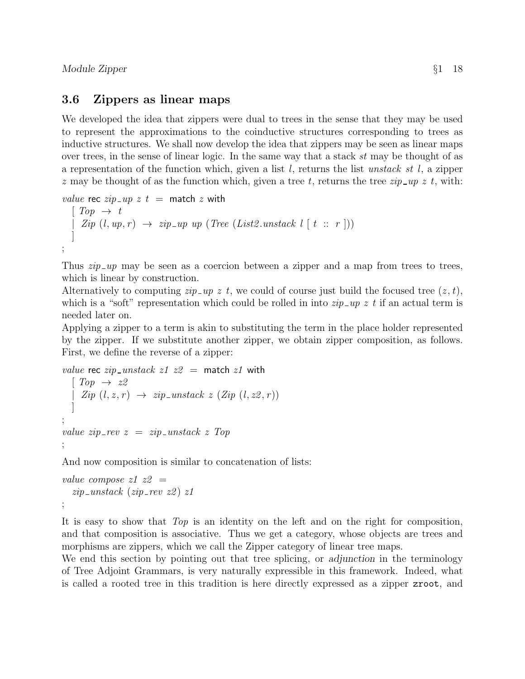#### 3.6 Zippers as linear maps

We developed the idea that zippers were dual to trees in the sense that they may be used to represent the approximations to the coinductive structures corresponding to trees as inductive structures. We shall now develop the idea that zippers may be seen as linear maps over trees, in the sense of linear logic. In the same way that a stack st may be thought of as a representation of the function which, given a list  $l$ , returns the list unstack st  $l$ , a zipper z may be thought of as the function which, given a tree t, returns the tree  $zip \_\mathit{up} z t$ , with:

```
value rec zip \_\mathit{up} z t = \text{match} z \text{ with}
```

```
\lceil Top \rightarrow t \rceil| Zip (l, up, r) \rightarrow zip\_up up (Tree (List2.unstack l [ t :: r ]))]
;
```
Thus  $zip \_\mathit{up}$  may be seen as a coercion between a zipper and a map from trees to trees, which is linear by construction.

Alternatively to computing  $zip \_\mathit{up} z t$ , we could of course just build the focused tree  $(z, t)$ , which is a "soft" representation which could be rolled in into  $\sin\pi x$  if an actual term is needed later on.

Applying a zipper to a term is akin to substituting the term in the place holder represented by the zipper. If we substitute another zipper, we obtain zipper composition, as follows. First, we define the reverse of a zipper:

```
value rec zip\_unstack \; z1 \; z2 = match z1 with
  \lceil Top \rightarrow z2 \rceil| Zip (l, z, r) \rightarrow zip\_unstack z (Zip (l, z2, r))]
;
value zip\_rev z = zip\_unstack z Top
;
```
And now composition is similar to concatenation of lists:

```
value compose z1 z2 =zip\_unstack (zip_rev z2) z1
;
```
It is easy to show that Top is an identity on the left and on the right for composition, and that composition is associative. Thus we get a category, whose objects are trees and morphisms are zippers, which we call the Zipper category of linear tree maps.

We end this section by pointing out that tree splicing, or adjunction in the terminology of Tree Adjoint Grammars, is very naturally expressible in this framework. Indeed, what is called a rooted tree in this tradition is here directly expressed as a zipper zroot, and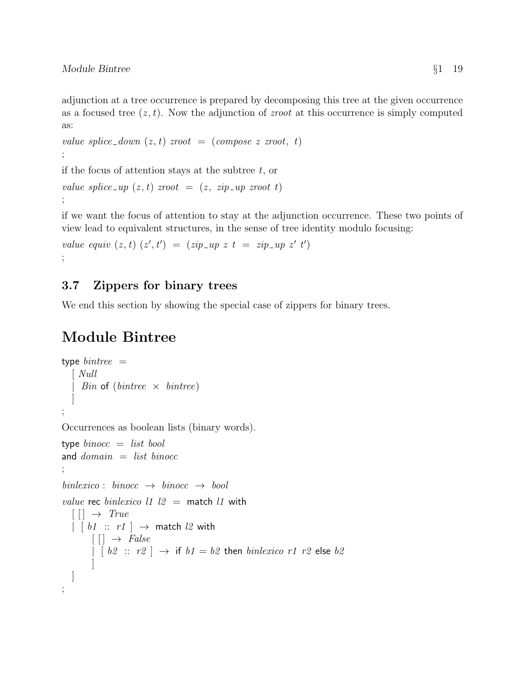adjunction at a tree occurrence is prepared by decomposing this tree at the given occurrence as a focused tree  $(z, t)$ . Now the adjunction of *zroot* at this occurrence is simply computed as:

```
value splice_down (z, t) zroot = (compose z zroot, t)
;
```
if the focus of attention stays at the subtree  $t$ , or

```
value splice \mu(x, t) zroot \mu(x, t) = (z, zip \mu x) zroot t
;
```
if we want the focus of attention to stay at the adjunction occurrence. These two points of view lead to equivalent structures, in the sense of tree identity modulo focusing:

```
value equiv (z, t) (z', t') = (zip \neg up \ z \ t = zip \neg up \ z' \ t');
```
### 3.7 Zippers for binary trees

We end this section by showing the special case of zippers for binary trees.

# Module Bintree

```
type bintree =[ Null
      Bin of (bintree \times bintree)
   ]
;
Occurrences as boolean lists (binary words).
type binocc = list booland domain = list binocc;
binlexico: \, binocc \, \rightarrow \, binocc \, \rightarrow \, boolvalue rec binlexico l1 l2 = match l1 with
  \lceil \cdot \rceil \rightarrow True\vert \vert \vert b1 :: r1 \vert \rightarrow match l2 with
         [ ] \rightarrow False
         | [b2 :: r2] \rightarrow \text{if } b1 = b2 \text{ then } \text{b} \text{in} \text{lexic} \text{or} 1 \text{r2} \text{ else } b2]
   ]
;
```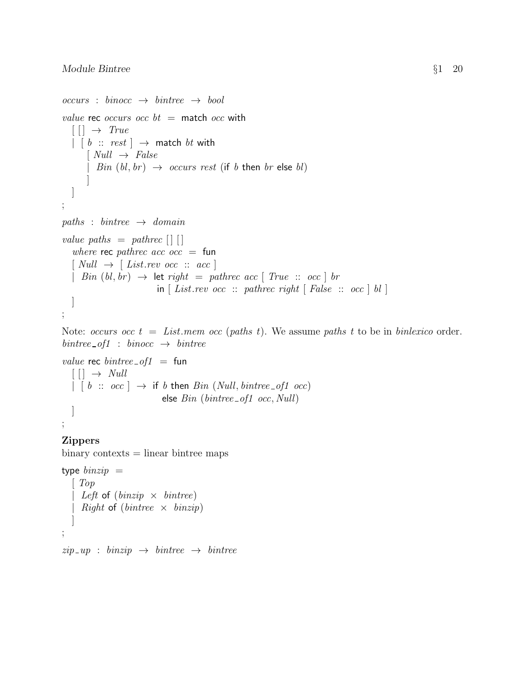```
occurs : binocc \rightarrow bintree \rightarrow boolvalue rec occurs occ bt = match occ with
   [ | ] \rightarrow True| \, \lceil \, b \ :: \ \text{rest} \, \rceil \ \rightarrow \ \text{match} \ \text{bt} \ \text{with}[Null \rightarrow False| Bin (bl, br) \rightarrow occurs rest (if b then br else bl)]
   ]
;
paths : bintree \rightarrow domain
value paths = pathrec \left[ \begin{array}{c} \end{array} \right]where rec pathrec acc occ = fun\lceil Null \rightarrow \lceil List.rev occ :: acc \rceil| Bin (bl, br) \rightarrow let right = pathrec acc | True :: occ | br
                               in \lceil List.rev occ :: pathrec right \lceil False :: occ \lceil bl \rceil]
;
```
Note: occurs occ  $t = List$ . mem occ (paths t). We assume paths t to be in binlexico order.  $bintree\_of1$  :  $binocc \rightarrow$  bintree

```
value rec bintree of1 =fun
   [[] \rightarrow Null\vert \vert \vert \bar{b} :: \bar{b} occ \vert \rightarrow if \bar{b} then Bin (Null, bintree of1 occ)
                                else Bin (bintree\_of1 occ, Null)]
```
# Zippers

;

 $binary contexts = linear bintree maps$ 

```
type binzip =\lceil Top
  | Left of (binzip \times bintree)| Right of (bintree \times binzip)]
;
```
 $zip \_ up : \ binary \rightarrow \ bintree \rightarrow \ bintree$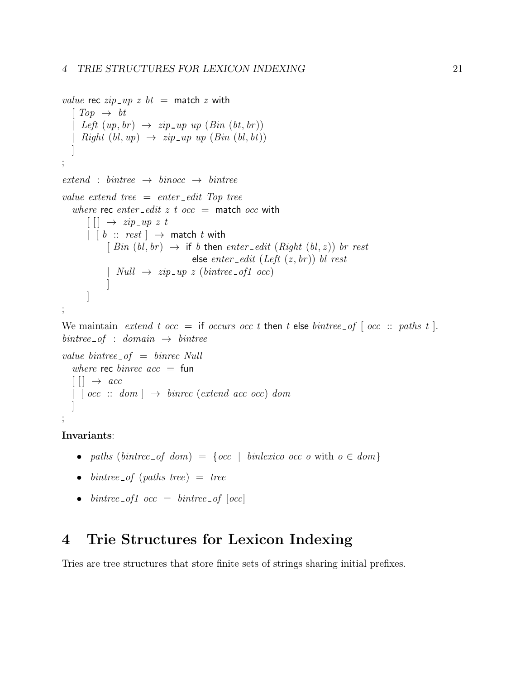```
value rec zip \_ up \ z \ bt = \mathsf{match} \ z \ \mathsf{with}\lceil Top \rightarrow bt \rceil| Left (up, br) \rightarrow zip \text{u}p \text{u}p \text{ (Bin (bt, br))}| Right (bl, up) \rightarrow zip \neg up \text{ up } (Bin \text{ } (bl, bt))]
;
extend : bintree \rightarrow binocc \rightarrow bintreevalue extend tree = enter-edit Top tree
     where rec enter-edit z t occ = match occ with
            \lceil \cdot \rceil \rightarrow zip \; \neg \; \neg \; \neg \; \neg \; \neg \; \neg \; \neg \; \neg \; \; \neg \; \; \neg \; \; \neg \; \; \neg \; \; \neg \; \; \neg \; \; \neg \; \; \neg \; \; \neg \; \; \neg \; \; \neg \; \; \neg \; \; \neg \; \; \neg \; \; \neg \; \; \neg \; \; \neg \; \; \neg \; \; \neg \; \; \neg \; \; \neg \; \; \neg \; \; \neg \; \; \neg \; \; \neg \; \; \neg \; \; \neg \; \; \neg \; \; \neg \;\begin{bmatrix} \begin{bmatrix} b \ \vdots \end{bmatrix} \end{bmatrix} \rightarrow match t with
                       [ Bin (bl, br) \rightarrow if b then enter\_edit (Right (bl, z)) br restelse enter_edit (Left (z, br)) bl rest
                        | Null \rightarrow zip_up z (bintree_of1 occ)
                        ]
            ]
;
```
We maintain extend t occ = if occurs occ t then t else bintree of  $\lceil$  occ :: paths t  $\rceil$ .  $bintree\_of : domain \rightarrow bintree$ 

```
value bintree of = 6inrec Null
    where rec binrec acc = fun[ | ] \rightarrow acc\lceil \int \alpha c \cdot c \cdot : \text{ dom} \rceil \rightarrow \text{binrec} (\text{extend} \ \text{acc} \ \text{occ}) \text{ dom}]
;
```
Invariants:

- paths (bintree\_of dom) = { $occ$  | binlexico occ o with  $o \in dom$ }
- bintree of (paths tree)  $=$  tree
- bintree\_of1  $occ = bintree \space_0$   $[occ]$

# 4 Trie Structures for Lexicon Indexing

Tries are tree structures that store finite sets of strings sharing initial prefixes.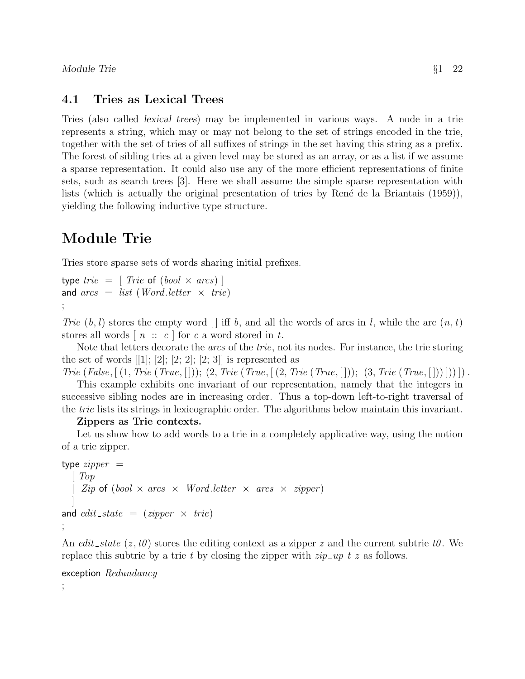### 4.1 Tries as Lexical Trees

Tries (also called lexical trees) may be implemented in various ways. A node in a trie represents a string, which may or may not belong to the set of strings encoded in the trie, together with the set of tries of all suffixes of strings in the set having this string as a prefix. The forest of sibling tries at a given level may be stored as an array, or as a list if we assume a sparse representation. It could also use any of the more efficient representations of finite sets, such as search trees [3]. Here we shall assume the simple sparse representation with lists (which is actually the original presentation of tries by René de la Briantais  $(1959)$ ), yielding the following inductive type structure.

# Module Trie

Tries store sparse sets of words sharing initial prefixes.

type tri $e = [$  Trie of  $(bool \times arcs)$ and  $\text{arcs} = \text{list}$  (Word.letter  $\times$  trie) ;

Trie  $(b, l)$  stores the empty word  $\vert \vert$  iff b, and all the words of arcs in l, while the arc  $(n, t)$ stores all words  $[n :: c]$  for c a word stored in t.

Note that letters decorate the *arcs* of the *trie*, not its nodes. For instance, the trie storing the set of words  $[1]$ ;  $[2]$ ;  $[2]$ ;  $[2]$ ;  $[2]$ ;  $[3]$  is represented as

Trie (False,  $[(1, True (True, [])); (2, True (True, [2, True (True, [])); (3, True (True, []))]$ )

This example exhibits one invariant of our representation, namely that the integers in successive sibling nodes are in increasing order. Thus a top-down left-to-right traversal of the trie lists its strings in lexicographic order. The algorithms below maintain this invariant.

#### Zippers as Trie contexts.

Let us show how to add words to a trie in a completely applicative way, using the notion of a trie zipper.

```
type \mathit{zipper} =\mid TopZip \; \circ f \; (bool \times arcs \times Word. letter \times arcs \times zipper)]
and edit\_state = (zipper \times trie);
```
An edit state  $(z, t0)$  stores the editing context as a zipper z and the current subtrie to. We replace this subtrie by a trie t by closing the zipper with  $zip\_up$  t z as follows.

```
exception Redundancy
```
;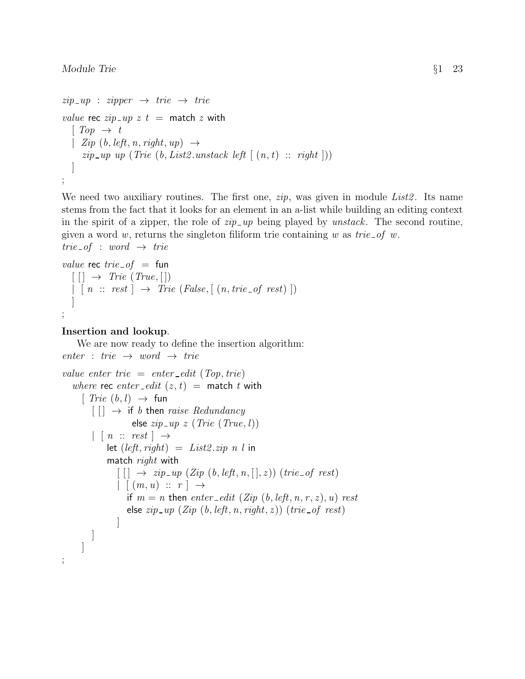```
zip\_up : zipper \rightarrow trie \rightarrow trievalue rec zip \_\mathit{up} z t = \text{match} z \text{ with}\lceil Top \rightarrow t \rceil| Zip (b, left, n, right, up) \rightarrowzip \text{--} up \text{ up (}True \text{ (}b, List2 \text{.unstack left } \text{ [ } (n, t) \text{ :: } right \text{ ]}))]
;
```
We need two auxiliary routines. The first one,  $zip$ , was given in module  $List2$ . Its name stems from the fact that it looks for an element in an a-list while building an editing context in the spirit of a zipper, the role of  $zip\_up$  being played by unstack. The second routine, given a word w, returns the singleton filiform trie containing w as trie-of w.  $trie\_of : word \rightarrow trie$ 

```
value rec trie of = fun\lceil \lceil \cdot \rceil \rightarrow \text{True} (\text{True}, \lceil \cdot \rceil)\vert \cdot \vert n \ :: \ rest \vert \rightarrow \ True \ (False, \vert (n, trie\_of \ rest) \vert)]
;
```
#### Insertion and lookup.

;

We are now ready to define the insertion algorithm:  $enter : trie \rightarrow word \rightarrow trie$ value enter trie = enter\_edit (Top, trie) where rec enter\_edit  $(z, t)$  = match t with  $[$   $\mathit{True}$   $(b, l)$   $\rightarrow$  fun  $[$   $] \rightarrow$  if b then raise Redundancy else  $zip\_up \ z$  (Trie (True, l))  $| \cdot | \cdot n :: \text{rest} | \rightarrow$ let  $(left, right) = List2.\dot{zip} n l$  in match *right* with  $\lceil \lceil \cdot \rceil \rightarrow zip \llcorner up \ (Zip \ (b, left, n, [\cdot], z)) \ (trie \lnot f \ rest)$  $| (m, u) :: r | \rightarrow$ if  $m = n$  then enter-edit (Zip (b, left, n, r, z), u) rest else  $zip \_\mathit{up} (Zip (b, left, n, right, z)) (trie \_\mathit{of} rest)$ ] ] ]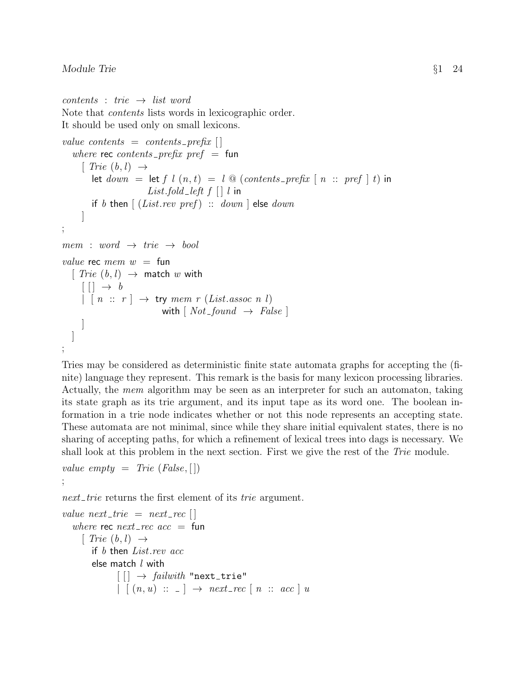```
contents : trie \rightarrow list wordNote that contents lists words in lexicographic order.
It should be used only on small lexicons.
value contents = contents prefix \Boxwhere rec contents prefix pref = fun
     \lceil Trie (b, l) \rightarrowlet down = let f l (n, t) = l @ (contents\_prefix \mid n :: pref \mid t) in
                       List.fold left f [ ] l in
       if b then \left[ (List.rev pref) :: down else down
     ]
;
mem : word \rightarrow trie \rightarrow boolvalue rec mem w = \text{fun}[ Trie (b, l) \rightarrow match w with
     || \tightharpoonup b| [n :: r] \rightarrow \text{try mem } r (List. assoc n l)with [Not\_found \rightarrow False]]
   ]
;
```
Tries may be considered as deterministic finite state automata graphs for accepting the (finite) language they represent. This remark is the basis for many lexicon processing libraries. Actually, the mem algorithm may be seen as an interpreter for such an automaton, taking its state graph as its trie argument, and its input tape as its word one. The boolean information in a trie node indicates whether or not this node represents an accepting state. These automata are not minimal, since while they share initial equivalent states, there is no sharing of accepting paths, for which a refinement of lexical trees into dags is necessary. We shall look at this problem in the next section. First we give the rest of the Trie module.

```
value empty = Trie (False, [])
;
```
next trie returns the first element of its trie argument.

```
value next\_trie = next\_recwhere rec next\_rec acc = fun[ Trie (b, l) \rightarrowif b then List.rev acc
        else match l with
               \lceil \cdot \rceil \rightarrow \text{failure} "next_trie"
               | [(n, u) :: ] \rightarrow next\_rec [ n :: acc ] u
```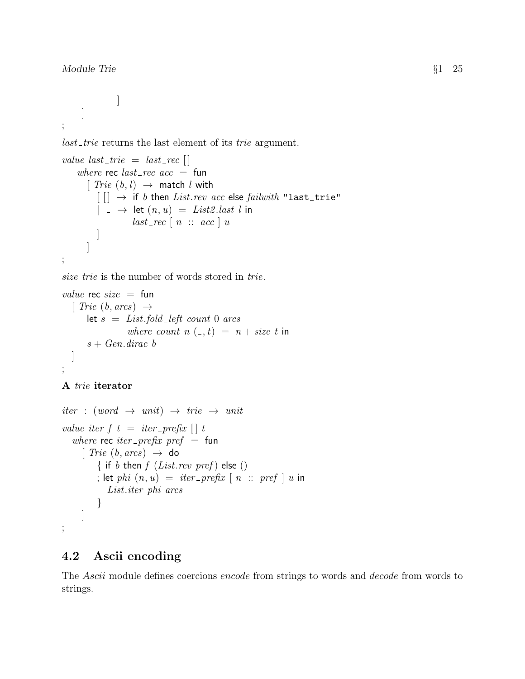Module Trie §1 25

```
]
        ]
;
```
last trie returns the last element of its trie argument.

```
value last\_trie = last\_rec []
    where rec last\_rec acc = fun[ Trie (b, l) \rightarrow match l with
           [[] \rightarrow if b then List.rev acc else failwith "last_trie"
           |\quad - \rightarrow \quad \text{let}(n, u) = List2 \text{.} last \text{ } l \text{ in}last\_rec \mid n :: acc \mid u]
       ]
;
```
size trie is the number of words stored in trie.

```
value rec size = fun
  [ Trie (b, arcs) \rightarrowlet s = List.fold{\_}left count 0 arcs
                where count n(-, t) = n + size t in
      s + Gen.dirac b
  ]
;
```

```
A trie iterator
```

```
iter : (word \rightarrow unit) \rightarrow trie \rightarrow unitvalue iter f \, t \, = \, iter\_prefix \, [\,] \, twhere rec iter_prefix pref = fun
      [ Trie (b, arcs) \rightarrow do
          { if b then f (List.rev pref) else ()
          ; let phi (n, u) = iter\_prefix \mid n :: pref \mid u in
             List.iter phi arcs
          }
     ]
;
```
### 4.2 Ascii encoding

The Ascii module defines coercions encode from strings to words and decode from words to strings.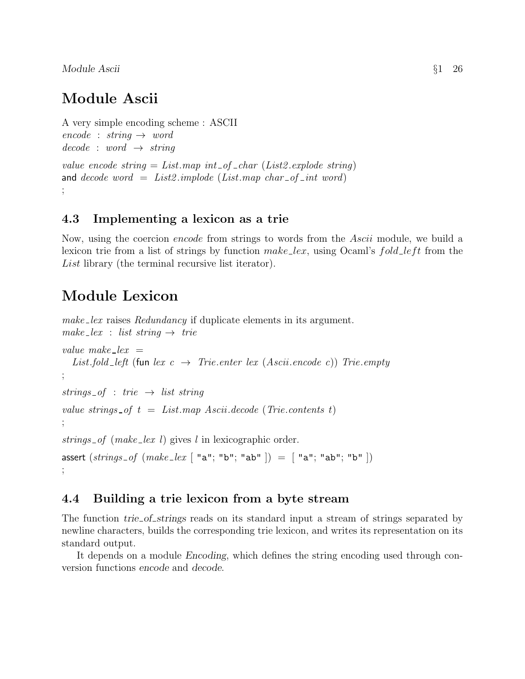Module Ascii  $\begin{array}{ccc} \S 1 & 26 \end{array}$ 

# Module Ascii

```
A very simple encoding scheme : ASCII
encode : string \rightarrow worddecode : word \rightarrow stringvalue encode string = List \mapsto int\_of\_char(List2.\text{explode string})and decode word = List2.implode (List.map char_of_int word)
;
```
### 4.3 Implementing a lexicon as a trie

Now, using the coercion encode from strings to words from the Ascii module, we build a lexicon trie from a list of strings by function  $make\_lex$ , using Ocaml's fold left from the List library (the terminal recursive list iterator).

# Module Lexicon

make lex raises Redundancy if duplicate elements in its argument. make  $lex$  : list string  $\rightarrow$  trie value make  $lev =$ List.fold\_left (fun lex  $c \rightarrow$  Trie.enter lex (Ascii.encode c)) Trie.empty ; strings of : trie  $\rightarrow$  list string value strings of  $t = List-map$  Ascii.decode (Trie.contents t) ; strings  $of$  (make lex l) gives l in lexicographic order. assert  $(strings_of (make\_lex \lceil "a"; "b"; "ab" \rceil) = \lceil "a"; "ab"; "b" \rceil)$ ;

### 4.4 Building a trie lexicon from a byte stream

The function *trie* of strings reads on its standard input a stream of strings separated by newline characters, builds the corresponding trie lexicon, and writes its representation on its standard output.

It depends on a module Encoding, which defines the string encoding used through conversion functions encode and decode.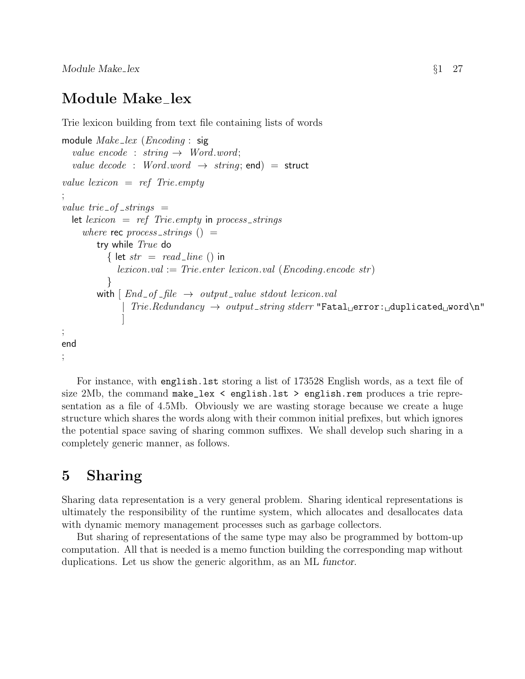$\text{Module Make\_lex}$   $\S1$  27

# Module Make\_lex

Trie lexicon building from text file containing lists of words

```
module Make\_lex (Encoding : sig
  value encode : string \rightarrow Word.word;
  value decode : Word.word \rightarrow string; end) = struct
value lexicon = ref Trie.empty
;
value trie-of-strings =let lexicon = ref Trie. empty in process_strings
     where rec process_strings () =try while True do
            { let str = read\_line () in
               lexicon.val := Trie. enter lexicon.val (Encoding. encode str)}
         with \lceil End\_of\_file \rightarrow output\_value\_stdout\_lexicon.val\text{Trie.} Redundancy \rightarrow output\_string\,siderr\ \text{``Fatal\text{\tiny{\textsf{G}}}} error: \text{duplicated\text{\tiny{\textsf{W}}}} order]
;
end
;
```
For instance, with english.lst storing a list of 173528 English words, as a text file of size 2Mb, the command make\_lex  $\leq$  english.lst  $\geq$  english.rem produces a trie representation as a file of 4.5Mb. Obviously we are wasting storage because we create a huge structure which shares the words along with their common initial prefixes, but which ignores the potential space saving of sharing common suffixes. We shall develop such sharing in a completely generic manner, as follows.

# 5 Sharing

Sharing data representation is a very general problem. Sharing identical representations is ultimately the responsibility of the runtime system, which allocates and desallocates data with dynamic memory management processes such as garbage collectors.

But sharing of representations of the same type may also be programmed by bottom-up computation. All that is needed is a memo function building the corresponding map without duplications. Let us show the generic algorithm, as an ML functor.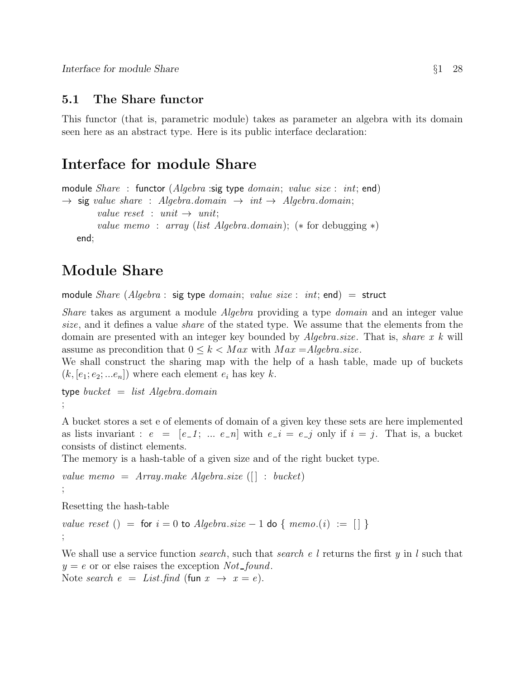### 5.1 The Share functor

This functor (that is, parametric module) takes as parameter an algebra with its domain seen here as an abstract type. Here is its public interface declaration:

# Interface for module Share

```
module Share: functor (Algebra):sig type domain; value size : int; end)
\rightarrow sig value share : Algebra.domain \rightarrow int \rightarrow Algebra.domain;
         value reset : unit \rightarrow unit;
         value memo : array (list Algebra.domain); (* for debugging *)
   end;
```
# Module Share

module Share (Algebra : sig type domain; value size : int; end) = struct

Share takes as argument a module Algebra providing a type domain and an integer value size, and it defines a value share of the stated type. We assume that the elements from the domain are presented with an integer key bounded by  $Algebra.size$ . That is, share x k will assume as precondition that  $0 \le k \le Max$  with  $Max = Algebra.size$ .

We shall construct the sharing map with the help of a hash table, made up of buckets  $(k, [e_1; e_2; ... e_n])$  where each element  $e_i$  has key k.

type  $bucket = list Algebra.domain$ ;

A bucket stores a set e of elements of domain of a given key these sets are here implemented as lists invariant :  $e = [e_1; \dots e_n]$  with  $e_i = e_j$  only if  $i = j$ . That is, a bucket consists of distinct elements.

The memory is a hash-table of a given size and of the right bucket type.

```
value memo = Array.make Algebra.size (| : bucket)
;
```
Resetting the hash-table

value reset () = for  $i = 0$  to Algebra.size - 1 do { memo.(i) := [] } ;

We shall use a service function *search*, such that *search* e l returns the first y in l such that  $y = e$  or or else raises the exception Not-found.

Note search  $e = List.find$  (fun  $x \rightarrow x = e$ ).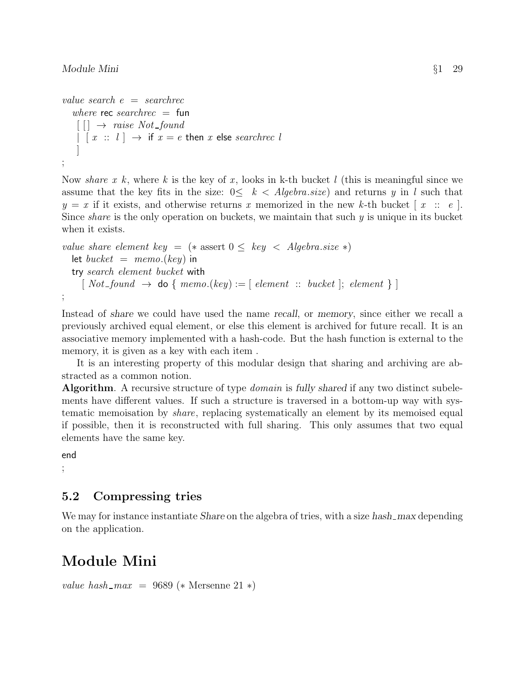```
value search e = \text{searchrec}where rec searchrec = fun
      \lceil \cdot \rceil \rightarrow \text{raise Not\_found}\begin{array}{ccc} | & [x : : :] \rightarrow \text{if } x = e \text{ then } x \text{ else } \text{searchrec } l \end{array}]
;
```
Now share x k, where k is the key of x, looks in k-th bucket l (this is meaningful since we assume that the key fits in the size:  $0 \leq k < Algebra.size)$  and returns y in l such that  $y = x$  if it exists, and otherwise returns x memorized in the new k-th bucket  $[x :: e]$ . Since *share* is the only operation on buckets, we maintain that such  $y$  is unique in its bucket when it exists.

```
value share element key = (* assert 0 \leq k e y < Algebra.size *)
  let bucket = memo(key) in
  try search element bucket with
     \lceil Not\_found \rightarrow do \{ memo(key) := \lceil element :: bucket \rceil; element \rceil \};
```
Instead of share we could have used the name recall, or memory, since either we recall a previously archived equal element, or else this element is archived for future recall. It is an associative memory implemented with a hash-code. But the hash function is external to the memory, it is given as a key with each item .

It is an interesting property of this modular design that sharing and archiving are abstracted as a common notion.

Algorithm. A recursive structure of type *domain* is fully shared if any two distinct subelements have different values. If such a structure is traversed in a bottom-up way with systematic memoisation by share, replacing systematically an element by its memoised equal if possible, then it is reconstructed with full sharing. This only assumes that two equal elements have the same key.

end ;

### 5.2 Compressing tries

We may for instance instantiate Share on the algebra of tries, with a size hash max depending on the application.

# Module Mini

```
value hash_max = 9689 (* Mersenne 21 *)
```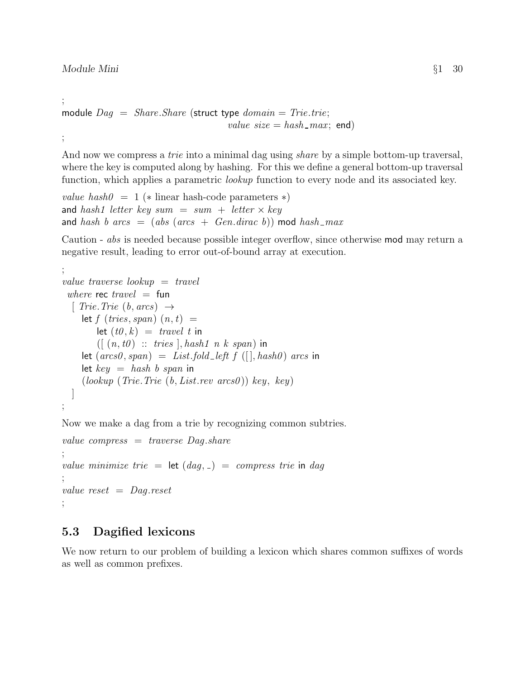;

And now we compress a *trie* into a minimal dag using *share* by a simple bottom-up traversal, where the key is computed along by hashing. For this we define a general bottom-up traversal function, which applies a parametric *lookup* function to every node and its associated key.

value hash $0 = 1$  (\* linear hash-code parameters \*) and hash1 letter key sum = sum + letter  $\times$  key and hash b arcs = (abs (arcs + Gen.dirac b)) mod hash\_max

Caution - abs is needed because possible integer overflow, since otherwise mod may return a negative result, leading to error out-of-bound array at execution.

```
;
value traverse lookup = travel
 where rec travel = fun
  [ Trie. Trie (b, \text{arcs}) \rightarrowlet f (tries, span) (n, t) =let (t0, k) = travel t in
         ([ (n, t0) :: tries], hash1 \t n \t k \t span) in
     let (arcs0, span) = List-fold-left f (||, hash0) arcs inlet key = hash\;b\;span\;in(lookup (Trie. Trie (b, List. rev arcs0)) key, key)\overline{\phantom{a}};
```
Now we make a dag from a trie by recognizing common subtries.

```
value compress = traverse Dag.share
;
value minimize trie = let (dag, \_) = \_com{compress\ true} in dag
;
value reset = Dag.reset;
```
### 5.3 Dagified lexicons

We now return to our problem of building a lexicon which shares common suffixes of words as well as common prefixes.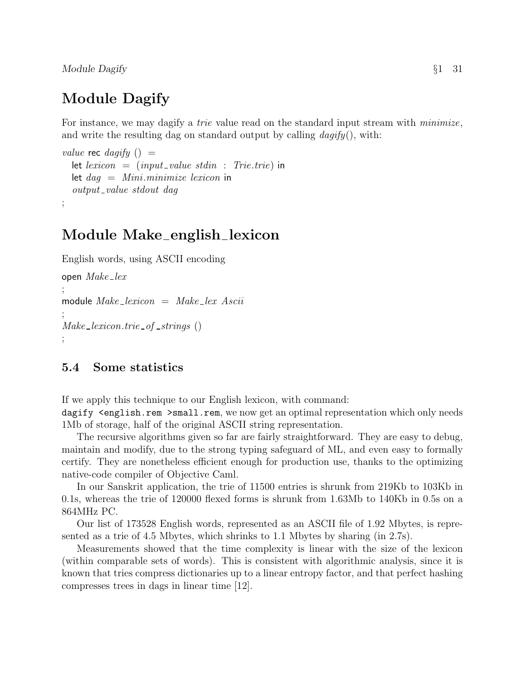Module Dagify Separate Separate Separate Separate Separate Separate Separate Separate Separate Separate Separate Separate Separate Separate Separate Separate Separate Separate Separate Separate Separate Separate Separate S

# Module Dagify

For instance, we may dagify a *trie* value read on the standard input stream with *minimize*, and write the resulting dag on standard output by calling  $\text{dagify}($ , with:

```
value rec dagify () =let lexicon = (input_value stdin : Trie.trie) in
  let dag = Mini.minimize lexicon in
  output_value stdout dag
;
```
# Module Make english lexicon

English words, using ASCII encoding open  $Make\_lex$ ; module  $Make\_lexicon = Make\_lex. Ascii$ ;  $Make\_lexicon.trie_of\_strings()$ ;

#### 5.4 Some statistics

If we apply this technique to our English lexicon, with command:

dagify <english.rem >small.rem, we now get an optimal representation which only needs 1Mb of storage, half of the original ASCII string representation.

The recursive algorithms given so far are fairly straightforward. They are easy to debug, maintain and modify, due to the strong typing safeguard of ML, and even easy to formally certify. They are nonetheless efficient enough for production use, thanks to the optimizing native-code compiler of Objective Caml.

In our Sanskrit application, the trie of 11500 entries is shrunk from 219Kb to 103Kb in 0.1s, whereas the trie of 120000 flexed forms is shrunk from 1.63Mb to 140Kb in 0.5s on a 864MHz PC.

Our list of 173528 English words, represented as an ASCII file of 1.92 Mbytes, is represented as a trie of 4.5 Mbytes, which shrinks to 1.1 Mbytes by sharing (in 2.7s).

Measurements showed that the time complexity is linear with the size of the lexicon (within comparable sets of words). This is consistent with algorithmic analysis, since it is known that tries compress dictionaries up to a linear entropy factor, and that perfect hashing compresses trees in dags in linear time [12].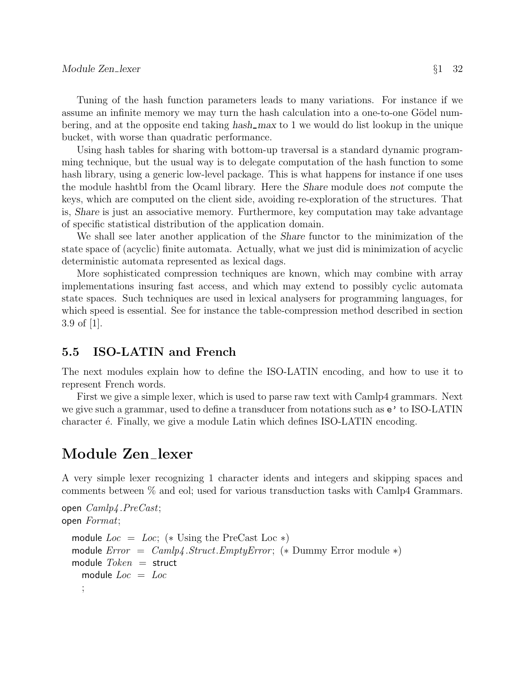Tuning of the hash function parameters leads to many variations. For instance if we assume an infinite memory we may turn the hash calculation into a one-to-one Gödel numbering, and at the opposite end taking hash\_max to 1 we would do list lookup in the unique bucket, with worse than quadratic performance.

Using hash tables for sharing with bottom-up traversal is a standard dynamic programming technique, but the usual way is to delegate computation of the hash function to some hash library, using a generic low-level package. This is what happens for instance if one uses the module hashtbl from the Ocaml library. Here the Share module does not compute the keys, which are computed on the client side, avoiding re-exploration of the structures. That is, Share is just an associative memory. Furthermore, key computation may take advantage of specific statistical distribution of the application domain.

We shall see later another application of the Share functor to the minimization of the state space of (acyclic) finite automata. Actually, what we just did is minimization of acyclic deterministic automata represented as lexical dags.

More sophisticated compression techniques are known, which may combine with array implementations insuring fast access, and which may extend to possibly cyclic automata state spaces. Such techniques are used in lexical analysers for programming languages, for which speed is essential. See for instance the table-compression method described in section 3.9 of  $|1|$ .

#### 5.5 ISO-LATIN and French

The next modules explain how to define the ISO-LATIN encoding, and how to use it to represent French words.

First we give a simple lexer, which is used to parse raw text with Camlp4 grammars. Next we give such a grammar, used to define a transducer from notations such as e' to ISO-LATIN character  $\acute{e}$ . Finally, we give a module Latin which defines ISO-LATIN encoding.

### Module Zen lexer

A very simple lexer recognizing 1 character idents and integers and skipping spaces and comments between % and eol; used for various transduction tasks with Camlp4 Grammars.

```
open Camlp4 .PreCast;
open Format;
  module Loc = Loc; (* Using the PreCast Loc *)
  module Error = Camp4.Struct. EmptyError; (* Dummy Error module *)
  module Token = struct
    module Loc = Loc;
```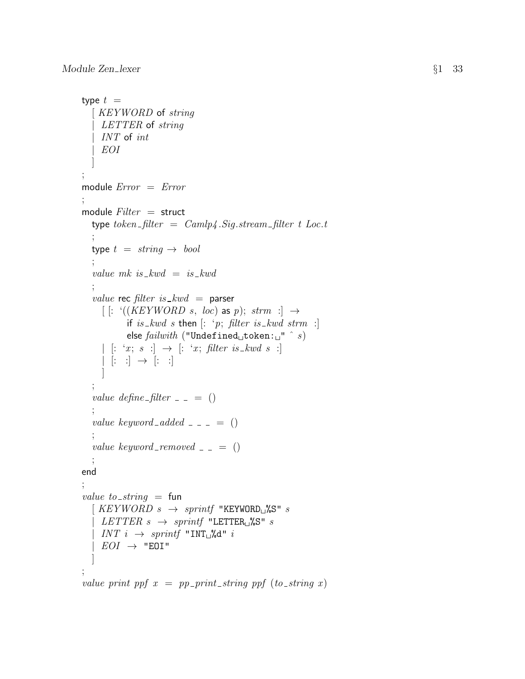```
type t =[ KEYWORD of string
    LETTER of string
    INT of int
     | EOI
   ]
;
module Error = Error;
module Filter = structtype token\_filter = Camlp4.Sig.stream\_filter \ t\ Loc.t;
  type t = string \rightarrow bool;
   value mk is kwd = is \text{-}kwd;
  value rec filter is kwd = parser
     [ [: '((KEYWORD s, loc) as p); strm :] \rightarrowif is_kwd s then [: 'p; filter is \_kwd \, strm : ]else failureilwith ("Undefined token: " \hat{s})
     | [: 'x; s :] \rightarrow [': 'x; filter is \_kwd s :]| [ : :] \rightarrow [ : :]]
   ;
  value define filter = = ();
  value keyword_added = - = ();
   value keyword_removed = = ();
end
;
value to_string = fun
   \left[ \begin{array}{l} KEYWORD \ s \ \rightarrow \ sprintf "KEYWORD<sub>L</sub>%S" s
    LETTER \, s \rightarrow sprintf "LETTER<sub>L</sub>%S" s
    INT \ i \ \rightarrow \ sprint "INT^{\circ}_{\sqcup}%d" i
    EOI \rightarrow "E0I"]
;
value print ppf x = pp-print-string ppf (to-string x)
```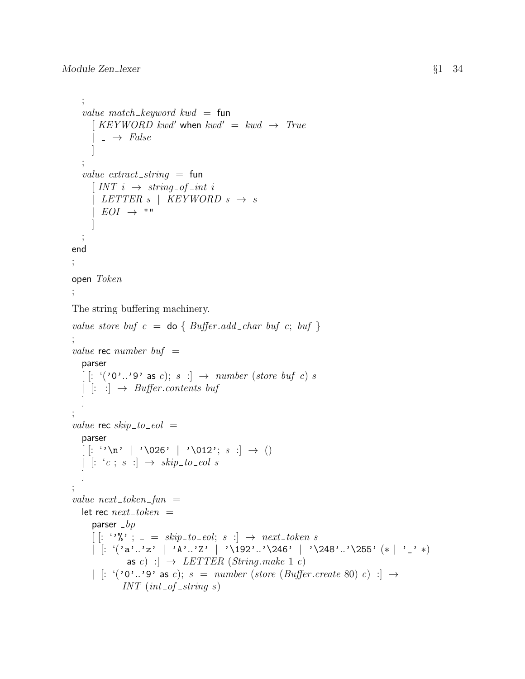```
;
   value match_keyword kwd = fun
     \begin{array}{rcl} KEVWORD \; kwd' \; \textbf{when} \; kwd' & = \; kwd \; \rightarrow \; True \end{array}\rightarrow False
      ]
  ;
  value extract_string = fun
     \left[INT\ i \rightarrow string\_of\_int\ iLETTER \ s \ | \ KEVWORD \ s \ \rightarrow \ sEOI \rightarrow ""
      ]
  ;
end
;
open Token
;
The string buffering machinery.
value store buf c = do { Buffer.add_char buf c; buf }
;
value rec number buf =parser
  [: '('0'..'9' as c); s : \rightarrow number (store buf c) s
  | [::] \rightarrow Buffer.contents buf
   ]
;
value rec skip\_to\_eol =
  parser
  [ : ' \n\lambda^n \mid '026' \mid '012'; s :] \rightarrow ()| [: 'c ; s : ] \rightarrow skip\_to\_eol s]
;
value next\_token\_fun =let rec next\_token =parser _bp
     \left[ \begin{array}{ccc} \cdot & \cdot & \cdot \\ \cdot & \cdot & \cdot \end{array} \right] = skip\_to\_eol; s : ] \rightarrow next\_token \ s| [: '('a'..'z' | 'A'..'Z' | '\\192'..'\246' | '\\248'..'\255' (* | '-'')as c) : \rightarrow LETTER (String.make 1 c)
     | [: '('0'. '9' as c); s = number (store (Buffer.create 80) c) :] \rightarrowINT (int\_of\_string\ s)
```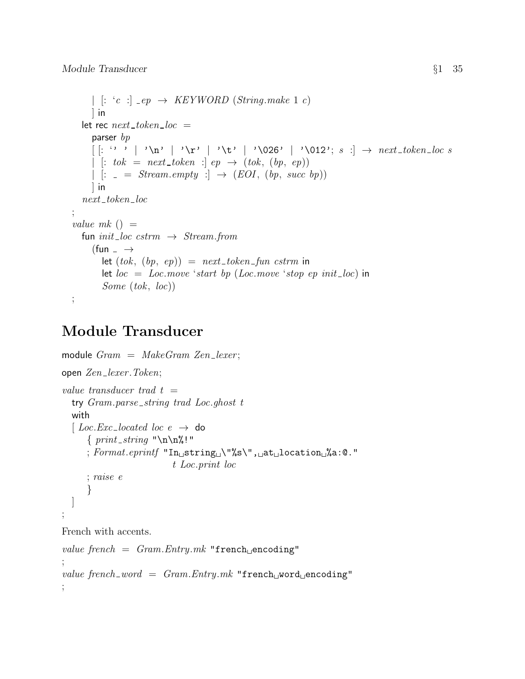```
| [: 'c : ] _{ep} \rightarrow KEYWORD (String.make 1 c)\lnlet rec next\_token\_loc =parser bp[: '' '\n\cdot '\cdot '\cdot '\cdot '\cdot '\cdot '\cdot '\cdot '\cdot '\cdot '\cdot '\cdot '\cdot '\cdot '\cdot '\cdot '\cdot '\cdot '\cdot '\cdot '\cdot '\cdot '\cdot '\cdot '\cdot '\cdot '\cdot '\cdot '\cdot '\cdot '\cdot '\cdot '\cdot '\cdot '\cdot '
      | \colon tok = next_token : | ep \to (tok, (bp, ep))
      | \vert: \vert = Stream.empty : | \rightarrow (EOI, (bp, succ bp))
      \vert in
   next\_token\_loc;
value mk () =
   fun init_loc cstrm \rightarrow Stream.from
      (fun \overline{\phantom{0}} \rightarrowlet (tok, (bp, ep)) = next\_token\_fun \textit{cstrm} in
          let loc = Loc.move 'start bp (Loc.move 'stop ep init_loc) in
          Some (tok, loc))
;
```
# Module Transducer

```
module Gram = MakeGram Zen\_lezer;open Zen lexer .Token;
value transducer trad t =try Gram.parse\_string trad Loc.ghost t
  with
  \left[ Loc.Exc_located loc e \rightarrow do
      \{print\_string \"\n\in\mathbb{N}!"
      ; \textit{Format}.\textit{eprintf} "In
string
\"%s\",
\docation
\docation
\docation
\docation
                           t Loc.print loc
      ; raise e
      }
  ]
;
French with accents.
value french = Gram. Entry.mk "french encoding"
;
value french_word = Gram. Entry.mk "french word encoding"
;
```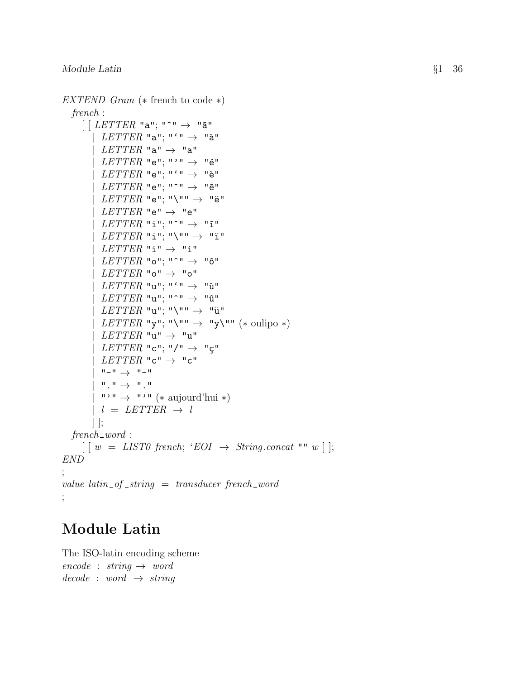```
EXTEND Gram (* french to code *)
  french :
     [ [ LETTER "a"; "^" \rightarrow "â"
          LETTER "a"; "'" \rightarrow "à"
          LETTER "a" \rightarrow "a"
          LETTER "e"; "'" \rightarrow "é"
          LETTER "e"; "'" \rightarrow "è"
          LETTER "e"; "^" \rightarrow "ê"
          LETTER "e"; "\"" \rightarrow "ë"
          LETTER "e" \rightarrow "e"
          LETTER "i"; "^" \rightarrow "î"
          LETTER "i"; "\setminus"" \rightarrow "ï"
          LETTER "i" \rightarrow "i"
          LETTER "o"; "^" \rightarrow "ô"
          LETTER "o" \rightarrow "o"
          LETTER "u"; "'" \rightarrow "ù"
          LETTER "u"; "^" \rightarrow "\hat{u}"
          LETTER "u"; "\setminus"" \rightarrow "ü"
        | LETTER "y"; "\"" \rightarrow "y\"" (* oulipo *)
          LETTER "u" \rightarrow "u"
          LETTER "c"; "/" \rightarrow "ç"
          LETTER "c" \rightarrow "c"
          " - "\rightarrow "-"
          \overline{}}\:{\mathbb T}^n\to{\mathbb T}^n{\mathbb T}^n\cdots "\rightarrow "'" (* aujourd'hui *)
          l = LETTER \rightarrow l] ];
  french\_word:
     [ [w = LIST0 french; 'EOI \rightarrow String.concat "" w ] ];
END ;
value\ latin\_of\_string =\ transducer\ french\_word;
```
# Module Latin

The ISO-latin encoding scheme  $encode : string \rightarrow word$  $decode : word \rightarrow string$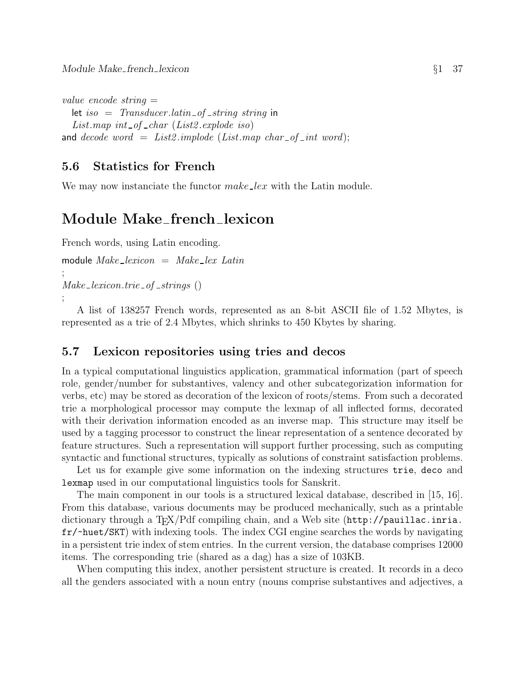```
value encode string =
```

```
let iso = Transducer.latin of string string in
  List.map int_of_char (List2.\explode\ iso)and decode word = List2. \text{implode} (List.map char of int word);
```
### 5.6 Statistics for French

We may now instanciate the functor *make\_lex* with the Latin module.

## Module Make french lexicon

French words, using Latin encoding.

```
module Make\_lexicon = Make\_lex Latin;
Make\_lexicon.trie_of\_strings();
```
A list of 138257 French words, represented as an 8-bit ASCII file of 1.52 Mbytes, is represented as a trie of 2.4 Mbytes, which shrinks to 450 Kbytes by sharing.

### 5.7 Lexicon repositories using tries and decos

In a typical computational linguistics application, grammatical information (part of speech role, gender/number for substantives, valency and other subcategorization information for verbs, etc) may be stored as decoration of the lexicon of roots/stems. From such a decorated trie a morphological processor may compute the lexmap of all inflected forms, decorated with their derivation information encoded as an inverse map. This structure may itself be used by a tagging processor to construct the linear representation of a sentence decorated by feature structures. Such a representation will support further processing, such as computing syntactic and functional structures, typically as solutions of constraint satisfaction problems.

Let us for example give some information on the indexing structures trie, deco and lexmap used in our computational linguistics tools for Sanskrit.

The main component in our tools is a structured lexical database, described in [15, 16]. From this database, various documents may be produced mechanically, such as a printable dictionary through a TEX/Pdf compiling chain, and a Web site (http://pauillac.inria. fr/~huet/SKT) with indexing tools. The index CGI engine searches the words by navigating in a persistent trie index of stem entries. In the current version, the database comprises 12000 items. The corresponding trie (shared as a dag) has a size of 103KB.

When computing this index, another persistent structure is created. It records in a deco all the genders associated with a noun entry (nouns comprise substantives and adjectives, a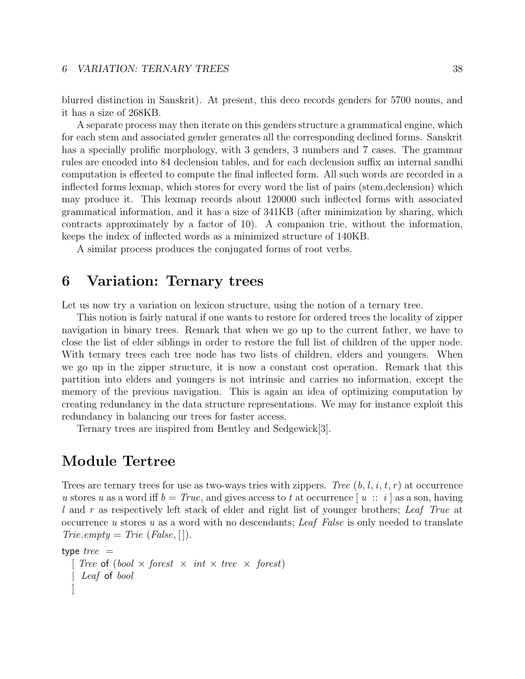blurred distinction in Sanskrit). At present, this deco records genders for 5700 nouns, and it has a size of 268KB.

A separate process may then iterate on this genders structure a grammatical engine, which for each stem and associated gender generates all the corresponding declined forms. Sanskrit has a specially prolific morphology, with 3 genders, 3 numbers and 7 cases. The grammar rules are encoded into 84 declension tables, and for each declension suffix an internal sandhi computation is effected to compute the final inflected form. All such words are recorded in a inflected forms lexmap, which stores for every word the list of pairs (stem,declension) which may produce it. This lexmap records about 120000 such inflected forms with associated grammatical information, and it has a size of 341KB (after minimization by sharing, which contracts approximately by a factor of 10). A companion trie, without the information, keeps the index of inflected words as a minimized structure of 140KB.

A similar process produces the conjugated forms of root verbs.

## 6 Variation: Ternary trees

Let us now try a variation on lexicon structure, using the notion of a ternary tree.

This notion is fairly natural if one wants to restore for ordered trees the locality of zipper navigation in binary trees. Remark that when we go up to the current father, we have to close the list of elder siblings in order to restore the full list of children of the upper node. With ternary trees each tree node has two lists of children, elders and youngers. When we go up in the zipper structure, it is now a constant cost operation. Remark that this partition into elders and youngers is not intrinsic and carries no information, except the memory of the previous navigation. This is again an idea of optimizing computation by creating redundancy in the data structure representations. We may for instance exploit this redundancy in balancing our trees for faster access.

Ternary trees are inspired from Bentley and Sedgewick[3].

## Module Tertree

Trees are ternary trees for use as two-ways tries with zippers. Tree  $(b, l, i, t, r)$  at occurrence u stores u as a word iff  $b = True$ , and gives access to t at occurrence  $|u|$ :  $i |$  as a son, having l and r as respectively left stack of elder and right list of younger brothers; Leaf True at occurrence u stores u as a word with no descendants; Leaf False is only needed to translate  $Trie. empty = Trie (False, []).$ 

```
type tree =Tree of (bool \times forest \times int \times tree \times forest)
     Leaf of bool
   ]
```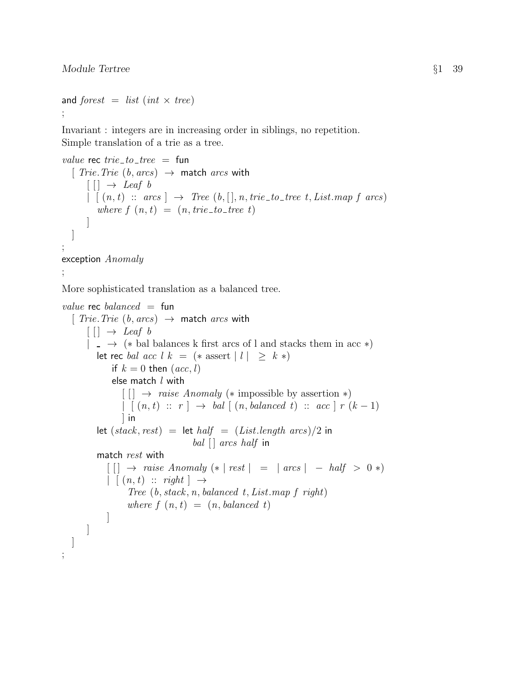;

```
and forest = list (int \times tree)
;
```
Invariant : integers are in increasing order in siblings, no repetition. Simple translation of a trie as a tree.

```
value rec trie\_to\_tree = fun
  [ Trie. Trie (b, arcs) \rightarrow match arcs with
      \lceil \lceil \cdot \rceil \rightarrow Leaf b
       | [(n, t) :: arcs] \rightarrow Tree (b,[], n, trie_to-tree t, List-map f arcs)where f(n, t) = (n, trie\_to\_tree t)]
  ]
;
exception Anomaly
;
```
More sophisticated translation as a balanced tree.

```
value rec balanced = fun
  [ Trie. Trie (b, arcs) \rightarrow match arcs with
       [ | ] \rightarrow Leaf b
       | \rightarrow (* bal balances k first arcs of l and stacks them in acc *)
           let rec bal acc l k = (* assert |l| \geq k*)if k = 0 then (ac, l)else match l with
                   \begin{bmatrix} \end{bmatrix} \rightarrow \text{raise } Anomaly (\ast \text{impossible by assertion } \ast)\lceil \int (n,t) : r \rceil \rightarrow \text{bal} \lceil (n, \text{balanced } t) : \text{acc} \rceil r (k-1)\vert in
           let (state, rest) = let half = (List.length \ arcs)/2 in
                                          bal \lceil arcs half in
           match rest with
              \lceil \lceil \cdot \rceil \rightarrow \text{raise } Anomaly \; (* \; | \; \text{rest } \; | \; = \; | \; \text{arcs } \; | \; - \text{half } > \; 0 \; * \rangle| (n, t) :: right | \rightarrowTree (b, stack, n, balanced\ t, List\ map\ f\ right)where f(n, t) = (n, balanced t)]
        ]
  ]
```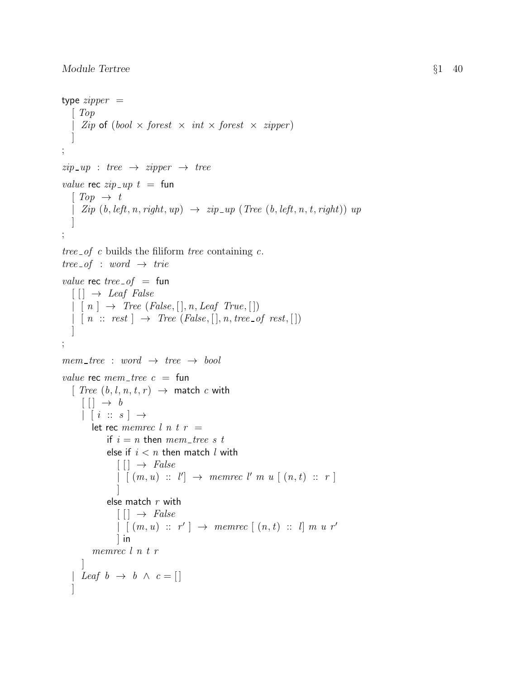```
type zipper =\lceil Top
      Zip \; \circ f \; (bool \times forest \times int \times forest \times zipper)]
;
zip\_up : tree \rightarrow zipper \rightarrow treevalue rec zip \_ up \ t = \text{fun}\lceil Top \rightarrow t \rceil| Zip (b, left, n, right, up) \rightarrow zip-up (Tree (b, left, n, t, right)) up
    ]
;
tree of c builds the filiform tree containing c.
tree\_of : word \rightarrow trievalue rec tree of = fun\lceil \lceil \cdot \rceil \rightarrow Leaf False
   | \nvert n \rvert \rightarrow \text{Tree } (False, [\nvert, n,Leaf \text{ True}, [\nvert])| \cdot | n :: rest | \rightarrow Tree (False, [|n, tree_of rest, [])]
;
mem\_tree : word \rightarrow tree \rightarrow boolvalue rec mem\_tree = fun
   [Tree (b, l, n, t, r) \rightarrow match c with[ ] \rightarrow b| [ i :: s ] \rightarrowlet rec memrec l n t r =if i = n then mem_tree s t
               else if i < n then match l with
                   [ ] \rightarrow False
                   \vert \, \vert \, (m, u) \; :: \; l' \vert \; \rightarrow \; \textit{memrec } l' \; \textit{m} \; u \; \vert \, (n, t) \; :: \; r \; \vert]
               else match r with
                   \lceil \cdot \rceil \rightarrow False\vert \, \vert \, (m, u) \; :: \; r' \, \vert \; \rightarrow \; \textit{memrec} \; \vert \, (n, t) \; :: \; l \vert \; m \; u \; r'] in
          memrec l n t r
       ]
    | Leaf b \rightarrow b \land c = []]
```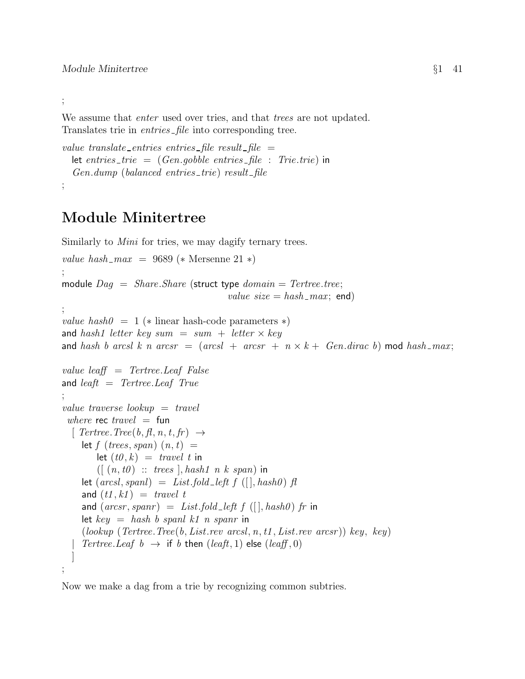;

We assume that *enter* used over tries, and that *trees* are not updated. Translates trie in *entries* file into corresponding tree.

```
value translate_entries entries_file result_file =let entries_trie = (Gen.gosable entries-file : Trie.trie) in
  Gen.dimp (balanced entries_trie) result_file
;
```
# Module Minitertree

Similarly to *Mini* for tries, we may dagify ternary trees.

```
value hash_max = 9689 (* Mersenne 21 *)
;
module Dag = Share.Share (struct type domain = Tertree.tree;value size = hash\_max; end)
;
value hash0 = 1 (* linear hash-code parameters *)
and hash1 letter key sum = sum + letter \times key
and hash b arcsl k n arcsr = (arcsl + arcsr + n \times k + Gen.dirac b) mod hash_max;
value leaff = Tertree.Leaf False
and \text{leaf}t = \text{Tertree}. \text{Leaf} \text{True};
value traverse lookup = travel
 where rec travel = fun
  \lbrack Tertree. Tree(b, fl, n, t, fr) \rightarrowlet f (trees, span) (n, t) =let (t0, k) = travel t in
        ([ (n, t0) :: trees], hash1 \t n \t k \t span) in
     let (arcsl, spanl) = List.fold-left f ([], hash0) fland (t1, k1) = travel t
     and (arcsr, spanr) = List-fold-left f (||, hash0) fr in
     let key = hash\ b\ spanl\ k1\ n\ spanr in
     (lookup (Tertree, Tree(b, List. rev, arcsl, n, t1, List. rev, arcsr)) key, key)Tertree.Leaf\ b \rightarrow \text{if } b \text{ then } (leaft, 1) \text{ else } (leaft, 0)]
;
```
Now we make a dag from a trie by recognizing common subtries.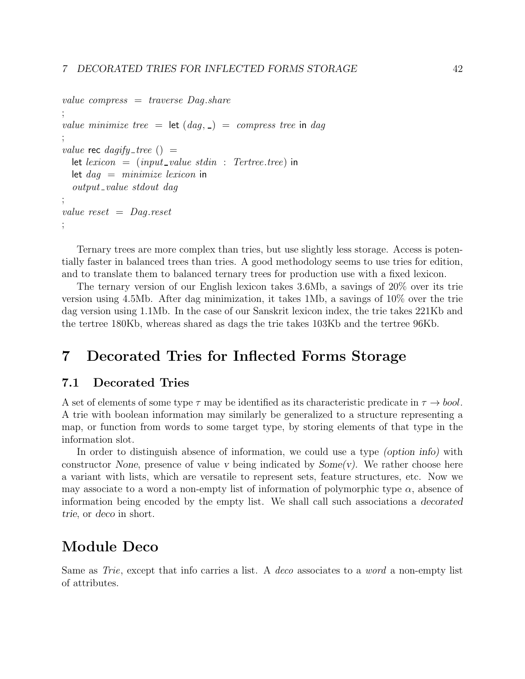```
value compress = traverse Dag.share
;
value minimize tree = let (dag, \_) = compress tree in dag
;
value rec dagify_tree () =let lexicon = (input_value stdin : Tertree.tree) in
  let d a q = minimize le xicon in
  output_value stdout dag
;
value reset = Dag.reset;
```
Ternary trees are more complex than tries, but use slightly less storage. Access is potentially faster in balanced trees than tries. A good methodology seems to use tries for edition, and to translate them to balanced ternary trees for production use with a fixed lexicon.

The ternary version of our English lexicon takes 3.6Mb, a savings of 20% over its trie version using 4.5Mb. After dag minimization, it takes 1Mb, a savings of 10% over the trie dag version using 1.1Mb. In the case of our Sanskrit lexicon index, the trie takes 221Kb and the tertree 180Kb, whereas shared as dags the trie takes 103Kb and the tertree 96Kb.

## 7 Decorated Tries for Inflected Forms Storage

### 7.1 Decorated Tries

A set of elements of some type  $\tau$  may be identified as its characteristic predicate in  $\tau \to b \omega$ . A trie with boolean information may similarly be generalized to a structure representing a map, or function from words to some target type, by storing elements of that type in the information slot.

In order to distinguish absence of information, we could use a type (option info) with constructor None, presence of value v being indicated by  $Some(v)$ . We rather choose here a variant with lists, which are versatile to represent sets, feature structures, etc. Now we may associate to a word a non-empty list of information of polymorphic type  $\alpha$ , absence of information being encoded by the empty list. We shall call such associations a decorated trie, or deco in short.

## Module Deco

Same as Trie, except that info carries a list. A deco associates to a word a non-empty list of attributes.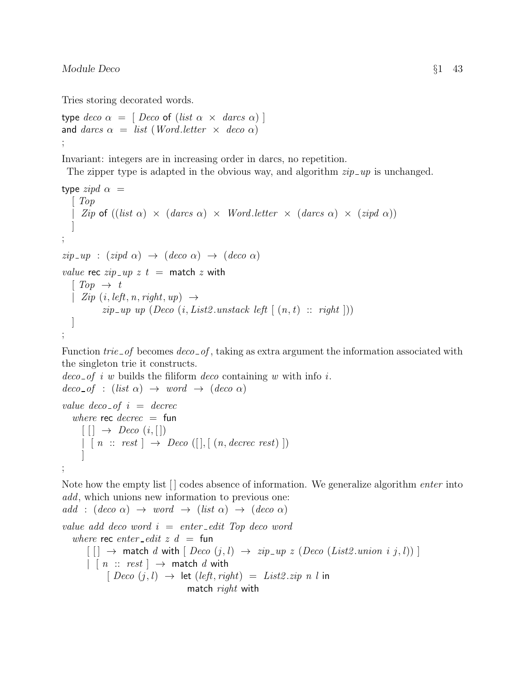#### Module Deco  $\S1$  43

Tries storing decorated words.

```
type deco \alpha = [ Deco of (list \alpha \times darcs \alpha) ]
and darcs \alpha = list (Word. letter \times deco \alpha);
```
Invariant: integers are in increasing order in darcs, no repetition.

The zipper type is adapted in the obvious way, and algorithm  $zip \_\mathit{up}$  is unchanged.

```
type zipd \alpha =\mid Top\langle Zip\;of\;((list\;\alpha)\;\times\;(darcs\;\alpha)\;\times\;Word.letter\;\times\;(darcs\;\alpha)\;\times\;(zipd\;\alpha)\rangle]
;
zip \_\mathit{up} : (zipd \alpha) \rightarrow (deco \alpha) \rightarrow (deco \alpha)value rec zip \_\mathit{up} z t = \text{match} z \text{ with}\lceil Top \rightarrow t \rceil| Zip (i, left, n, right, up) \rightarrowzip \text{\_up up} (Deco (i, List2.unstack left [(n, t) :: right]))]
;
```
Function  $trie\_of$  becomes  $deco\_of$ , taking as extra argument the information associated with the singleton trie it constructs.

```
deco\_of i w builds the filiform deco containing w with info i.
deco\_of : (list \alpha) \rightarrow word \rightarrow (deco \alpha)value deco-of i = decrec
   where rec decrec = fun
     [ | ] \rightarrow Deco (i, [])\vert \ [\ n \ :: \ rest \ ] \ \rightarrow \ Deco \ ([], \ [\ (n, \text{decrec rest}) \ ])]
;
```
Note how the empty list  $\lceil \cdot \rceil$  codes absence of information. We generalize algorithm *enter* into add, which unions new information to previous one: add :  $deco \alpha$ )  $\rightarrow$  word  $\rightarrow$   $(list \alpha) \rightarrow (deco \alpha)$ 

value add deco word  $i =$  enter-edit Top deco word where rec enter-edit  $z$   $d =$  fun  $[$   $] \rightarrow$  match d with  $[$  Deco  $(j, l) \rightarrow zip_{up} z$  (Deco (List2.union i j, l))  $]$  $| \cdot |$   $n \ :: \ rest \ | \ \rightarrow \$  match d with  $[Deco (j, l) \rightarrow let (left, right) = List2.zip n l in$ match right with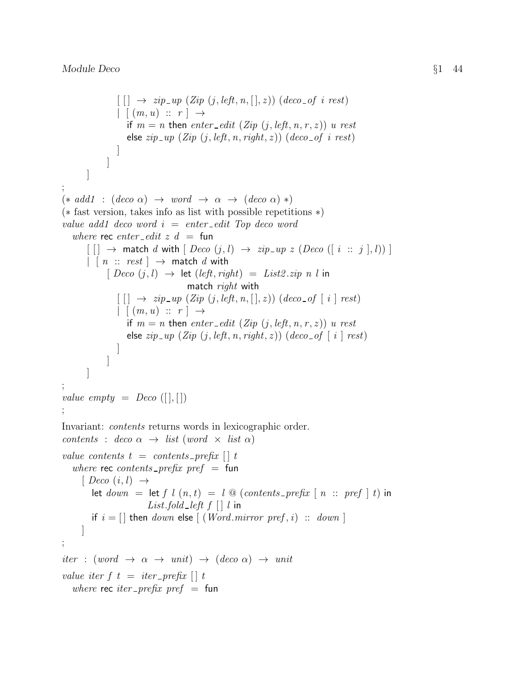```
\lceil \lceil \cdot \rceil \rightarrow zip \sqcup p \ (Zip \ (j, left, n, [\cdot], z)) \ (deco \of \ i \ rest)| (m, u) :: r | \rightarrowif m = n then enter-edit (Zip (j, left, n, r, z)) u rest
                   else zip \_\mathit{up} (Zip (j, left, n, right, z)) (deco \_\mathit{of} i \ \mathit{rest})]
             ]
       ]
;
(* add1 : (deco \alpha) \rightarrow word \rightarrow \alpha \rightarrow (deco \alpha) *)(∗ fast version, takes info as list with possible repetitions ∗)
value add1 deco word i = enter\_edit Top deco word
   where rec enter edit z d = fun
       [ [ ] \rightarrow match d with [ Deco (j, l) \rightarrow zip_{\mathcal{I}} up z (Deco ([i :: j], l)) ]
       | \cdot | n \ :: \ rest \ } \rightarrow \ match d with
             [Deco(j, l) \rightarrow let (left, right) = List2.zip n l inmatch right with
                [[] \rightarrow zip_{up}(Zip (j, left, n, [], z)) (deco_{of} [i] rest)| (m, u) :: r | \rightarrowif m = n then enter-edit (Zip (j, left, n, r, z)) u rest
                   else zip\_up (Zip (j, left, n, right, z)) (deco_of [i] rest)
                ]
             ]
       ]
;
value empty = Deco ([], [])
;
Invariant: contents returns words in lexicographic order.
contents : deco \alpha \rightarrow list (word \times list \alpha)
value contents t = contents prefix \lceil \mid t \rceilwhere rec contents prefix pref = fun
     [ Deco (i, l) \rightarrowlet down = \text{let } f \mid l \mid (n, t) = \text{let } g \mid (contents\_prefix \mid n :: pref \mid t) in
                         List.fold_left f \mid \mid l in
        if i = [] then down else [(Word.mirror pref, i) :: down]]
;
iter : (word \rightarrow \alpha \rightarrow unit) \rightarrow (deco \alpha) \rightarrow unitvalue iter f \, t \, = \, iter\_prefix \, [\,] \, twhere rec iter prefix pref = fun
```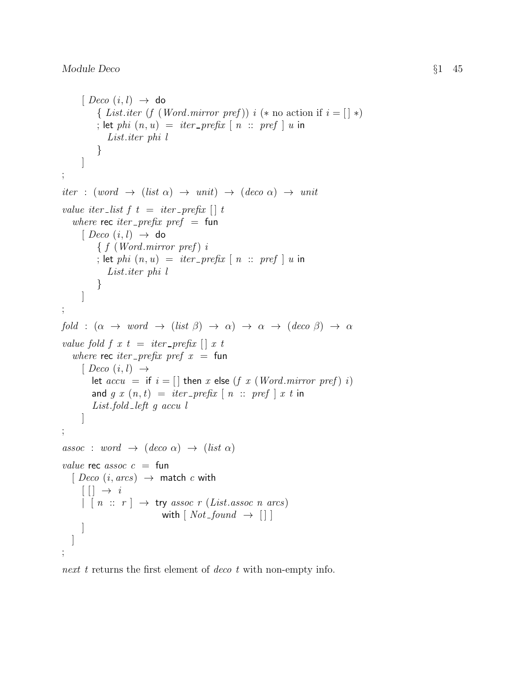```
[ Deco (i, l) \rightarrow do
           { List.iter (f (Word.mirror pref)) i (* no action if i = \lceil x \rceil)
           ; let phi (n, u) = iter\_prefix \mid n :: pref \mid u in
              List.iter phi l
           }
      ]
;
iter : (word \rightarrow (list \alpha) \rightarrow unit) \rightarrow (deco \alpha) \rightarrow unit
value iter_list f t = iter\_prefix \begin{bmatrix} t \end{bmatrix} twhere rec iter prefix pref = fun
      [ Deco (i, l) \rightarrow do
           \{ f (Word.mirror pref) i; let phi (n, u) = iter\_prefix \mid n :: pref \mid u in
              List.iter phi l
           }
      ]
;
fold : (\alpha \rightarrow word \rightarrow (list \beta) \rightarrow \alpha) \rightarrow \alpha \rightarrow (deco \beta) \rightarrow \alphavalue fold f(x) = iter\_prefix \mid xwhere rec iter prefix pref x = fun
      [ Deco (i, l) \rightarrowlet accu = if i = [] then x else (f x (Word.mirror pref) i)
         and g(x(n, t)) = iter\_prefix \lceil n :: pref \rceil x t in
         List.fold left g accu l
      ]
;
assoc : word \rightarrow (deco \alpha) \rightarrow (list \alpha)
value rec assoc c = \text{fun}[Deco (i, arcs) \rightarrow match c with][ ] \rightarrow i\vert \cdot \vert n :: r \vert \rightarrow \text{try } assoc \ r (List. assoc \ n \ arcs)with \lceil Not found \rightarrow \lceil \rceil]
   ]
;
```
next t returns the first element of deco t with non-empty info.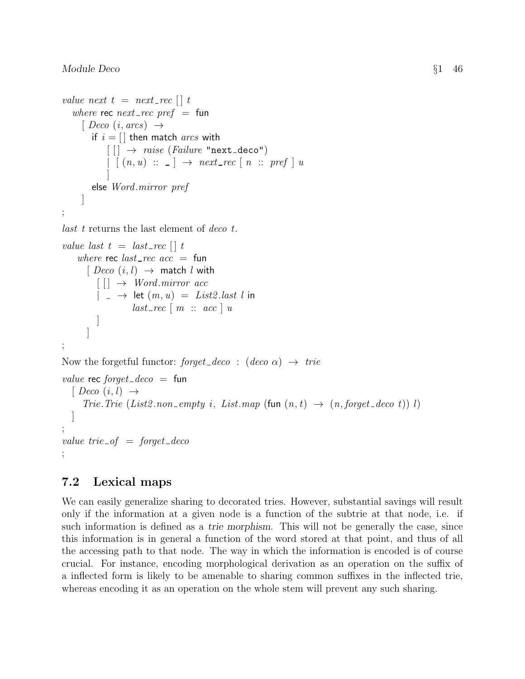```
value next t = next\_rec \mid twhere rec next rec pref = fun
     [ Deco (i, arcs) \rightarrowif i = \lceil \cdot \rceil then match arcs with
            \lceil \cdot \rceil \rightarrow \text{raise (Failure "next-deco")}| [(n, u) :: ] \rightarrow next\_rec [ n :: pref ] u]
        else Word.mirror pref
     ]
;
last t returns the last element of deco t.
value last t = last\_rec \cup twhere rec last\_rec acc = fun[Deco (i, l) \rightarrow match l with\lceil \cdot \rceil \rightarrow Word.mirror acc|\rightarrow let (m, u) = List2. last l in
                   last\_rec \mid m :: acc \mid u]
      ]
;
Now the forgetful functor: forget_deco : (deco \alpha) \rightarrow trievalue rec forget_deco = fun
  [ Deco (i, l) \rightarrowTrie. Trie (List2.non_empty i, List.map (fun (n, t) \rightarrow (n, forget\_deco t)))
  ]
;
value trie of = forget deco;
```
## 7.2 Lexical maps

We can easily generalize sharing to decorated tries. However, substantial savings will result only if the information at a given node is a function of the subtrie at that node, i.e. if such information is defined as a trie morphism. This will not be generally the case, since this information is in general a function of the word stored at that point, and thus of all the accessing path to that node. The way in which the information is encoded is of course crucial. For instance, encoding morphological derivation as an operation on the suffix of a inflected form is likely to be amenable to sharing common suffixes in the inflected trie, whereas encoding it as an operation on the whole stem will prevent any such sharing.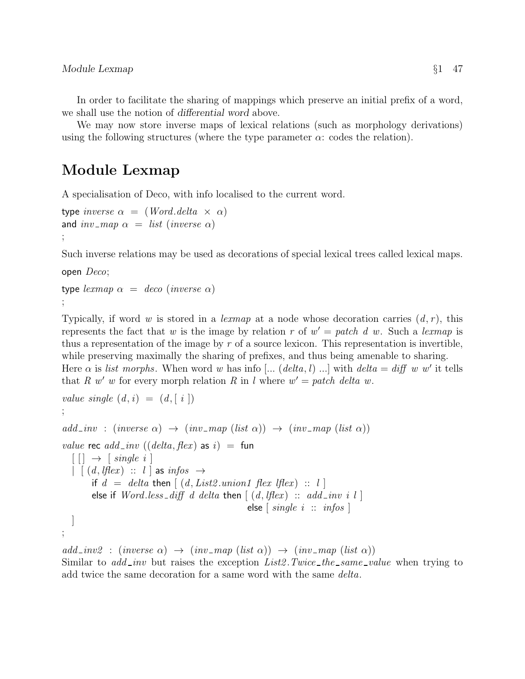In order to facilitate the sharing of mappings which preserve an initial prefix of a word, we shall use the notion of differential word above.

We may now store inverse maps of lexical relations (such as morphology derivations) using the following structures (where the type parameter  $\alpha$ : codes the relation).

## Module Lexmap

A specialisation of Deco, with info localised to the current word.

```
type inverse \alpha = (Word. delta \times \alpha)and inv-map \alpha = list (inverse \alpha)
;
```
Such inverse relations may be used as decorations of special lexical trees called lexical maps.

open Deco;

```
type lexmap \alpha = deco (inverse \alpha)
;
```
Typically, if word w is stored in a lexmap at a node whose decoration carries  $(d, r)$ , this represents the fact that w is the image by relation r of  $w' = patch\ d\ w$ . Such a lexmap is thus a representation of the image by  $r$  of a source lexicon. This representation is invertible, while preserving maximally the sharing of prefixes, and thus being amenable to sharing. Here  $\alpha$  is list morphs. When word w has info [... (delta, l) ...] with delta = diff w w' it tells that R w' w for every morph relation R in l where  $w' = patch$  delta w.

```
value single (d, i) = (d, \lceil i \rceil);
add_inv : (inverse \alpha) \rightarrow (inv_map (list \alpha)) \rightarrow (inv_map (list \alpha))
value rec add\_inv ((delta, flex) as i) = fun
   [ ] \rightarrow [ single i ]\parallel \lceil (d, lflex) \ :: \ l \rceil as infos \ \rightarrowif d = delta then \left[ (d, List2.union1 \text{ flex } lflex) :: l \right]else if Word. less\_diff d delta then [(d, lflex) :: add_inv i l]else \left[ \text{ single } i \right]: \text{infos}]
;
```
 $add\_inv2$ :  $(inverse \alpha) \rightarrow (inv\_map (list \alpha)) \rightarrow (inv\_map (list \alpha))$ Similar to  $add\_inv$  but raises the exception  $List2.Twice\_the\_same\_value$  when trying to add twice the same decoration for a same word with the same delta.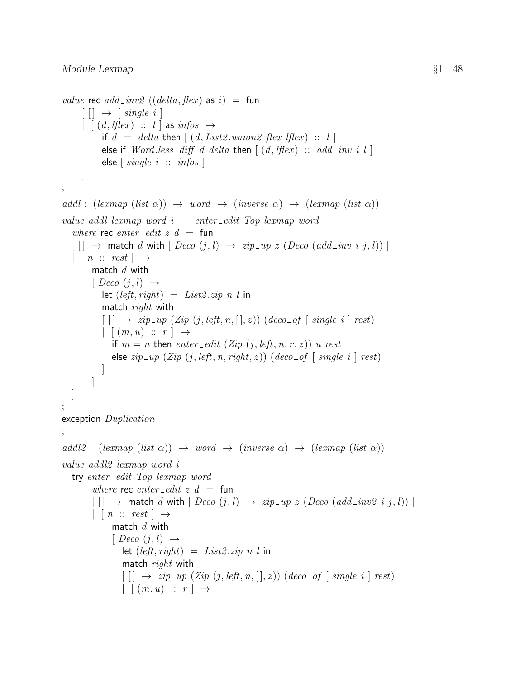```
value rec add\_inv2 ((delta, flex) as i) = fun
      \lceil \lceil \cdot \rceil \rightarrow \lceil \text{ single } i \rceil\parallel \lceil (d, lflex) \therefore l as infos \rightarrowif d = delta then \left[ (d, List2.union2 \text{ flex } lflex) :: l \right]else if Word. less\_diff \ d \ delta then \lceil (d, lflex) :: \ add\_inv \ i \ l \rceilelse \lceil \text{single } i \ :: \text{infos } \rceil]
;
addl : (lexmap (list \alpha)) \rightarrow word \rightarrow (inverse \alpha) \rightarrow (lexmap (list \alpha))
value addl lexmap word i = enter-edit Top lexmap word
   where rec enter edit z d = fun
   \lceil \cdot \rceil \rightarrow match d with \lceil \text{Deco } (j, l) \rightarrow zip \text{--} up \ z \ (\text{Deco } (add \text{--} inv i j, l)) \rceil| \cdot | \cdot n \ :: \ rest | \rightarrowmatch d with
          [ Deco (j, l) \rightarrowlet (left, right) = List2.\dot{zip} n l in
             match right with
             \lceil \lceil \cdot \rceil \rightarrow zip\_up \ (Zip \ (j, left, n, [\cdot], z) ) \ (deco\_of \ [\ single \ i \ ] \ rest)| (m, u) :: r | \rightarrowif m = n then enter-edit (Zip (j, left, n, r, z)) u rest
                 else zip\_up (Zip (j, left, n, right, z)) (deco_of [single i ] rest)
             \overline{\phantom{a}}]
   ]
;
exception Duplication
;
addl2: (lexmap (list \alpha)) \rightarrow word \rightarrow (inverse \alpha) \rightarrow (lexmap (list \alpha))value addl2 lexmap word i =try enter edit Top lexmap word
          where rec enter edit z d = fun
          \lceil \lceil \cdot \rceil \rightarrow match d with \lceil \text{Deco}(i,l) \rceil \rightarrow \text{zip}_w \text{z} \text{ (Deco} \text{ (add}_v \text{inv2 } i \text{ } j, l) \text{)} \rceil| \nvert n :: rest | \rightarrowmatch d with
                 [ Deco (j, l) \rightarrowlet (left, right) = List2.\dot{zip} n l in
                    match right with
                    [[] \rightarrow zip_{up}(Zip (j, left, n,[], z)) (deco_{of} [single i] rest)| (m, u) :: r | \rightarrow
```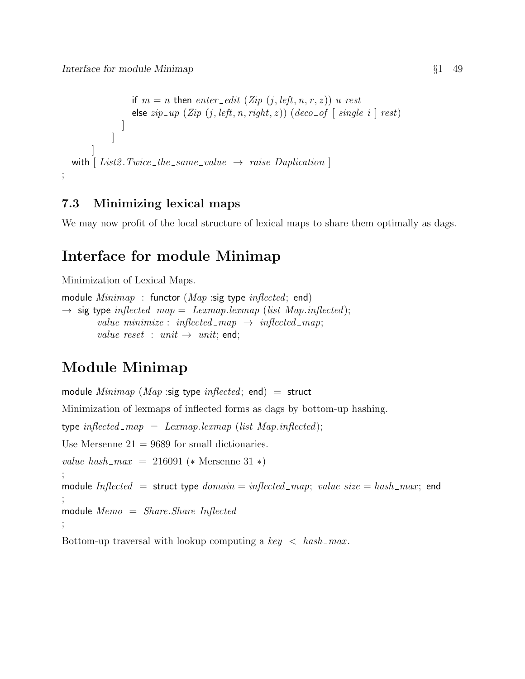```
if m = n then enter-edit (Zip (j, left, n, r, z)) u rest
                   else zip\_up (Zip (j, left, n, right, z)) (deco_of [single i ] rest)
                ]
             ]
        ]
  with \lceil List2.Twice\_the\_same\_value \rightarrow raise\; Duplication \rceil;
```
## 7.3 Minimizing lexical maps

We may now profit of the local structure of lexical maps to share them optimally as dags.

# Interface for module Minimap

Minimization of Lexical Maps.

```
module Minimum : functor (Map :sig type inflected; end)
\rightarrow sig type inflected map = Lexmap.lexmap (list Map.inflected);
        value minimize : inflected_map \rightarrow inflected_map;
        value reset : unit \rightarrow unit; end;
```
# Module Minimap

module  $Minimap$  (Map :sig type inflected; end) = struct Minimization of lexmaps of inflected forms as dags by bottom-up hashing. type inflected  $\text{map} = \text{Lemma}$ . lexmap. (list Map.inflected); Use Mersenne  $21 = 9689$  for small dictionaries. value hash\_max = 216091 (\* Mersenne 31 \*) ; module Inflected = struct type  $domain = inflected\_map$ ; value  $size = hash\_max$ ; end ; module  $Memo = Share.Share Inflected$ ;

Bottom-up traversal with lookup computing a  $key < hash\_max$ .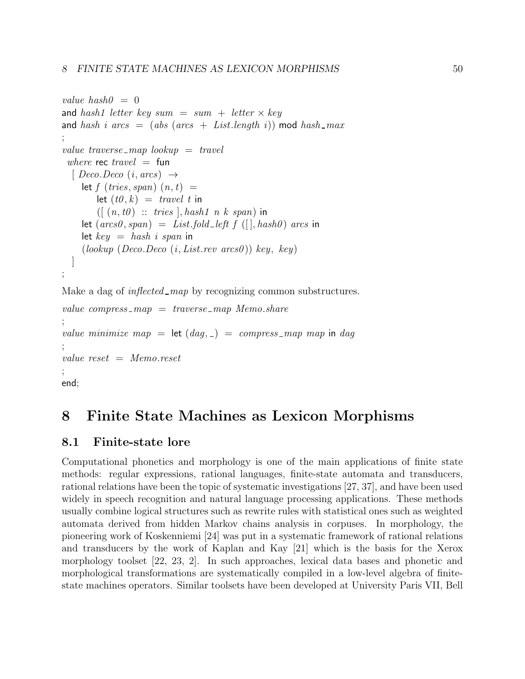```
value hash0 = 0and hash1 letter key sum = sum + letter \times key
and hash i arcs = (abs (arcs + List.length i)) mod hash_max
;
value traverse \text{map} lookup = travel
 where rec travel = fun
  [ Deco.Deco (i, arcs) \rightarrowlet f (tries, span) (n, t) =let (t0, k) = travel t in
        ([ (n, t0) :: tries], hash1 \t n \t k \t span) in
    let (arcs0, span) = List-fold-left f (||, hash0) arcs inlet key = hash i span in
    (lookup (Deco. Deco (i, List. rev arcs0)) key, key)]
;
Make a dag of inflected_map by recognizing common substructures.
value compress \text{map} = \text{traverse\_map} Memo.share
;
value minimize map = let (dag, ) = compress map map in dag
;
```
value  $reset = Memo.reset$ 

```
;
end;
```
# 8 Finite State Machines as Lexicon Morphisms

## 8.1 Finite-state lore

Computational phonetics and morphology is one of the main applications of finite state methods: regular expressions, rational languages, finite-state automata and transducers, rational relations have been the topic of systematic investigations [27, 37], and have been used widely in speech recognition and natural language processing applications. These methods usually combine logical structures such as rewrite rules with statistical ones such as weighted automata derived from hidden Markov chains analysis in corpuses. In morphology, the pioneering work of Koskenniemi [24] was put in a systematic framework of rational relations and transducers by the work of Kaplan and Kay [21] which is the basis for the Xerox morphology toolset [22, 23, 2]. In such approaches, lexical data bases and phonetic and morphological transformations are systematically compiled in a low-level algebra of finitestate machines operators. Similar toolsets have been developed at University Paris VII, Bell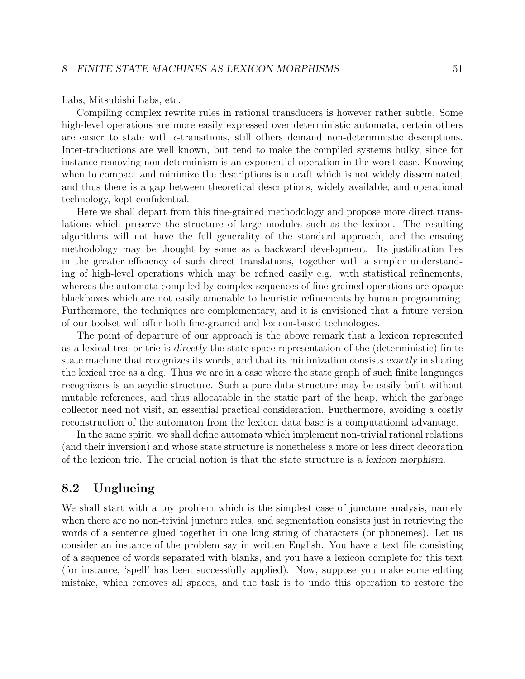Labs, Mitsubishi Labs, etc.

Compiling complex rewrite rules in rational transducers is however rather subtle. Some high-level operations are more easily expressed over deterministic automata, certain others are easier to state with  $\epsilon$ -transitions, still others demand non-deterministic descriptions. Inter-traductions are well known, but tend to make the compiled systems bulky, since for instance removing non-determinism is an exponential operation in the worst case. Knowing when to compact and minimize the descriptions is a craft which is not widely disseminated, and thus there is a gap between theoretical descriptions, widely available, and operational technology, kept confidential.

Here we shall depart from this fine-grained methodology and propose more direct translations which preserve the structure of large modules such as the lexicon. The resulting algorithms will not have the full generality of the standard approach, and the ensuing methodology may be thought by some as a backward development. Its justification lies in the greater efficiency of such direct translations, together with a simpler understanding of high-level operations which may be refined easily e.g. with statistical refinements, whereas the automata compiled by complex sequences of fine-grained operations are opaque blackboxes which are not easily amenable to heuristic refinements by human programming. Furthermore, the techniques are complementary, and it is envisioned that a future version of our toolset will offer both fine-grained and lexicon-based technologies.

The point of departure of our approach is the above remark that a lexicon represented as a lexical tree or trie is directly the state space representation of the (deterministic) finite state machine that recognizes its words, and that its minimization consists exactly in sharing the lexical tree as a dag. Thus we are in a case where the state graph of such finite languages recognizers is an acyclic structure. Such a pure data structure may be easily built without mutable references, and thus allocatable in the static part of the heap, which the garbage collector need not visit, an essential practical consideration. Furthermore, avoiding a costly reconstruction of the automaton from the lexicon data base is a computational advantage.

In the same spirit, we shall define automata which implement non-trivial rational relations (and their inversion) and whose state structure is nonetheless a more or less direct decoration of the lexicon trie. The crucial notion is that the state structure is a lexicon morphism.

### 8.2 Unglueing

We shall start with a toy problem which is the simplest case of juncture analysis, namely when there are no non-trivial juncture rules, and segmentation consists just in retrieving the words of a sentence glued together in one long string of characters (or phonemes). Let us consider an instance of the problem say in written English. You have a text file consisting of a sequence of words separated with blanks, and you have a lexicon complete for this text (for instance, 'spell' has been successfully applied). Now, suppose you make some editing mistake, which removes all spaces, and the task is to undo this operation to restore the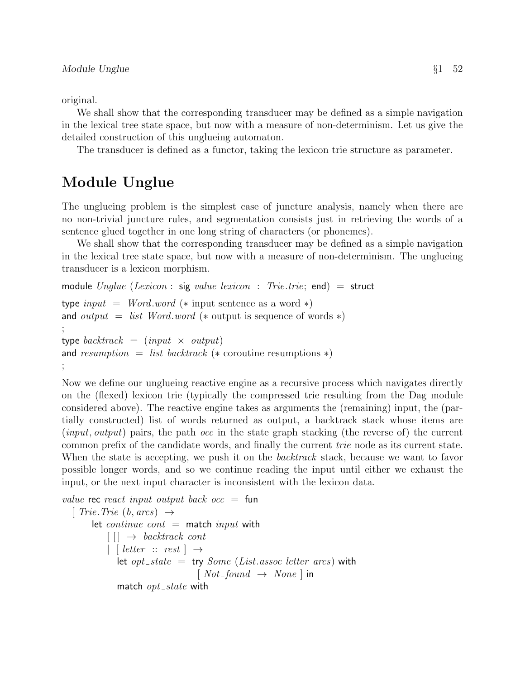original.

We shall show that the corresponding transducer may be defined as a simple navigation in the lexical tree state space, but now with a measure of non-determinism. Let us give the detailed construction of this unglueing automaton.

The transducer is defined as a functor, taking the lexicon trie structure as parameter.

## Module Unglue

The unglueing problem is the simplest case of juncture analysis, namely when there are no non-trivial juncture rules, and segmentation consists just in retrieving the words of a sentence glued together in one long string of characters (or phonemes).

We shall show that the corresponding transducer may be defined as a simple navigation in the lexical tree state space, but now with a measure of non-determinism. The unglueing transducer is a lexicon morphism.

```
module \text{Update} (Lexicon : sig value lexicon : Trie.trie; end) = struct
type input = Wordword (* input sentence as a word *)
and output = list Word.word (* output is sequence of words *)
;
type backtrack = (input \times output)
and resumption = list backtrack (* coroutine resumptions *);
```
Now we define our unglueing reactive engine as a recursive process which navigates directly on the (flexed) lexicon trie (typically the compressed trie resulting from the Dag module considered above). The reactive engine takes as arguments the (remaining) input, the (partially constructed) list of words returned as output, a backtrack stack whose items are (*input, output*) pairs, the path *occ* in the state graph stacking (the reverse of) the current common prefix of the candidate words, and finally the current trie node as its current state. When the state is accepting, we push it on the *backtrack* stack, because we want to favor possible longer words, and so we continue reading the input until either we exhaust the input, or the next input character is inconsistent with the lexicon data.

```
value rec react input output back occ = fun[ Trie. Trie (b, \text{arcs}) \rightarrowlet continue cont = match input with
            \lceil \cdot \rceil \rightarrow \text{backtrack cont}| [ letter :: rest \rightharpoonuplet opt_state = try Some (List.assoc letter arcs) with
                                      [Not\_found \rightarrow None] in
               match opt\_state with
```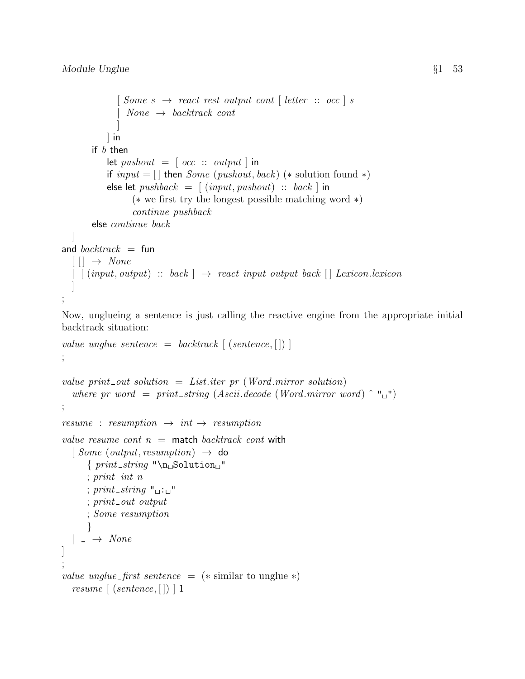```
\lceil Some \ s \rightarrow react \ rest \ output \ cont \ [letter \ :: \ occ \ ] \ sNone \rightarrow backtrack cont]
            ] in
        if b then
             let pushout = [occ :: output] in
             if input = [ then Some (pushout, back) (* solution found *)
             else let pushback = [(input, pushout) :: back] in
                    (∗ we first try the longest possible matching word ∗)
                    continue pushback
        else continue back
  \overline{\phantom{a}}and backtrack = fun[[] \rightarrow None| \left( \text{input}, \text{output} \right) :: \text{back} \left[ \rightarrow \text{react input output back} \right] Lexicon.lexicon
   ]
;
```
Now, unglueing a sentence is just calling the reactive engine from the appropriate initial backtrack situation:

```
value unglue sentence = backtrack \left[ (sentence, \left[ \right]) \right];
```

```
value print out solution = List.iter pr (Word.mirror solution)
  where pr word = print_string (Ascii.decode (Word.mirror word) \n\hat{ } "u");
resume : resumption \rightarrow int \rightarrow resumptionvalue resume cont n = match backtrack cont with
  [Some (output, resumption) \rightarrow do\{print\_string \"\n
      : print\_int n
      ; print_string "\Box"
      ; print\_out output
      ; Some resumption
      }
  |\rightarrow None]
;
value unglue_first sentence = (* \text{ similar to unglue } *)resume \left[ (sentence, [] \right) 1
```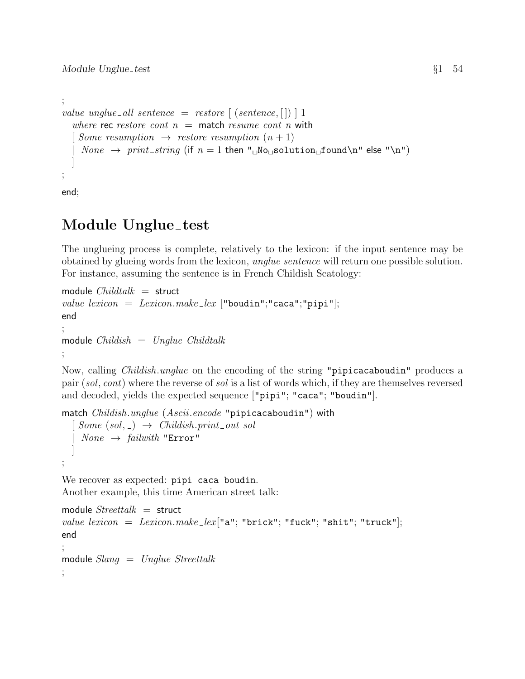```
;
value unglue all sentence = restore \left[ (sentence, \left[ \right]) \left[ \right] 1
   where rec restore cont n = match resume cont n with
   [ Some resumption \rightarrow restore resumption (n+1)]
     None \rightarrow print\_string (if n = 1 then "No_{\text{U}}\text{solution}_{\text{U}}\text{found}\n\cdot \text{else} "\n")
   ]
;
```
end;

# Module Unglue\_test

The unglueing process is complete, relatively to the lexicon: if the input sentence may be obtained by glueing words from the lexicon, unglue sentence will return one possible solution. For instance, assuming the sentence is in French Childish Scatology:

```
module Childtalk = struct
value lexicon = Lexicon.make_lex ["boudin";"caca";"pipi"];
end
;
module Childish = Unglue Childtalk;
```
Now, calling Childish.unglue on the encoding of the string "pipicacaboudin" produces a pair (sol, cont) where the reverse of sol is a list of words which, if they are themselves reversed and decoded, yields the expected sequence ["pipi"; "caca"; "boudin"].

```
match Childish.unglue (Ascii.encode "pipicacaboudin") with
  [Some (sol, ) \rightarrow Childish.print.out sol]None \rightarrow failureith "Error"
  ]
;
```
We recover as expected: pipi caca boudin. Another example, this time American street talk:

```
module Streettalk = structvalue lexicon = Lexicon.make_lex["a"; "brick"; "fuck"; "shit"; "truck"];
end
;
module Slang = Unglue Streettalk;
```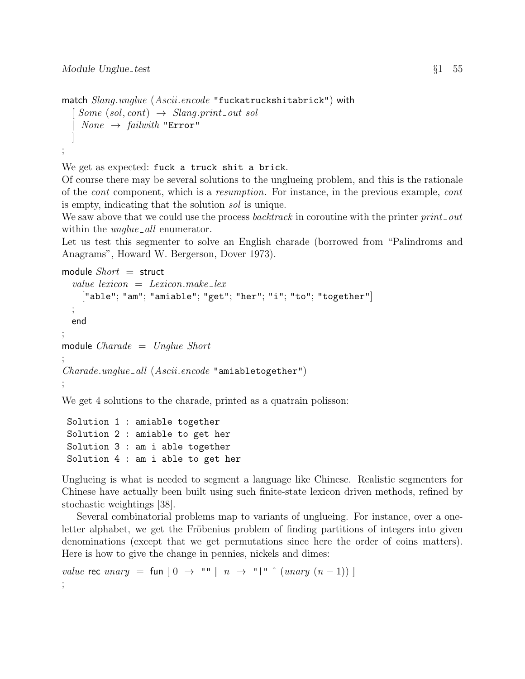```
match Slang.unglue (Ascii.encode "fuckatruckshitabrick") with
  [Some (sol, cont) \rightarrow Slang.print-out sol]| None \rightarrow \text{failure} "Error"
  ]
;
```
We get as expected: fuck a truck shit a brick.

Of course there may be several solutions to the unglueing problem, and this is the rationale of the cont component, which is a resumption. For instance, in the previous example, cont is empty, indicating that the solution sol is unique.

We saw above that we could use the process *backtrack* in coroutine with the printer  $print\_out$ within the *unglue* all enumerator.

Let us test this segmenter to solve an English charade (borrowed from "Palindroms and Anagrams", Howard W. Bergerson, Dover 1973).

```
module Short = structvalue lexicon = Lexicon.make_lex
    ["able"; "am"; "amiable"; "get"; "her"; "i"; "to"; "together"]
  ;
  end
;
module Charade = Unglue Short;
Charade.unglue\_all (Ascii. encode "amiabletogether");
```
We get 4 solutions to the charade, printed as a quatrain polisson:

```
Solution 1 : amiable together
Solution 2 : amiable to get her
Solution 3 : am i able together
Solution 4 : am i able to get her
```
Unglueing is what is needed to segment a language like Chinese. Realistic segmenters for Chinese have actually been built using such finite-state lexicon driven methods, refined by stochastic weightings [38].

Several combinatorial problems map to variants of unglueing. For instance, over a oneletter alphabet, we get the Fröbenius problem of finding partitions of integers into given denominations (except that we get permutations since here the order of coins matters). Here is how to give the change in pennies, nickels and dimes:

value rec unary = fun  $[0 \rightarrow$  ""  $| n \rightarrow$  " $|$ " ^  $(unary (n-1))$ ;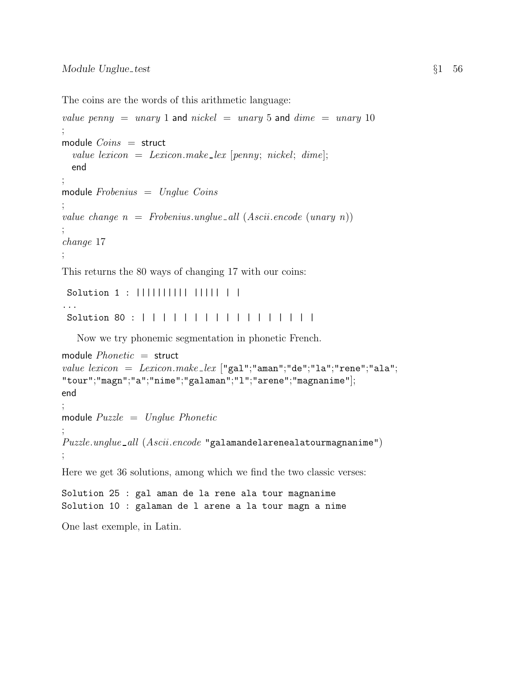The coins are the words of this arithmetic language:

```
value penny = unary 1 and nickel = unary 5 and dime = unary 10
;
module Coins = struct
  value lexicon = Lexicon.make_lex [penny; nickel; dime];end
;
module Frobenius = Unglue Coins;
value change n = Frobenius.\nundue \llbracket .\n    all \n    (Ascii.\nendie (unary n));
change 17
;
```
This returns the 80 ways of changing 17 with our coins:

```
Solution 1 : |||||||||| ||||| | |
...
Solution 80 : | | | | | | | | | | | | | | | | |
```
Now we try phonemic segmentation in phonetic French.

```
module Phonetic = struct
value lexicon = Lexicon.make_lex ["gal";"aman";"de";"l a";"rene";"al a";"tour";"magn";"a";"nime";"galaman";"l";"arene";"magnanime"];
end
;
module Puzzle = Update Phonetic;
Puzzle.update\_all (Ascii. encode "galamande1arenealatourmagnamine");
Here we get 36 solutions, among which we find the two classic verses:
Solution 25 : gal aman de la rene ala tour magnanime
Solution 10 : galaman de l arene a la tour magn a nime
```
One last exemple, in Latin.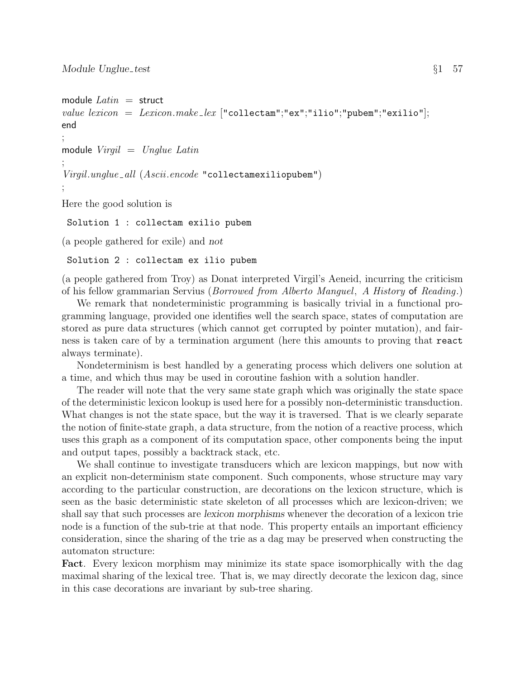```
module Latin = structvalue lexicon = Lexicon.make_lex ["\text{collectam";"ex";"ilio";"pubem";"exilio";end
;
module Virgil = Unglue Latin;
Virgil.unglue_all (Ascii.encode "collectamexiliopubem")
;
Here the good solution is
 Solution 1 : collectam exilio pubem
```
(a people gathered for exile) and not

Solution 2 : collectam ex ilio pubem

(a people gathered from Troy) as Donat interpreted Virgil's Aeneid, incurring the criticism of his fellow grammarian Servius (Borrowed from Alberto Manguel, A History of Reading.)

We remark that nondeterministic programming is basically trivial in a functional programming language, provided one identifies well the search space, states of computation are stored as pure data structures (which cannot get corrupted by pointer mutation), and fairness is taken care of by a termination argument (here this amounts to proving that react always terminate).

Nondeterminism is best handled by a generating process which delivers one solution at a time, and which thus may be used in coroutine fashion with a solution handler.

The reader will note that the very same state graph which was originally the state space of the deterministic lexicon lookup is used here for a possibly non-deterministic transduction. What changes is not the state space, but the way it is traversed. That is we clearly separate the notion of finite-state graph, a data structure, from the notion of a reactive process, which uses this graph as a component of its computation space, other components being the input and output tapes, possibly a backtrack stack, etc.

We shall continue to investigate transducers which are lexicon mappings, but now with an explicit non-determinism state component. Such components, whose structure may vary according to the particular construction, are decorations on the lexicon structure, which is seen as the basic deterministic state skeleton of all processes which are lexicon-driven; we shall say that such processes are lexicon morphisms whenever the decoration of a lexicon trie node is a function of the sub-trie at that node. This property entails an important efficiency consideration, since the sharing of the trie as a dag may be preserved when constructing the automaton structure:

Fact. Every lexicon morphism may minimize its state space isomorphically with the dag maximal sharing of the lexical tree. That is, we may directly decorate the lexicon dag, since in this case decorations are invariant by sub-tree sharing.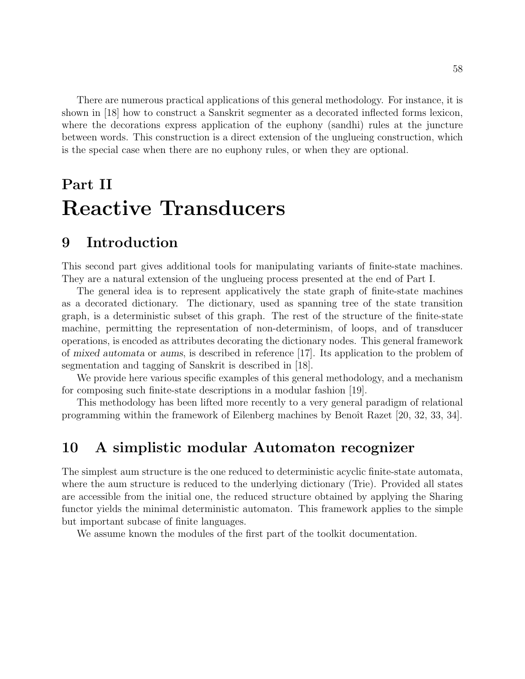There are numerous practical applications of this general methodology. For instance, it is shown in [18] how to construct a Sanskrit segmenter as a decorated inflected forms lexicon, where the decorations express application of the euphony (sandhi) rules at the juncture between words. This construction is a direct extension of the unglueing construction, which is the special case when there are no euphony rules, or when they are optional.

# Part II Reactive Transducers

## 9 Introduction

This second part gives additional tools for manipulating variants of finite-state machines. They are a natural extension of the unglueing process presented at the end of Part I.

The general idea is to represent applicatively the state graph of finite-state machines as a decorated dictionary. The dictionary, used as spanning tree of the state transition graph, is a deterministic subset of this graph. The rest of the structure of the finite-state machine, permitting the representation of non-determinism, of loops, and of transducer operations, is encoded as attributes decorating the dictionary nodes. This general framework of mixed automata or aums, is described in reference [17]. Its application to the problem of segmentation and tagging of Sanskrit is described in [18].

We provide here various specific examples of this general methodology, and a mechanism for composing such finite-state descriptions in a modular fashion [19].

This methodology has been lifted more recently to a very general paradigm of relational programming within the framework of Eilenberg machines by Benoît Razet [20, 32, 33, 34].

## 10 A simplistic modular Automaton recognizer

The simplest aum structure is the one reduced to deterministic acyclic finite-state automata, where the aum structure is reduced to the underlying dictionary (Trie). Provided all states are accessible from the initial one, the reduced structure obtained by applying the Sharing functor yields the minimal deterministic automaton. This framework applies to the simple but important subcase of finite languages.

We assume known the modules of the first part of the toolkit documentation.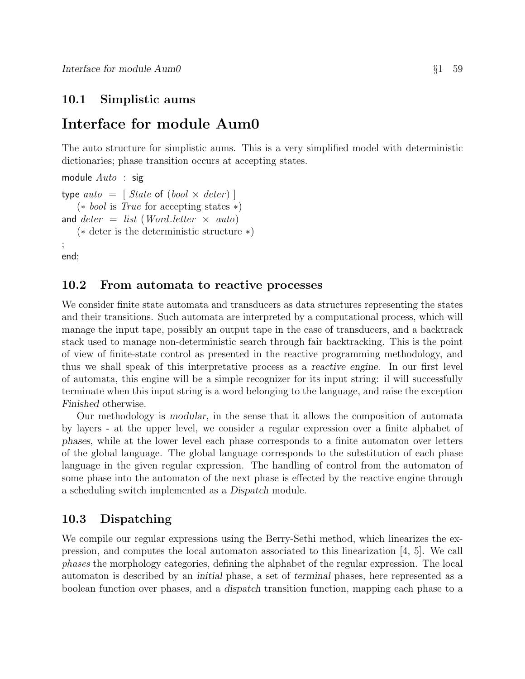## 10.1 Simplistic aums

## Interface for module Aum0

The auto structure for simplistic aums. This is a very simplified model with deterministic dictionaries; phase transition occurs at accepting states.

```
module Auto : sigtype auto = [ State of (bool \times deter)]
   (∗ bool is True for accepting states ∗)
and deter = list (Word. letter \times auto)(∗ deter is the deterministic structure ∗)
;
end;
```
### 10.2 From automata to reactive processes

We consider finite state automata and transducers as data structures representing the states and their transitions. Such automata are interpreted by a computational process, which will manage the input tape, possibly an output tape in the case of transducers, and a backtrack stack used to manage non-deterministic search through fair backtracking. This is the point of view of finite-state control as presented in the reactive programming methodology, and thus we shall speak of this interpretative process as a reactive engine. In our first level of automata, this engine will be a simple recognizer for its input string: il will successfully terminate when this input string is a word belonging to the language, and raise the exception Finished otherwise.

Our methodology is modular, in the sense that it allows the composition of automata by layers - at the upper level, we consider a regular expression over a finite alphabet of phases, while at the lower level each phase corresponds to a finite automaton over letters of the global language. The global language corresponds to the substitution of each phase language in the given regular expression. The handling of control from the automaton of some phase into the automaton of the next phase is effected by the reactive engine through a scheduling switch implemented as a Dispatch module.

### 10.3 Dispatching

We compile our regular expressions using the Berry-Sethi method, which linearizes the expression, and computes the local automaton associated to this linearization [4, 5]. We call phases the morphology categories, defining the alphabet of the regular expression. The local automaton is described by an initial phase, a set of terminal phases, here represented as a boolean function over phases, and a dispatch transition function, mapping each phase to a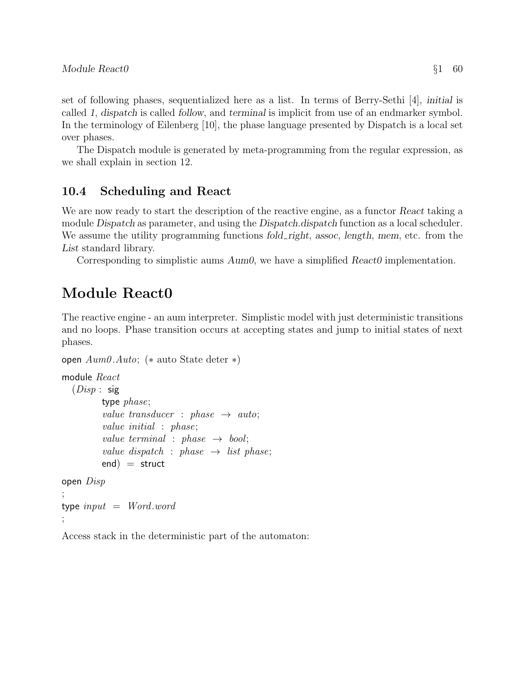set of following phases, sequentialized here as a list. In terms of Berry-Sethi [4], initial is called 1, dispatch is called follow, and terminal is implicit from use of an endmarker symbol. In the terminology of Eilenberg [10], the phase language presented by Dispatch is a local set over phases.

The Dispatch module is generated by meta-programming from the regular expression, as we shall explain in section 12.

## 10.4 Scheduling and React

We are now ready to start the description of the reactive engine, as a functor React taking a module Dispatch as parameter, and using the Dispatch.dispatch function as a local scheduler. We assume the utility programming functions fold right, assoc, length, mem, etc. from the List standard library.

Corresponding to simplistic aums  $Aum0$ , we have a simplified  $Reach0$  implementation.

# Module React0

The reactive engine - an aum interpreter. Simplistic model with just deterministic transitions and no loops. Phase transition occurs at accepting states and jump to initial states of next phases.

```
open Aum0 .Auto; (∗ auto State deter ∗)
module React
  (Disp : sig)type phase;
         value transducer : phase \rightarrow auto;
         value initial : phase;
         value terminal : phase \rightarrow bool;
         value dispatch : phase \rightarrow list phase;
         end = struct
open Disp
;
type input = Wordword;
```
Access stack in the deterministic part of the automaton: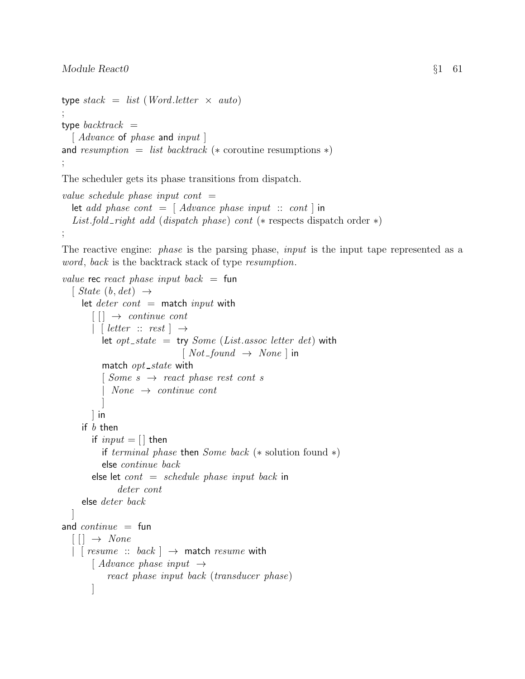```
type stack = list (Word.letter \times auto)
;
type backtrack =[Advance of phase and input ]
and resumption = list backtrack (* coroutine resumptions *);
```
The scheduler gets its phase transitions from dispatch.

```
value schedule phase input cont =let add phase cont = [ Advance phase input :: cont ] in
  List.fold_right add (dispatch phase) cont (\ast respects dispatch order \ast)
;
```
The reactive engine: *phase* is the parsing phase, *input* is the input tape represented as a word, back is the backtrack stack of type resumption.

```
value rec react phase input back = fun
  \lceil State (b, det) \rightarrowlet deter\ cont = match input with
        \lceil \cdot \rceil \rightarrow \text{continue cont}| letter :: rest \rightarrowlet opt_state = try Some (List.assoc letter det) with
                                 [Not\_found \rightarrow None] in
           match opt\_state with
           \lceil Some \ s \rightarrow react \ phase \ rest \ cont \ sNone \rightarrow continue cont]
        ] in
     if b then
        if input = [] then
           if terminal phase then Some back (* solution found *)
           else continue back
        else let cont = schedule phase input back in
               deter cont
     else deter back
  ]
and continue = fun\lceil \lceil \cdot \rceil \rightarrow \text{None}| [ resume :: back ] \rightarrow match resume with
        \mid Advance phase input \rightarrowreact phase input back (transducer phase)
        ]
```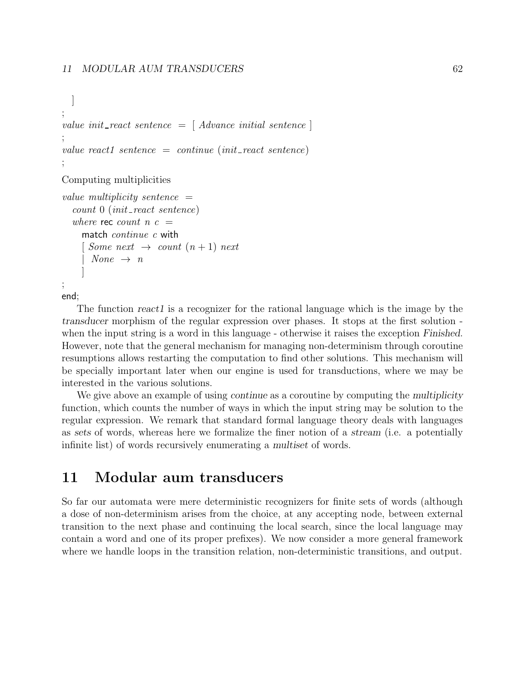```
]
;
value init_react sentence = [ Advance initial sentence ]
;
value react1 sentence = continue (init_react sentence)
;
```
Computing multiplicities

```
value multiplicity sentence =count\ 0\ (init\_react\ sentence)where rec count n c =match continue c with
     \lceil Some next \rightarrow count (n+1) next
       None \rightarrow n]
;
```
end;

The function react1 is a recognizer for the rational language which is the image by the transducer morphism of the regular expression over phases. It stops at the first solution when the input string is a word in this language - otherwise it raises the exception Finished. However, note that the general mechanism for managing non-determinism through coroutine resumptions allows restarting the computation to find other solutions. This mechanism will be specially important later when our engine is used for transductions, where we may be interested in the various solutions.

We give above an example of using *continue* as a coroutine by computing the *multiplicity* function, which counts the number of ways in which the input string may be solution to the regular expression. We remark that standard formal language theory deals with languages as sets of words, whereas here we formalize the finer notion of a stream (i.e. a potentially infinite list) of words recursively enumerating a multiset of words.

## 11 Modular aum transducers

So far our automata were mere deterministic recognizers for finite sets of words (although a dose of non-determinism arises from the choice, at any accepting node, between external transition to the next phase and continuing the local search, since the local language may contain a word and one of its proper prefixes). We now consider a more general framework where we handle loops in the transition relation, non-deterministic transitions, and output.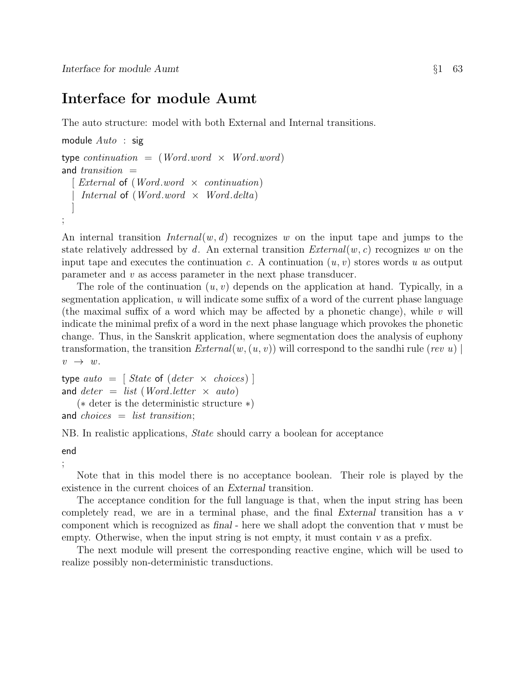# Interface for module Aumt

The auto structure: model with both External and Internal transitions.

```
module Auto : sig
type continuation = (Word.word \times Word.word)
and transition =[ External of (Word.word \times continuation)Internal of (Word.word \times Word.delta)]
;
```
An internal transition  $Internal(w, d)$  recognizes w on the input tape and jumps to the state relatively addressed by d. An external transition  $External(w, c)$  recognizes w on the input tape and executes the continuation c. A continuation  $(u, v)$  stores words u as output parameter and v as access parameter in the next phase transducer.

The role of the continuation  $(u, v)$  depends on the application at hand. Typically, in a segmentation application,  $u$  will indicate some suffix of a word of the current phase language (the maximal suffix of a word which may be affected by a phonetic change), while  $v$  will indicate the minimal prefix of a word in the next phase language which provokes the phonetic change. Thus, in the Sanskrit application, where segmentation does the analysis of euphony transformation, the transition  $External(w,(u, v))$  will correspond to the sandhi rule (rev u)  $v \rightarrow w.$ 

```
type auto = [ State of (deter \times choices)]
and deter = list (Word. letter \times auto)(∗ deter is the deterministic structure ∗)
and choices = list transition:
```
NB. In realistic applications, State should carry a boolean for acceptance

end

;

Note that in this model there is no acceptance boolean. Their role is played by the existence in the current choices of an External transition.

The acceptance condition for the full language is that, when the input string has been completely read, we are in a terminal phase, and the final External transition has a v component which is recognized as final - here we shall adopt the convention that v must be empty. Otherwise, when the input string is not empty, it must contain v as a prefix.

The next module will present the corresponding reactive engine, which will be used to realize possibly non-deterministic transductions.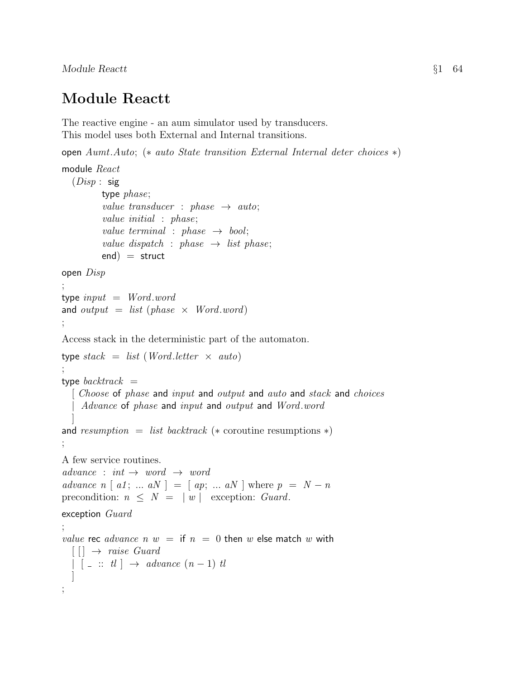# Module Reactt

The reactive engine - an aum simulator used by transducers. This model uses both External and Internal transitions.

open Aumt.Auto; (∗ auto State transition External Internal deter choices ∗)

```
module React
  (Disp : sig)type phase;
           value transducer : phase \rightarrow auto;
           value initial : phase;
           value terminal : phase \rightarrow bool;
           value dispatch : phase \rightarrow list phase;
           end = struct
open Disp
;
type input = Word-wordand output = list (phase \times Word.word)
;
Access stack in the deterministic part of the automaton.
type stack = list (Word.letter \times auto)
;
type backtrack =\int Choose of phase and input and output and auto and stack and choices
   | Advance of phase and input and output and Word.word
   ]
and resumption = list backtrack (* coroutine resumptions *);
A few service routines.
advance : int \rightarrow word \rightarrow wordadvance n \mid a1; \ldots aN \mid = \mid ap; \ldots aN \mid where p = N - nprecondition: n \leq N = |w| exception: Guard.
exception Guard
;
value rec advance n w = if n = 0 then w else match w with
  \lceil \cdot \rceil \rightarrow \text{raise } Guard\begin{bmatrix} \begin{bmatrix} \end{bmatrix} & \cdots & \begin{bmatrix} t \end{bmatrix} \end{bmatrix} \rightarrow \text{advance } (n-1) \text{ } tl]
;
```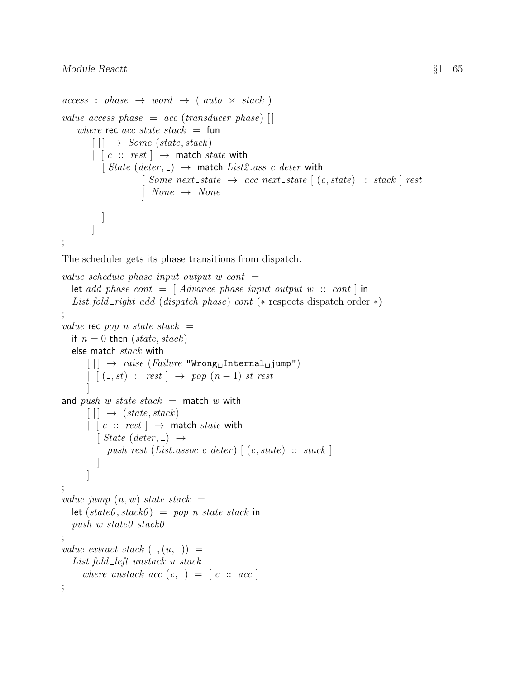```
access : phase \rightarrow word \rightarrow (auto \times stack)value access phase = acc (transducer phase) []
    where rec acc state stack = fun
         \lceil \cdot \rceil \rightarrow Some (state, stack)\vert \cdot \vert c \ :: \ rest \vert \rightarrow match state with
            [ State (deter, \Box) \rightarrow match List2.ass c deter with
                        \lceil Some next_state \rightarrow acc next_state \lceil (c, state) :: stack \lceil rest
                          None \rightarrow None]
           ]
         ]
;
```
The scheduler gets its phase transitions from dispatch.

```
value schedule phase input output w cont =let add phase cont = [ Advance phase input output w :: cont ] in
   List.fold_right add (dispatch phase) cont (\ast respects dispatch order \ast)
;
value rec pop n state stack =if n = 0 then (state, stack)
   else match stack with
       \text{[} \text{ } \text{]} \rightarrow \text{ raise } (\text{failure } \text{ "Wrong}\_\text{L} \text{Internal}\_\text{L} \text{jump")}\left| \begin{array}{c} [(-, st) \ :: \ rest \end{array} \right| \rightarrow pop (n-1) \ st \ rest]
and push w state stack = match w with
       \lceil \cdot \rceil \rightarrow (state, stack)| [c \ :: \ rest] \rightarrow match state with
          \lceil State (deter, \lceil) \rightarrowpush rest (List.assoc c deter) \lceil (c, state) :: stack \rceil]
       ]
;
value jump (n, w) state stack =let (state0, stack0) = pop n state stack inpush w state0 stack0
;
value extract stack (,(u, )) =
   List.fold_left unstack u stack
      where unstack acc (c, z) = [c :: acc];
```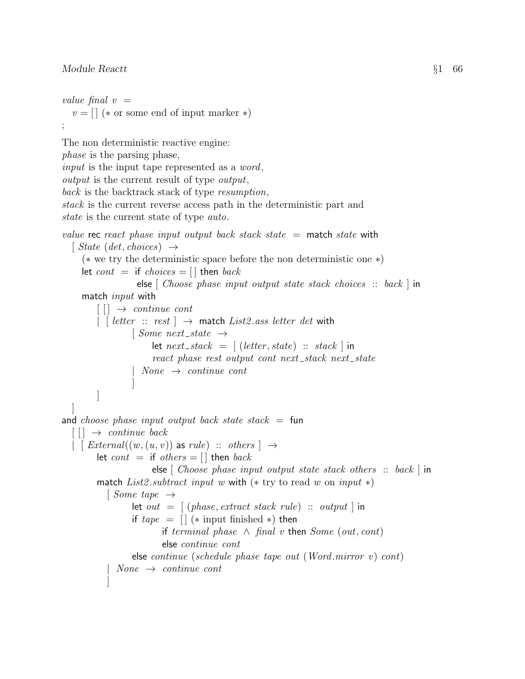### Module React  $\{1 \}$  66

value final  $v =$ 

```
v = [ ] (* or some end of input marker *)
;
The non deterministic reactive engine:
phase is the parsing phase,
input is the input tape represented as a word,
output is the current result of type output,
back is the backtrack stack of type resumption,
stack is the current reverse access path in the deterministic part and
state is the current state of type auto.
value rec react phase input output back stack state = match state with
  \lceil State (det, choices) \rightarrow(∗ we try the deterministic space before the non deterministic one ∗)
     let cont = if choices = \Box then back
                   else \lceil Choose phase input output state stack choices :: back \lceil in
     match input with
         \lceil \cdot \rceil \rightarrow \text{continue cont}| [ letter :: rest \rceil \rightarrow match List2 ass letter det with
                  \lceil Some next_state \rightarrowlet next\_stack = [(letter, state) :: stack]react phase rest output cont next_stack next_state
                  | None \rightarrow continue cont
                  ]
         ]
  ]
and choose phase input output back state stack = fun
  \begin{bmatrix} \end{bmatrix} \rightarrow continue back
  | [ External((w, (u, v)) as rule) :: others ] \rightarrowlet cont = if others = [] then backelse \lceil Choose phase input output state stack others \therefore back \lceil in
        match List2.subtract input w with (* try to read w on input *)
           \lceil Some tape \rightarrowlet out = [ (phase, extract stack rule) :: output | in
                  if \text{tape} = [] (* input finished *) then
                         if terminal phase \land final v then Some (out, cont)
                         else continue cont
                  else continue (schedule phase tape out (Word.mirror v) cont)
             None \rightarrow continue cont]
```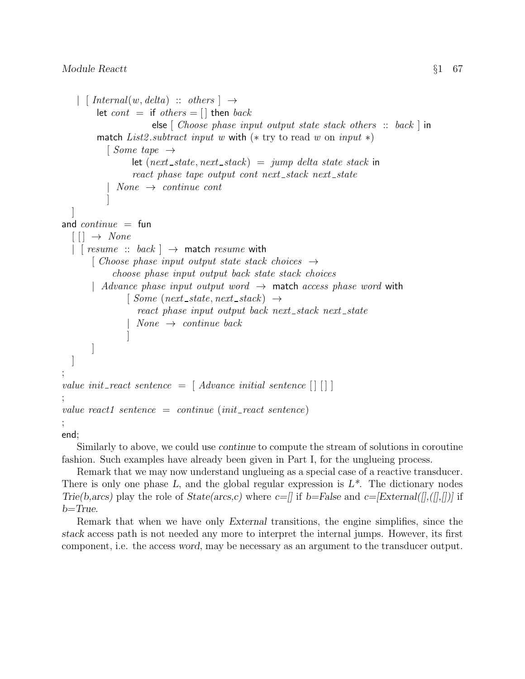```
| [ Internal(w, delta) :: others ] \rightarrowlet cont = if others = [] then backelse \lceil Choose phase input output state stack others \therefore back \lceil in
        match List2.subtract input w with (* try to read w on input *)\lceil Some tape \rightarrowlet (next\_state, next\_stack) = jump delta state stack in
                  react phase tape output cont next_stack next_state
             None \rightarrow continue cont]
  ]
and continue = fun[[] \rightarrow None| [ resume :: back ] \rightarrow match resume with
       [ Choose phase input output state stack choices \rightarrowchoose phase input output back state stack choices
       | Advance phase input output word \rightarrow match access phase word with
                [Some (next-state, next-state) \rightarrowreact phase input output back next_stack next_state
                  None \rightarrow continue \, back]
       ]
  ]
;
value init_react sentence = \lceil Advance initial sentence \lceil \rceil \rceil;
value react1 sentence = continue (init_react sentence)
;
```
end;

Similarly to above, we could use continue to compute the stream of solutions in coroutine fashion. Such examples have already been given in Part I, for the unglueing process.

Remark that we may now understand unglueing as a special case of a reactive transducer. There is only one phase  $L$ , and the global regular expression is  $L^*$ . The dictionary nodes Trie(b,arcs) play the role of State(arcs,c) where  $c=\ell$  if b=False and  $c=[External(\ell],(\ell],\ell])$  if  $b = True$ .

Remark that when we have only External transitions, the engine simplifies, since the stack access path is not needed any more to interpret the internal jumps. However, its first component, i.e. the access word, may be necessary as an argument to the transducer output.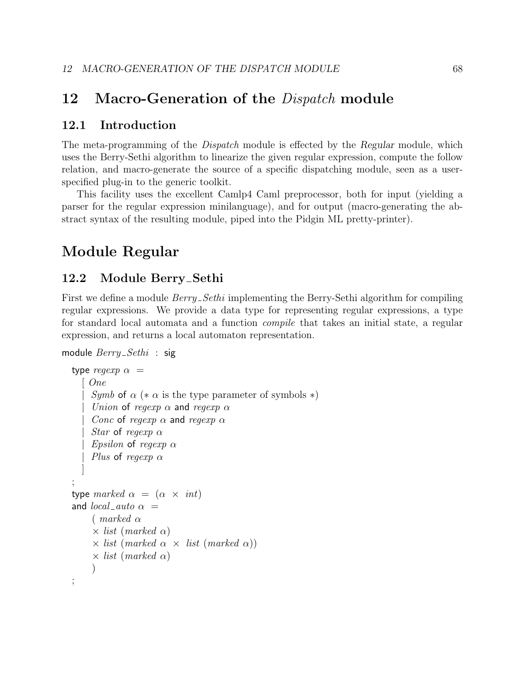## 12 Macro-Generation of the *Dispatch* module

### 12.1 Introduction

The meta-programming of the *Dispatch* module is effected by the Regular module, which uses the Berry-Sethi algorithm to linearize the given regular expression, compute the follow relation, and macro-generate the source of a specific dispatching module, seen as a userspecified plug-in to the generic toolkit.

This facility uses the excellent Camlp4 Caml preprocessor, both for input (yielding a parser for the regular expression minilanguage), and for output (macro-generating the abstract syntax of the resulting module, piped into the Pidgin ML pretty-printer).

# Module Regular

### 12.2 Module Berry\_Sethi

First we define a module  $Berry\_Sethi$  implementing the Berry-Sethi algorithm for compiling regular expressions. We provide a data type for representing regular expressions, a type for standard local automata and a function compile that takes an initial state, a regular expression, and returns a local automaton representation.

```
module \textit{Berry}\_Sethi : sig
```

```
type regexp \alpha =[ One
     Symb of \alpha (* \alpha is the type parameter of symbols *)
     Union of regexp \alpha and regexp \alphaConc of regexp \alpha and regexp \alphaStar of regexp \alphaEpsilon of regexp \alphaPlus of regexp \alpha]
;
type marked \alpha = (\alpha \times int)and local_auto \alpha =(marked \alpha)\times list (marked \alpha)
      \times list (marked \alpha \times list (marked \alpha))
      \times list (marked \alpha)
     \lambda;
```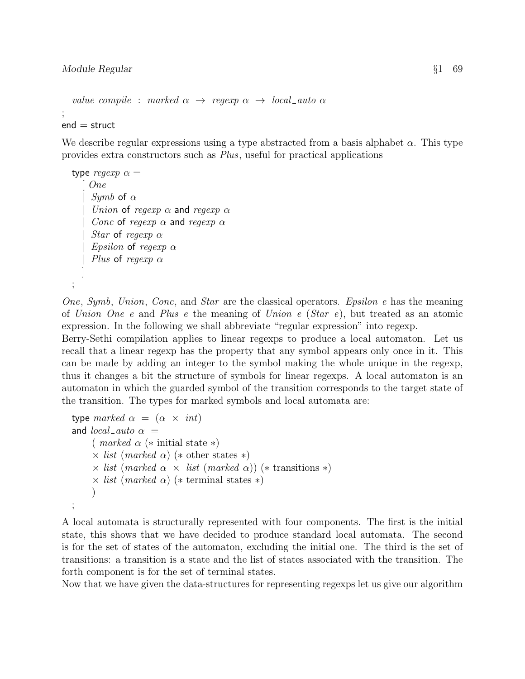```
value compile : marked \alpha \rightarrow regexp \alpha \rightarrow local_auto \alpha;
end =struct
```
We describe regular expressions using a type abstracted from a basis alphabet  $\alpha$ . This type provides extra constructors such as Plus, useful for practical applications

```
type regexp \alpha =\int OneSymb of \alphaUnion of regexp \alpha and regexp \alphaConc of regexp \alpha and regexp \alphaStar of regexp \alphaEpsilon of regexp \alphaPlus of regexp \alpha]
;
```
One, Symb, Union, Conc, and Star are the classical operators. Epsilon e has the meaning of Union One e and Plus e the meaning of Union e  $(Star e)$ , but treated as an atomic expression. In the following we shall abbreviate "regular expression" into regexp.

Berry-Sethi compilation applies to linear regexps to produce a local automaton. Let us recall that a linear regexp has the property that any symbol appears only once in it. This can be made by adding an integer to the symbol making the whole unique in the regexp, thus it changes a bit the structure of symbols for linear regexps. A local automaton is an automaton in which the guarded symbol of the transition corresponds to the target state of the transition. The types for marked symbols and local automata are:

```
type marked \alpha = (\alpha \times int)and local_auto \alpha =( marked \alpha (* initial state *)
      \times list (marked \alpha) (* other states *)
      \times list (marked \alpha \times list (marked \alpha)) (* transitions *)
      \times list (marked \alpha) (* terminal states *)
      )
;
```
A local automata is structurally represented with four components. The first is the initial state, this shows that we have decided to produce standard local automata. The second is for the set of states of the automaton, excluding the initial one. The third is the set of transitions: a transition is a state and the list of states associated with the transition. The forth component is for the set of terminal states.

Now that we have given the data-structures for representing regexps let us give our algorithm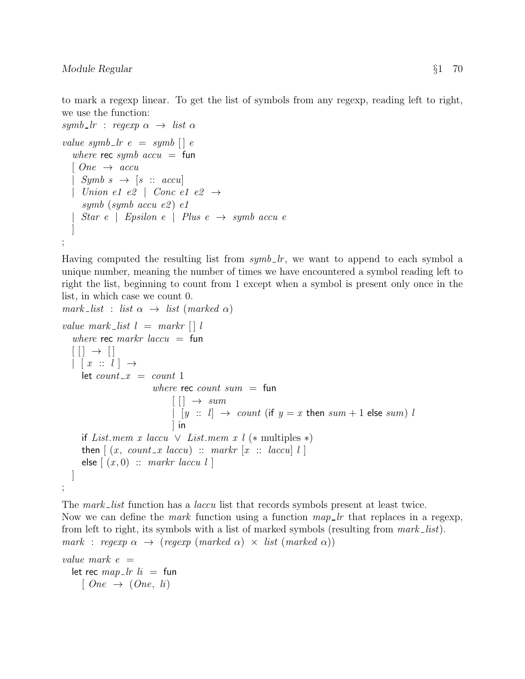to mark a regexp linear. To get the list of symbols from any regexp, reading left to right, we use the function:

```
symb_lr : regexp \alpha \rightarrow list \alphavalue symb \lfloor r e \rfloor = symb \lfloor r e \rfloorwhere rec symb accu = fun
  [One \rightarrow accu| Symb s \rightarrow [s :: accu]| Union e1 e2 | Conc e1 e2 \rightarrowsymb (symb accu e2) e1
  | Star e | Epsilon e | Plus e \rightarrow symb accu e
   ]
;
```
Having computed the resulting list from  $symb\_lr$ , we want to append to each symbol a unique number, meaning the number of times we have encountered a symbol reading left to right the list, beginning to count from 1 except when a symbol is present only once in the list, in which case we count 0.

```
mark_list : list \alpha \rightarrow list (marked \alpha)
value mark_list l = mark[i]where rec markr laccu = fun
   [ [ ] \rightarrow [ ]| x :: l | \rightarrowlet count_x = count_1where rec count sum = fun
                                  \lceil \lceil \cdot \rceil \rightarrow \text{sum}| [y :: l] \rightarrow count (if y = x then sum + 1 else sum) l
                                  \vert in
      if List.mem x laccu \vee List.mem x l (* multiples *)
      then \left[ (x, count\_x \text{ } laccu) \ :: \text{ } markr \ [x \ :: \text{ } laccu] \ l \ \right]else \lceil (x, 0) \rangle: markr laccu l \lceil]
;
```
The mark list function has a laccu list that records symbols present at least twice. Now we can define the *mark* function using a function  $map\_lr$  that replaces in a regexp, from left to right, its symbols with a list of marked symbols (resulting from  $mark\_list$ ). mark : regexp  $\alpha \rightarrow (regexp (marked \alpha) \times list (marked \alpha))$ 

```
value mark e =let rec map\_lr li = fun
    [One \rightarrow (One, li)
```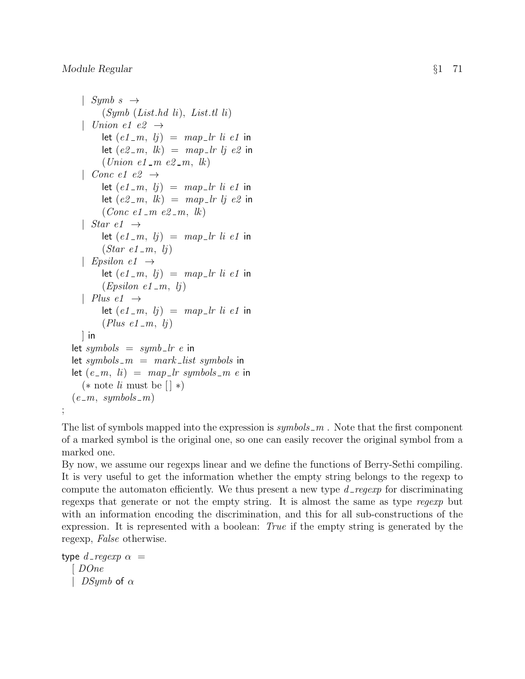```
| Symbs \rightarrow(Symb (List.hd \, li), List.tl \, li)| Union e1 e2 \rightarrowlet (e1_m, l_i) = map\_lr li e1 in
       let (e2-m, lk) = map\_lr \, lj \, e2 in
        (Union e1 m e2 m, lk)
  | Conc e1 e2 \rightarrowlet (e1_m, l_j) = map\_lr li e1 in
        let (e2-m, lk) = map\_lr \, lj \, e2 in
        (Conc e1 m e2 m, lk)
   | Star e1 \rightarrowlet (e1_m, l_j) = map\_lr li e1 in
        (Star \ e1_m, lj)| Epsilon e1 \rightarrowlet (e1_m, l_j) = map\_lr li e1 in
        (Epsiloned - m, l<sub>j</sub>)| Plus e1 \rightarrowlet (e1_m, l_j) = map\_lr li e1 in
        (Plus \ e1_m, lj)\vert in
let symbols = symb<sub>-</sub>lr e in
let symbols m = mark\_list symbols in
let (e_{-}m, h) = map_{-}lr symbols - m e in
  (* note li must be \lceil *)
(e_{-}m, \; symbols_{-}m)
```
The list of symbols mapped into the expression is  $\mathit{symbols}$  m. Note that the first component of a marked symbol is the original one, so one can easily recover the original symbol from a marked one.

By now, we assume our regexps linear and we define the functions of Berry-Sethi compiling. It is very useful to get the information whether the empty string belongs to the regexp to compute the automaton efficiently. We thus present a new type  $d$ -regexp for discriminating regexps that generate or not the empty string. It is almost the same as type regexp but with an information encoding the discrimination, and this for all sub-constructions of the expression. It is represented with a boolean: True if the empty string is generated by the regexp, False otherwise.

```
type d regexp \alpha =
   \mid DO<sub>ne</sub>
   | DSymb of \alpha
```
;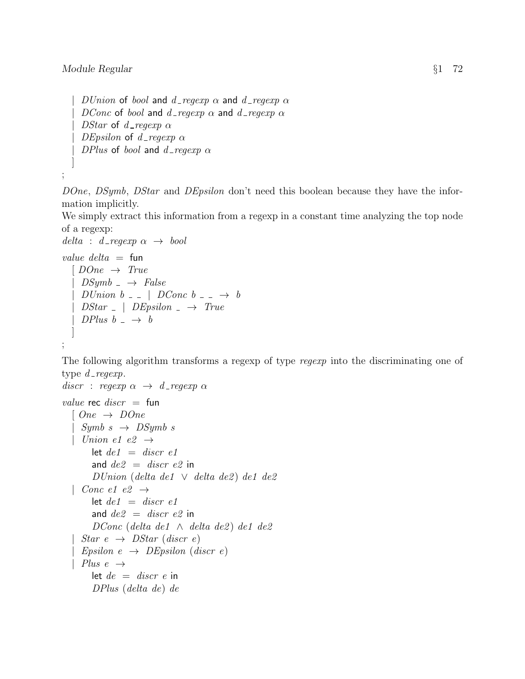] ;

 $D Union$  of bool and d\_regexp  $\alpha$  and d\_regexp  $\alpha$ DConc of bool and d\_regexp  $\alpha$  and d\_regexp  $\alpha$ | DStar of d\_regexp  $\alpha$ | DEpsilon of d\_regexp  $\alpha$ | DPlus of bool and  $d$ -regexp  $\alpha$ 

DOne, DSymb, DStar and DEpsilon don't need this boolean because they have the information implicitly.

We simply extract this information from a regexp in a constant time analyzing the top node of a regexp:

```
delta : d_regexp \alpha \rightarrow \text{bool}
```

```
value delta = fun
  [ DOne \rightarrow True
    DSymb \rightarrow False| D Union \ b = \ \ | \ \ DConc \ b = \ \ \rightarrow \ b| DStar = | DEpsilon = \rightarrow True| DPlus b \rightarrow b]
;
```
The following algorithm transforms a regexp of type *regexp* into the discriminating one of type  $d$  regexp.

```
discr : regexp \alpha \rightarrow d regexp \alphavalue rec discr = fun
  [One \rightarrow DoneSymb \, s \rightarrow \, DSymb \, s| Union e1 e2 \rightarrowlet de1 = discr e1and de2 = discr e2 in
       DUnion (delta de1 \vee delta de2) de1 de2
  | Conc e1 e2 \rightarrowlet de1 = discr e1and de2 = discr e2 in
       DConc (delta de1 \wedge delta de2) de1 de2
   Star\ e\ \rightarrow\ DStar\ (discr\ e)| Epsilon e \rightarrow DEpsilon (discr e)
  | Plus e \rightarrowlet de = discr e in
       DPlus (delta de) de
```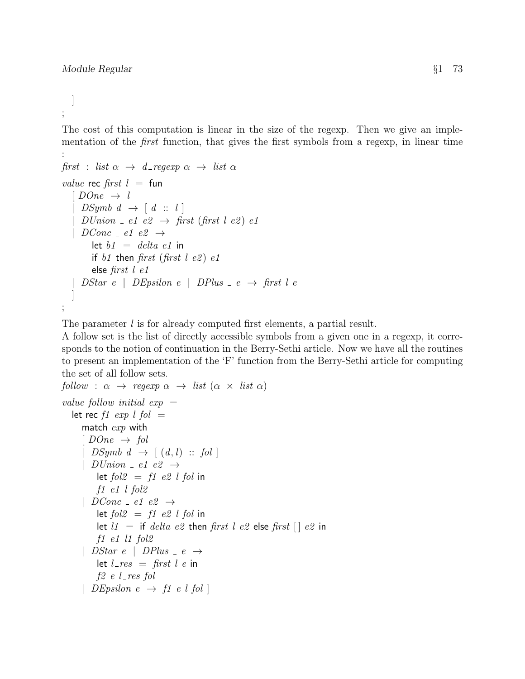] ;

The cost of this computation is linear in the size of the regexp. Then we give an implementation of the first function, that gives the first symbols from a regexp, in linear time :

```
first : list \alpha \rightarrow d-regexp \alpha \rightarrow list \alphavalue rec first l = \text{fun}[ DOne \rightarrow l
     DSymb \, d \rightarrow [d :: l]| DUnion \angle e1 e2 \rightarrow first (first l e2) e1
   | DConc = e1 e2 \rightarrowlet b1 = delta e1 in
        if b1 then first (first l e2) e1
        else first l e1
  | DStar e | DEpsilon e | DPlus -e \rightarrow first l e
   ]
;
```
The parameter l is for already computed first elements, a partial result.

A follow set is the list of directly accessible symbols from a given one in a regexp, it corresponds to the notion of continuation in the Berry-Sethi article. Now we have all the routines to present an implementation of the 'F' function from the Berry-Sethi article for computing the set of all follow sets.

```
follow : \alpha \rightarrow \text{regexp } \alpha \rightarrow \text{list } (\alpha \times \text{list } \alpha)value follow initial exp =let rec f1 exp l fol =match exp with
      [ DOne \rightarrow fol
      | DSymb d \rightarrow [(d, l) :: fol]| D Union = e1 e2 \rightarrowlet fol2 = fl e2 l fol in
          f1 e1 l fol2
      | DConc = e1 e2 \rightarrowlet fol2 = fl e2 l fol in
          let l1 = if delta e2 then first l e2 else first \lceil \cdot \rceil e2 in
          f1 e1 l1 fol2
      | DStar e | DPlus -e \rightarrowlet l_{\text{res}} = \text{first } l \text{ e in}f2 e l-res fol
      | DEpsilon e \rightarrow f1 \ e \ l \ fol
```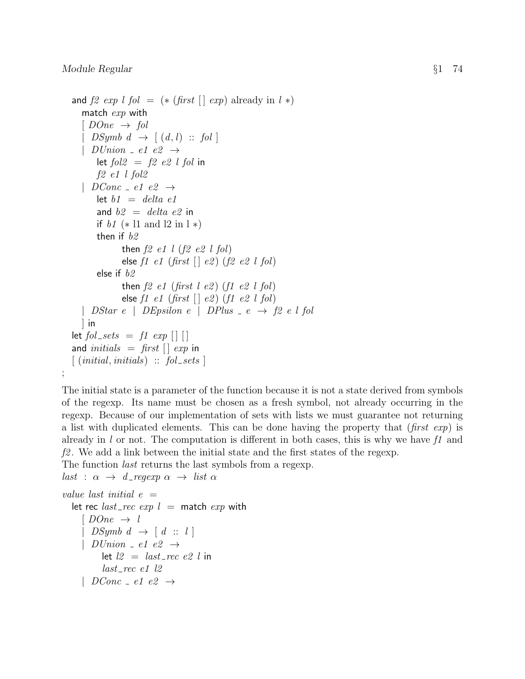;

```
and f2 \exp l fol = (* (first \lceil \cdot \exp \rceil already in l \cdot \mathbf{\hat{x}})
   match exp with
   [ DOne \rightarrow fol
     DSymb \, d \rightarrow [(d, l) \ :: \ fol \, || D Union \_ e1 \ e2 \rightarrowlet fol2 = f2 e2 l fol in
       f2 e1 l fol2
   | DConc = e1 e2 \rightarrowlet b1 = delta e1
       and b2 = delta e2 in
       if b1 (* l1 and l2 in l *)
       then if b2then f2 e1 l (f2 e2 l fol)else f1 e1 (first \lceil \cdot \rceil e2) (f2 e2 l fol)
       else if b2then f2 e1 (first l e2) (f1 e2 l fol)
                else f1 e1 (first \lceil \cdot \rceil e2) (f1 e2 l fol)
   | DStar e | DEpsilon e | DPlus -e \rightarrow f2 e l fol
  ] in
let fol_sets = f1 exp \{ | \}and initials = first \left[ \begin{array}{cc} e^{i\pi} & e^{-i\pi} \\ e^{i\pi} & e^{-i\pi} \end{array} \right]\lceil (initial, initials) \therefore fol sets \lceil
```
The initial state is a parameter of the function because it is not a state derived from symbols of the regexp. Its name must be chosen as a fresh symbol, not already occurring in the regexp. Because of our implementation of sets with lists we must guarantee not returning a list with duplicated elements. This can be done having the property that  $(first \; exp)$  is already in l or not. The computation is different in both cases, this is why we have  $f_1$  and  $f2$ . We add a link between the initial state and the first states of the regexp.

The function *last* returns the last symbols from a regexp.

 $last : \alpha \rightarrow d_{\text{-}}reqexp \alpha \rightarrow list \alpha$ 

```
value last initial e =let rec last_rec exp l = match exp with
     [ DOne \rightarrow l
      DSymb \, d \rightarrow [d :: l]D Union \_el \ e2 \rightarrowlet l2 = last\_rec e2 l in
          last\_rec e1 l2| DConc = e1 e2 \rightarrow
```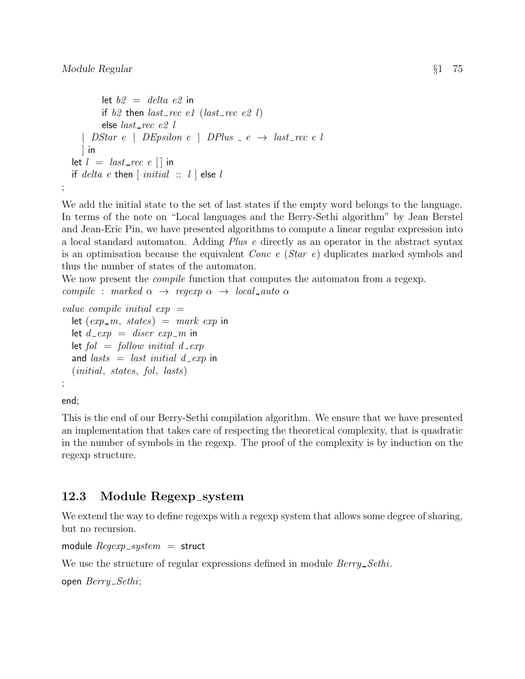```
let b2 = delta e2 in
        if b2 then last\_rec e1 (last\_rec e2 l)
        else last\_rec e2 l| DStar e | DEpsilon e | DPlus -e \rightarrow last\_rec \ e \ l] in
let l = last\_rec \ e \ [ \ ] in
if delta e then \left[ initial :: l \right] else l
```
We add the initial state to the set of last states if the empty word belongs to the language. In terms of the note on "Local languages and the Berry-Sethi algorithm" by Jean Berstel and Jean-Eric Pin, we have presented algorithms to compute a linear regular expression into a local standard automaton. Adding Plus e directly as an operator in the abstract syntax is an optimisation because the equivalent Conc e (Star e) duplicates marked symbols and thus the number of states of the automaton.

We now present the *compile* function that computes the automaton from a regexp. compile : marked  $\alpha \rightarrow$  regexp  $\alpha \rightarrow local_auto \alpha$ 

```
value compile initial exp =let (exp_{-}m, \; states) = mark \; exp \; inlet d<sub>-</sub>exp = discr exp<sub>-</sub>m in
  let fol = follow initial d = expand lasts = last initial d_exp in
  (initial, states, fol, lasts)
;
```
end;

;

This is the end of our Berry-Sethi compilation algorithm. We ensure that we have presented an implementation that takes care of respecting the theoretical complexity, that is quadratic in the number of symbols in the regexp. The proof of the complexity is by induction on the regexp structure.

## 12.3 Module Regexp\_system

We extend the way to define regexps with a regexp system that allows some degree of sharing, but no recursion.

```
module Regexp\_system = struct
```
We use the structure of regular expressions defined in module  $Berry\_Sethi$ .

open  $\textit{Berry}\_Sethi;$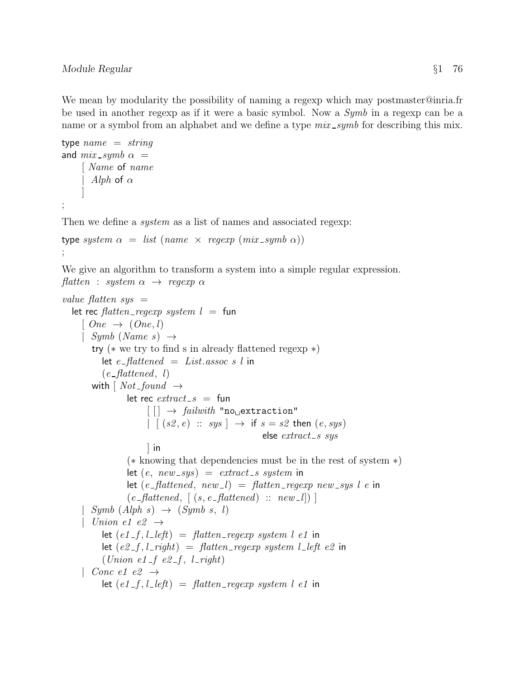We mean by modularity the possibility of naming a regexp which may postmaster@inria.fr be used in another regexp as if it were a basic symbol. Now a Symb in a regexp can be a name or a symbol from an alphabet and we define a type  $mix\_symb$  for describing this mix.

```
type name = stringand mix\_symb \alpha =[ Name of name
      Alph of \alpha]
;
```
Then we define a *system* as a list of names and associated regexp:

```
type system \alpha = list (name \times regexp (mix\_symb \alpha));
```
We give an algorithm to transform a system into a simple regular expression. flatten : system  $\alpha \rightarrow$  regexp  $\alpha$ 

```
value flatten sys =let rec \text{flatten\_reqexp}\, system \, l = \, \text{fun}[One \rightarrow (One, l)]| Symb (Name s) \rightarrowtry (∗ we try to find s in already flattened regexp ∗)
            let e-flattened = List.assoc s l in
             (e-flattened, l)
         with \lceil Not_{\text{bound}} \rceil \rightarrowlet rec extract\_s = fun
                           \lceil \cdot \rceil \rightarrow \text{failure} "no extraction"
                           \Box [ (s2, e) :: sys ] \rightarrow if s = s2 then (e, sys)else extract\_s sys
                           ] in
                     (∗ knowing that dependencies must be in the rest of system ∗)
                     let (e, new_sys) = extract_s system in
                     let (e_{\textit{=}}\textit{flattened}, \textit{new}_{\textit{=}}l) = \textit{flatten}_{\textit{=}}\textit{regexp} \textit{new}_{\textit{=}}\textit{sys} \textit{l} \textit{e} \textit{in}(e_{\textit{=flattened}}, \lceil (s, e_{\textit{=flattened}}) :: new_{\textit{=}} l \rceil)Symb (Alph s) \rightarrow (Symb s, l)| Union e1 e2 \rightarrowlet (e1-f, l_{\text{left}}) = \text{flatten\_regexp} system l e1 in
             let (e2-f, l\_right) = flatten regexp system l left e2 in
             (Union e1-f e2-f, l-right)| Conc e1 e2 \rightarrowlet (e1-f, l_{\text{left}}) = flatten_{\text{regexp}} system \, l \, el \, in
```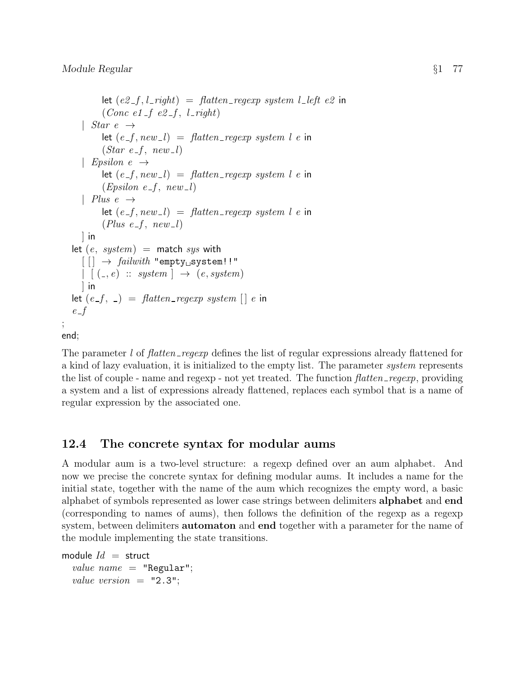;

```
let (e2-f, l\_right) = flatten regexp system l left e2 in
           (Conc e1_f e2_f, l_right)
     | Star e \rightarrowlet (e_{-}f, new_{-}l) = flatten_{-}regexp\, system\, l\, e in
           (Star e-f, new_l)| Epsilon e \rightarrowlet (e_{-}f, new_{-}l) = flatten_{-}regexp system l e in
           (Epsilon e_f, new_l)| Plus e \rightarrowlet (e_{-}f, new_{-}l) = flatten_{-}regexp system l e in
           (Plus e_f, new_l)\vert in
  let (e, system) = match sys with
     \lceil \lceil \cdot \rceil \rightarrow \text{failure} "empty<sub>\sqcup</sub> system!!"
     | (z, e) :: system | \rightarrow (e, system)] in
  let (e_{-}f, -) = flatten_regexp system \lceil e \rceil in
  e-fend;
```
The parameter l of flatten regexp defines the list of regular expressions already flattened for a kind of lazy evaluation, it is initialized to the empty list. The parameter system represents the list of couple - name and regexp - not yet treated. The function  $\text{flatten\_regexp}$ , providing a system and a list of expressions already flattened, replaces each symbol that is a name of regular expression by the associated one.

## 12.4 The concrete syntax for modular aums

A modular aum is a two-level structure: a regexp defined over an aum alphabet. And now we precise the concrete syntax for defining modular aums. It includes a name for the initial state, together with the name of the aum which recognizes the empty word, a basic alphabet of symbols represented as lower case strings between delimiters alphabet and end (corresponding to names of aums), then follows the definition of the regexp as a regexp system, between delimiters **automaton** and end together with a parameter for the name of the module implementing the state transitions.

```
module Id = struct
  value name = "Regular":value version = "2.3";
```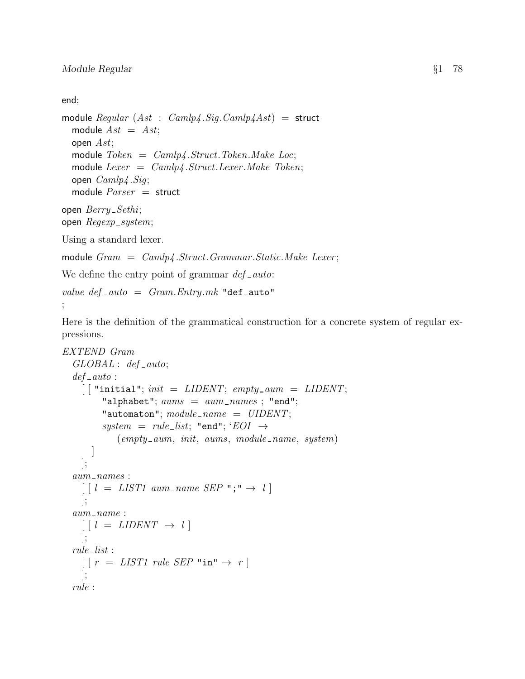end;

```
module Regular (Ast : Camlp4.Siq.Camlp4Ast) = structmodule Ast = Ast;open Ast;
  module Token = Camlp4.Struct. Token. Make Loc;module Lexer = Camlp4.Struct. Lexer. Make Token;open Camlp4.Siq;module Parser = structopen \textit{Berry}\_Sethi;open Regexp_system;
Using a standard lexer.
module Gram = Camlp4.Struct. Grammar. Static. Make Lerer;We define the entry point of grammar def\_auto:
```

```
value def\_auto = Gram. Entry.mk "def _auto"
```

```
;
```
Here is the definition of the grammatical construction for a concrete system of regular expressions.

```
EXTEND Gram
   GLOBAL: def_auto;def_ - auto:\left[ \ \right] "initial"; init = LIBENT; empty_aum = LIDENT;
            "alphabet"; aums = aum\_names; "end";
            "automaton"; module\_name = UIDENT;system = rule\_list; "end"; 'EOI \rightarrow(empty_aum, init, aums, module_name, system)]
     ];
   aum -names:
     \begin{bmatrix} l & = & LIST1 \text{ } aum\_name \text{ } SEP \end{bmatrix} \rightarrow l];
   aum\_name:
     \left[ \begin{array}{ccc} l = LIDENT \rightarrow l \end{array} \right]];
   rule\_list:\lceil \, \lceil \, r \, = \, \text{LIST1 rule} \, \text{SEP} \, \rceil \, \text{in} \, \rceil \rightarrow \, r \, \rceil];
   rule :
```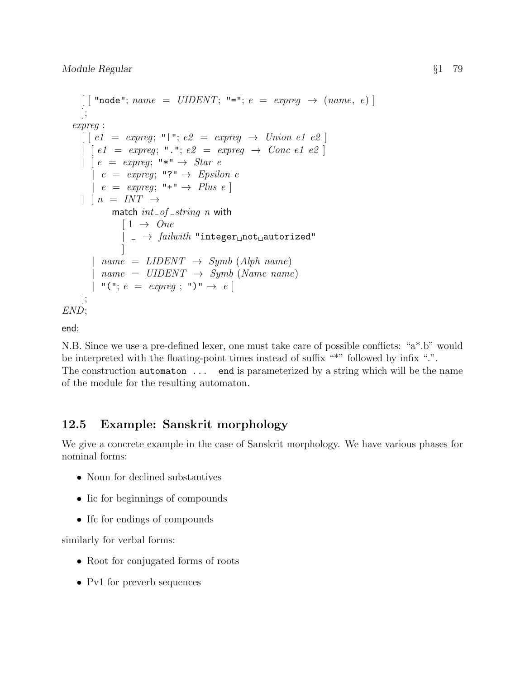```
\lceil [ "node"; name = UIDENT; "="; e = \text{expreg} \rightarrow \text{(name, } e) ]
      ];
   expreg :
      \lceil \, \lfloor e1 \rfloor = \text{expreg}; \, \blacksquare \, \blacksquare; \, e2 \, = \text{expreg} \rightarrow \text{Union} \, e1 \, e2 \, \rceil| [ e1 = expreg; "."; e2 = expreg \rightarrow Conc e1 e2 ]| e = \text{expreq}; "*" \rightarrow Star e
         | e = \text{expreq}; \text{''?} \rightarrow \text{Epsilon}| e = \text{expreg}; \dashv \dashv" \rightarrow \text{Plus } e || n = INT \rightarrowmatch int\_of\_string n with
                   [1 \rightarrow One\Box \rightarrow \; \mathit{failure} "integer\Boxnot\Boxautorized"
                   ]
          | name = LIBENT \rightarrow Symbol (Alpha name)name = UIDENT \rightarrow Symb (Name name)"("; e = expres; "")" \rightarrow e];
END;
```
end;

N.B. Since we use a pre-defined lexer, one must take care of possible conflicts: "a\*.b" would be interpreted with the floating-point times instead of suffix "\*" followed by infix ".". The construction automaton ... end is parameterized by a string which will be the name of the module for the resulting automaton.

# 12.5 Example: Sanskrit morphology

We give a concrete example in the case of Sanskrit morphology. We have various phases for nominal forms:

- Noun for declined substantives
- Iic for beginnings of compounds
- If c for endings of compounds

similarly for verbal forms:

- Root for conjugated forms of roots
- Pv1 for preverb sequences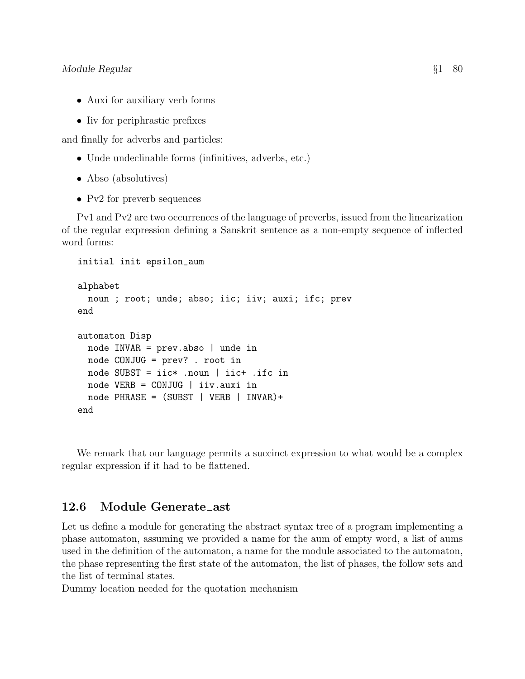- Auxi for auxiliary verb forms
- Iiv for periphrastic prefixes

and finally for adverbs and particles:

- Unde undeclinable forms (infinitives, adverbs, etc.)
- Abso (absolutives)
- Pv2 for preverb sequences

Pv1 and Pv2 are two occurrences of the language of preverbs, issued from the linearization of the regular expression defining a Sanskrit sentence as a non-empty sequence of inflected word forms:

```
initial init epsilon_aum
alphabet
  noun ; root; unde; abso; iic; iiv; auxi; ifc; prev
end
automaton Disp
  node INVAR = prev.abso | unde in
  node CONJUG = prev? . root in
  node SUBST = iic* .noun | iic+ .ifc in
  node VERB = CONJUG | iiv.auxi in
  node PHRASE = (SUBST | VERB | INVAR)+
end
```
We remark that our language permits a succinct expression to what would be a complex regular expression if it had to be flattened.

#### 12.6 Module Generate ast

Let us define a module for generating the abstract syntax tree of a program implementing a phase automaton, assuming we provided a name for the aum of empty word, a list of aums used in the definition of the automaton, a name for the module associated to the automaton, the phase representing the first state of the automaton, the list of phases, the follow sets and the list of terminal states.

Dummy location needed for the quotation mechanism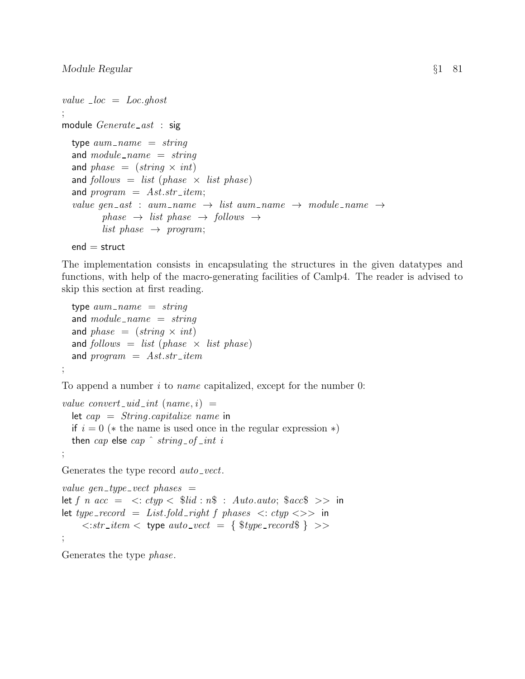```
value \lnot loc = Loc.ghost
;
module Generate\_ast: sig
  type aum_name = stringand module\_name = stringand phase = (string \times int)and follows = list (phase \times list phase)
  and program = Ast.str\_item;value gen_ast : aum_name \rightarrow list aum_name \rightarrow module_name \rightarrowphase \rightarrow list phase \rightarrow follows \rightarrowlist phase \rightarrow program;
```

```
end = struct
```
;

The implementation consists in encapsulating the structures in the given datatypes and functions, with help of the macro-generating facilities of Camlp4. The reader is advised to skip this section at first reading.

```
type aum_name = stringand module\_name = stringand phase = (string \times int)and follows = list (phase \times list phase)
and program = Ast.str\_item
```
To append a number  $i$  to *name* capitalized, except for the number 0:

```
value convert uid\_int (name, i) =
  let cap = String.capitalize name in
  if i = 0 (* the name is used once in the regular expression *)
  then cap else cap \hat{i} string of int i
;
```
Generates the type record *auto-vect*.

```
value gen_type_vect phases =let f n acc = \langle : ctyp \langle \text{S} \rangle \text{ and } : n\$\rangle : Auto.auto; \langle \text{S} \rangle acc\langle \text{S} \rangle >> in
let type_record = List.fold_right f phases \langle: ctyp \langle \rangle in
       \langle \cdot | str\_item \langle \cdot \rangle type auto vect = { \exists type\_record\ } >>
;
```
Generates the type phase.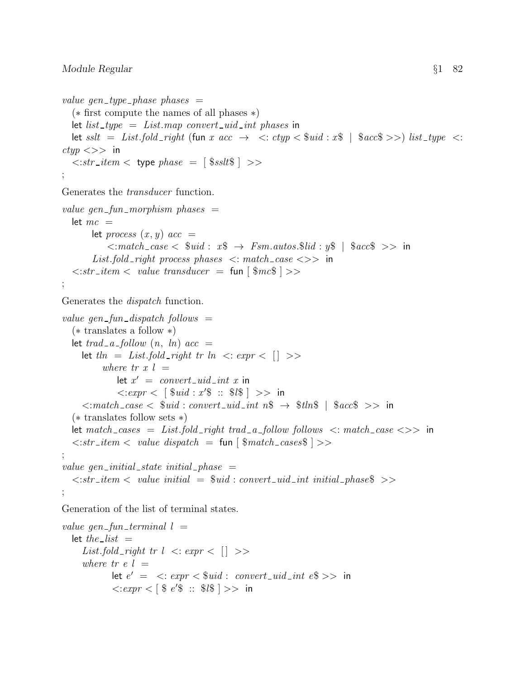```
value gen_type_phase phases =(∗ first compute the names of all phases ∗)
   let list_type = List.map convert_uid_int phases in
   let sslt = List.fold_right (fun x acc \rightarrow \langle: ctyp\langle $uid : x\$ | \$acc\$ >>) list_type \langle:
ctyp \ll >> in
    \langle \cdot \rangle:str_item \langle \cdot \rangle type phase = [ \sslt\ ] \langle \cdot \rangle;
Generates the transducer function.
value gen fun-morphism phases =let mc =let process (x, y) acc =
                  \langle \cdot \rangle: match_case \langle \cdot \rangle $uid : x\ \rightarrow Fsm.autos.$lid : y\ | $acc$ \rangle in
            List.fold_right process phases \lt: match_case \lt\gt in
    \langle \cdot | str\_item \langle \cdot | value\ transducer \rangle = \text{fun} |\\mc$ | >>
;
Generates the dispatch function.
value gen fun dispatch follows =(∗ translates a follow ∗)
   let trad_a_f\_\text{follow}(n, ln) acc =
        let \ell ln = List-fold\_right tr ln \lt c: expr \lt [where tr x l =let x' = convert\_uid\_int x in
                       \langle 0.15 \times 10^{3} \times 10^{4} \times 10^{4} \times 10^{4} \times 10^{4} \times 10^{4} \times 10^{4} \times 10^{4} \times 10^{4} \times 10^{4} \times 10^{4} \times 10^{4} \times 10^{4} \times 10^{4} \times 10^{4} \times 10^{4} \times 10^{4} \times 10^{4} \times 10^{4} \times 10^{4} \times 10^{4} \times 10^{4} \times 10^{4} \times 10^{4} \times 10^{4} \times 10^{4} \times 10\langle \cdot \rangle:match_case \langle \cdot \rangle $uid : convert_uid_int n$ \rightarrow \rangle $tln$ | $acc$ \rangle in
    (∗ translates follow sets ∗)
   let match\_cases = List.fold\_right trad_a\_follow follows <:match\_case <>>></math> in\langle \cdot | str\_{item} \langle \cdot | value \; dispatch = \text{fun} \; | \; \text{\$match}\_{cases} \; | \rangle;
value gen initial state initial phase =\langle str_item \langle value initial = $uid : convert_uid_int initial_phase$ \rangle;
Generation of the list of terminal states.
value gen fun terminal l =let the list =List.fold_right tr l \leq \epsilon expr\leq [ >>where tr e l =let e' = \langle . \in xpr \langle \text{S} \text{u} \text{u} \rangle : \text{convert}\text{u} \text{u} \text{u} \text{u} \text{u} \text{u} \text{v} \text{u} \text{v}\langle 0.1 \times 10^{3} \times 10^{3} \times 10^{4} \times 10^{4} \times 10^{4} \times 10^{4} \times 10^{4} \times 10^{4} \times 10^{4} \times 10^{4} \times 10^{4} \times 10^{4} \times 10^{4} \times 10^{4} \times 10^{4} \times 10^{4} \times 10^{4} \times 10^{4} \times 10^{4} \times 10^{4} \times 10^{4} \times 10^{4} \times 10^{4} \times 10^{4} \times 10^{4} \times 10^{4} \times 10^{
```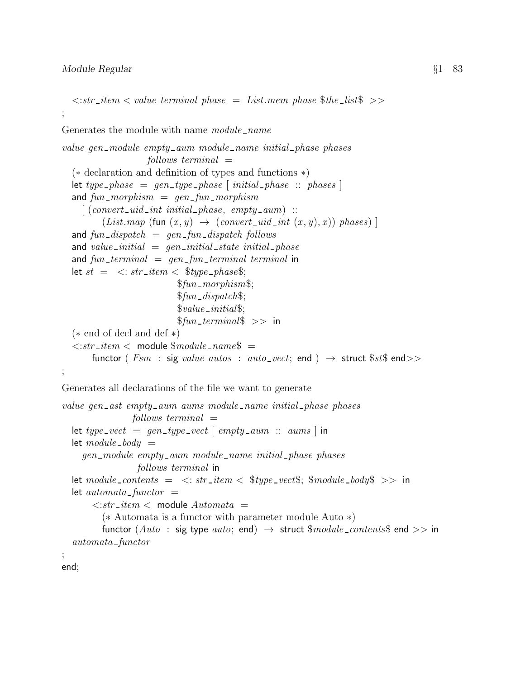#### Module Regular  $\S1$  83

```
\langle \cdot \rangle = \langle \cdot \rangle = \langle \cdot \rangle = \langle \cdot \rangle = \langle \cdot \rangle = \langle \cdot \rangle = \langle \cdot \rangle = \langle \cdot \rangle = \langle \cdot \rangle = \langle \cdot \rangle = \langle \cdot \rangle = \langle \cdot \rangle = \langle \cdot \rangle = \langle \cdot \rangle = \langle \cdot \rangle = \langle \cdot \rangle = \langle \cdot \rangle = \langle \cdot \rangle = \langle \cdot \rangle = \langle \cdot \rangle = ;
Generates the module with name module name
value gen-module empty-aum module-name initial-phase phases
                         follows\ terminal =(∗ declaration and definition of types and functions ∗)
   let type_{\textit{}} phase = gen_type_phase [initial_{\textit{}}] initial_phase :: phases ]and fun\_{morphism = gen\_fun\_{morphism}\left[ (convert_uid_int initial_phase, empty_aum) ::
            (List-map (fun (x, y) \rightarrow (convert\_uid\_int (x, y), x)) phase)and fun\_dispatch = gen\_fun\_dispatch follows
   and value initial = gen initial state initial phase
   and fun\_terminal = gen\_fun\_terminal terminal in
  let st = \langle str\_item \langle $type_phase$;
                                   $fun\_morphism$;$fun\_dispatch$;
                                   \$value\_initial\$;$fun_terminal$ >> in
   (∗ end of decl and def ∗)
   \langle \cdot | str\_item \langle \cdot | \cdot | module \$module\_name\$ =functor ( Fsm : sig value autos : auto-vect; end ) \rightarrow struct $st$ end>>
;
Generates all declarations of the file we want to generate
value gen_ast empty_aum aums module_name initial_phase phases
                     follows\ terminal =let type_vect = gen_type_vect [empty\_aum :: aums] in
  let module_{-body} =
      gen module empty aum module name initial phase phases
                      follows terminal in
  let module\_contents = \langle : str\_item \langle \ $type\_vect\$; $module\_body\ >> in
  let automata\_functor =\langle \cdot | str\_item \langle \cdot | module Automata =
            (∗ Automata is a functor with parameter module Auto ∗)
            functor (Auto : sig type auto; end) \rightarrow struct $module_contents$ end >> in
   automata\_functor;
```
end;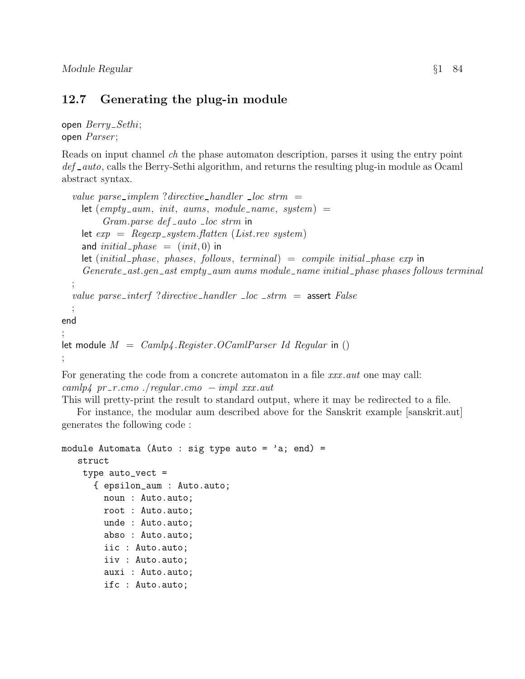#### 12.7 Generating the plug-in module

```
open \textit{Berry\_Set}hi;open Parser;
```
;

;

Reads on input channel ch the phase automaton description, parses it using the entry point def auto, calls the Berry-Sethi algorithm, and returns the resulting plug-in module as Ocaml abstract syntax.

```
value parse_implem ?directive_handler \lrcorner loc strm =
    let \text{(empty\_aum, init, aums, module\_name, system)} =Gram.parse\ def_auto\_loc' strm in
    let exp = Regexp\_system. flatten (List.rev system)
    and initial\_phase = (init, 0) in
    let (intial\_phase, phases, follows, terminal) = compile initial\_phase exp in
    Generate_ast.gen_ast empty_aum aums module_name initial_phase phases follows terminal
  ;
  value parse interf ?directive handler \lnot loc \lnotstrm = assert False
  ;
end
let module M = Camlp4 \n. Register . OCamlParser Id Regular in ()
```
For generating the code from a concrete automaton in a file xxx automaton emay call:  $\langle \textit{camlp4 pr\_r} \cdot \textit{cmo} \rangle$  ./regular.cmo  $-\textit{impl} \; \textit{xxx} \cdot \textit{aut}$ 

This will pretty-print the result to standard output, where it may be redirected to a file.

For instance, the modular aum described above for the Sanskrit example [sanskrit.aut] generates the following code :

```
module Automata (Auto : sig type auto = 'a; end) =
   struct
    type auto_vect =
      { epsilon_aum : Auto.auto;
        noun : Auto.auto;
        root : Auto.auto;
        unde : Auto.auto;
        abso : Auto.auto;
        iic : Auto.auto;
        iiv : Auto.auto;
        auxi : Auto.auto;
        ifc : Auto.auto;
```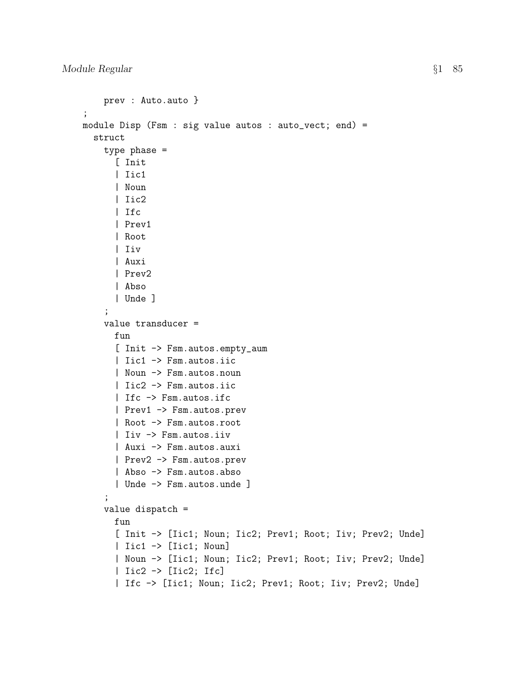```
prev : Auto.auto }
;
module Disp (Fsm : sig value autos : auto_vect; end) =
  struct
    type phase =
      [ Init
      | Iic1
      | Noun
      | Iic2
      | Ifc
      | Prev1
      | Root
      | Iiv
      | Auxi
      | Prev2
      | Abso
      | Unde ]
    ;
    value transducer =
      fun
      [ Init -> Fsm.autos.empty_aum
      | Iic1 -> Fsm.autos.iic
      | Noun -> Fsm.autos.noun
      | Iic2 -> Fsm.autos.iic
      | Ifc -> Fsm.autos.ifc
      | Prev1 -> Fsm.autos.prev
      | Root -> Fsm.autos.root
      | Iiv -> Fsm.autos.iiv
      | Auxi -> Fsm.autos.auxi
      | Prev2 -> Fsm.autos.prev
      | Abso -> Fsm.autos.abso
      | Unde -> Fsm.autos.unde ]
    ;
    value dispatch =
      fun
      [ Init -> [Iic1; Noun; Iic2; Prev1; Root; Iiv; Prev2; Unde]
      | Iic1 -> [Iic1; Noun]
      | Noun -> [Iic1; Noun; Iic2; Prev1; Root; Iiv; Prev2; Unde]
      | Iic2 -> [Iic2; Ifc]
      | Ifc -> [Iic1; Noun; Iic2; Prev1; Root; Iiv; Prev2; Unde]
```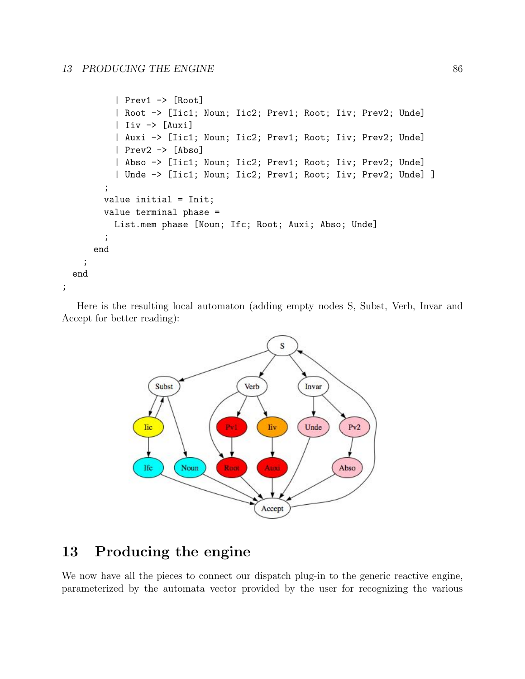```
| Prev1 -> [Root]
          | Root -> [Iic1; Noun; Iic2; Prev1; Root; Iiv; Prev2; Unde]
          | Iiv -> [Auxi]
          | Auxi -> [Iic1; Noun; Iic2; Prev1; Root; Iiv; Prev2; Unde]
          | Prev2 -> [Abso]
          | Abso -> [Iic1; Noun; Iic2; Prev1; Root; Iiv; Prev2; Unde]
          | Unde -> [Iic1; Noun; Iic2; Prev1; Root; Iiv; Prev2; Unde] ]
        ;
        value initial = Init;
        value terminal phase =
          List.mem phase [Noun; Ifc; Root; Auxi; Abso; Unde]
        ;
     end
    ;
 end
;
```
Here is the resulting local automaton (adding empty nodes S, Subst, Verb, Invar and Accept for better reading):



# 13 Producing the engine

We now have all the pieces to connect our dispatch plug-in to the generic reactive engine, parameterized by the automata vector provided by the user for recognizing the various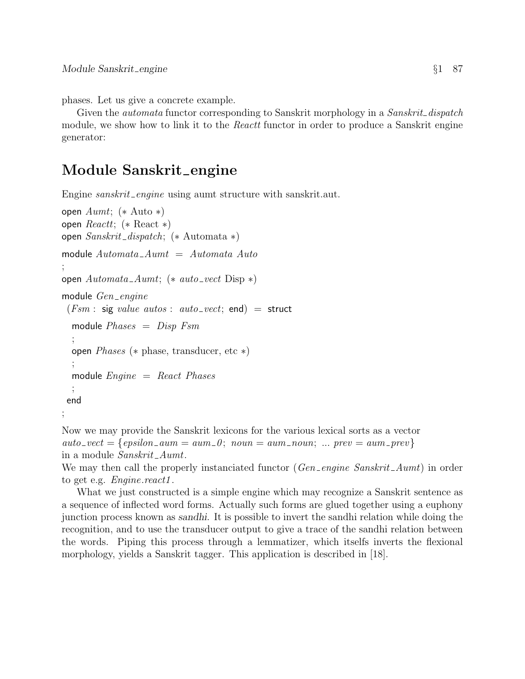phases. Let us give a concrete example.

Given the *automata* functor corresponding to Sanskrit morphology in a *Sanskrit\_dispatch* module, we show how to link it to the *Reactt* functor in order to produce a Sanskrit engine generator:

# Module Sanskrit\_engine

Engine *sanskrit\_engine* using aumt structure with sanskrit.aut.

```
open Aumt; (∗ Auto ∗)
open Reactt; (* React *)
open Sanskrit dispatch; (∗ Automata ∗)
module Automata\_Aumt = Automata Auto
;
open Automata\_Aumt; (* auto_vect Disp *)
module Gen_engine
 (Fsm : sig value auto : auto\_vect; end) = structmodule Phases = Disp Fsm
  ;
  open Phases (∗ phase, transducer, etc ∗)
  ;
  module Enqine = React Phases;
 end
;
```
Now we may provide the Sanskrit lexicons for the various lexical sorts as a vector  $auto\_vect = \{epsilon\_sum\_aum = aum\_0; noun = aum\_noun; ... prev = aum\_prev\}$ in a module Sanskrit\_Aumt.

We may then call the properly instanciated functor  $(Gen\_engine \ Sanskrit\_Aumt)$  in order to get e.g. *Engine.react1*.

What we just constructed is a simple engine which may recognize a Sanskrit sentence as a sequence of inflected word forms. Actually such forms are glued together using a euphony junction process known as sandhi. It is possible to invert the sandhi relation while doing the recognition, and to use the transducer output to give a trace of the sandhi relation between the words. Piping this process through a lemmatizer, which itselfs inverts the flexional morphology, yields a Sanskrit tagger. This application is described in [18].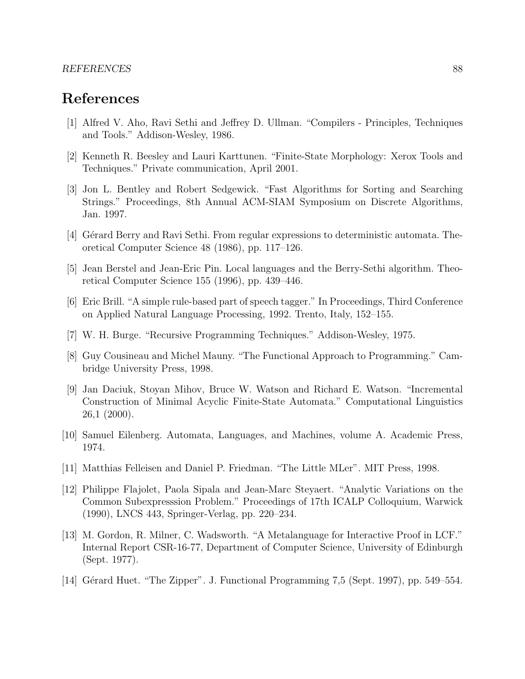#### REFERENCES 88

### References

- [1] Alfred V. Aho, Ravi Sethi and Jeffrey D. Ullman. "Compilers Principles, Techniques and Tools." Addison-Wesley, 1986.
- [2] Kenneth R. Beesley and Lauri Karttunen. "Finite-State Morphology: Xerox Tools and Techniques." Private communication, April 2001.
- [3] Jon L. Bentley and Robert Sedgewick. "Fast Algorithms for Sorting and Searching Strings." Proceedings, 8th Annual ACM-SIAM Symposium on Discrete Algorithms, Jan. 1997.
- [4] Gérard Berry and Ravi Sethi. From regular expressions to deterministic automata. Theoretical Computer Science 48 (1986), pp. 117–126.
- [5] Jean Berstel and Jean-Eric Pin. Local languages and the Berry-Sethi algorithm. Theoretical Computer Science 155 (1996), pp. 439–446.
- [6] Eric Brill. "A simple rule-based part of speech tagger." In Proceedings, Third Conference on Applied Natural Language Processing, 1992. Trento, Italy, 152–155.
- [7] W. H. Burge. "Recursive Programming Techniques." Addison-Wesley, 1975.
- [8] Guy Cousineau and Michel Mauny. "The Functional Approach to Programming." Cambridge University Press, 1998.
- [9] Jan Daciuk, Stoyan Mihov, Bruce W. Watson and Richard E. Watson. "Incremental Construction of Minimal Acyclic Finite-State Automata." Computational Linguistics 26,1 (2000).
- [10] Samuel Eilenberg. Automata, Languages, and Machines, volume A. Academic Press, 1974.
- [11] Matthias Felleisen and Daniel P. Friedman. "The Little MLer". MIT Press, 1998.
- [12] Philippe Flajolet, Paola Sipala and Jean-Marc Steyaert. "Analytic Variations on the Common Subexpresssion Problem." Proceedings of 17th ICALP Colloquium, Warwick (1990), LNCS 443, Springer-Verlag, pp. 220–234.
- [13] M. Gordon, R. Milner, C. Wadsworth. "A Metalanguage for Interactive Proof in LCF." Internal Report CSR-16-77, Department of Computer Science, University of Edinburgh (Sept. 1977).
- [14] Gérard Huet. "The Zipper". J. Functional Programming 7,5 (Sept. 1997), pp. 549–554.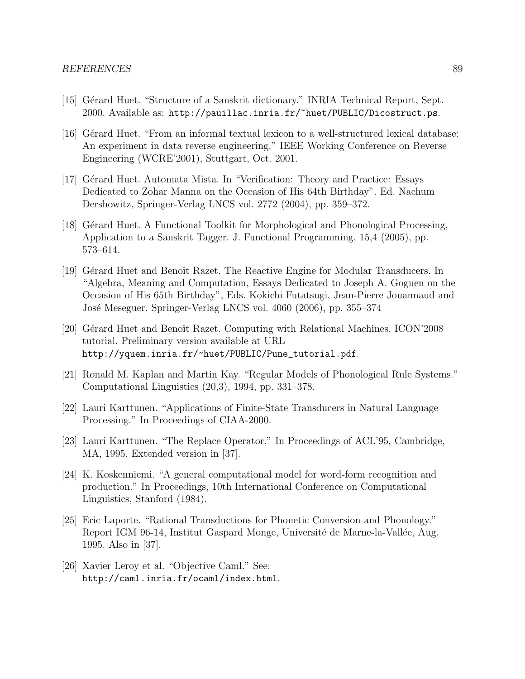- [15] Gérard Huet. "Structure of a Sanskrit dictionary." INRIA Technical Report, Sept. 2000. Available as: http://pauillac.inria.fr/~huet/PUBLIC/Dicostruct.ps.
- [16] Gérard Huet. "From an informal textual lexicon to a well-structured lexical database: An experiment in data reverse engineering." IEEE Working Conference on Reverse Engineering (WCRE'2001), Stuttgart, Oct. 2001.
- [17] Gérard Huet. Automata Mista. In "Verification: Theory and Practice: Essays Dedicated to Zohar Manna on the Occasion of His 64th Birthday". Ed. Nachum Dershowitz, Springer-Verlag LNCS vol. 2772 (2004), pp. 359–372.
- [18] Gérard Huet. A Functional Toolkit for Morphological and Phonological Processing, Application to a Sanskrit Tagger. J. Functional Programming, 15,4 (2005), pp. 573–614.
- [19] Gérard Huet and Benoît Razet. The Reactive Engine for Modular Transducers. In "Algebra, Meaning and Computation, Essays Dedicated to Joseph A. Goguen on the Occasion of His 65th Birthday", Eds. Kokichi Futatsugi, Jean-Pierre Jouannaud and Jos´e Meseguer. Springer-Verlag LNCS vol. 4060 (2006), pp. 355–374
- [20] Gérard Huet and Benoît Razet. Computing with Relational Machines. ICON'2008 tutorial. Preliminary version available at URL http://yquem.inria.fr/~huet/PUBLIC/Pune\_tutorial.pdf.
- [21] Ronald M. Kaplan and Martin Kay. "Regular Models of Phonological Rule Systems." Computational Linguistics (20,3), 1994, pp. 331–378.
- [22] Lauri Karttunen. "Applications of Finite-State Transducers in Natural Language Processing." In Proceedings of CIAA-2000.
- [23] Lauri Karttunen. "The Replace Operator." In Proceedings of ACL'95, Cambridge, MA, 1995. Extended version in [37].
- [24] K. Koskenniemi. "A general computational model for word-form recognition and production." In Proceedings, 10th International Conference on Computational Linguistics, Stanford (1984).
- [25] Eric Laporte. "Rational Transductions for Phonetic Conversion and Phonology." Report IGM 96-14, Institut Gaspard Monge, Université de Marne-la-Vallée, Aug. 1995. Also in [37].
- [26] Xavier Leroy et al. "Objective Caml." See: http://caml.inria.fr/ocaml/index.html.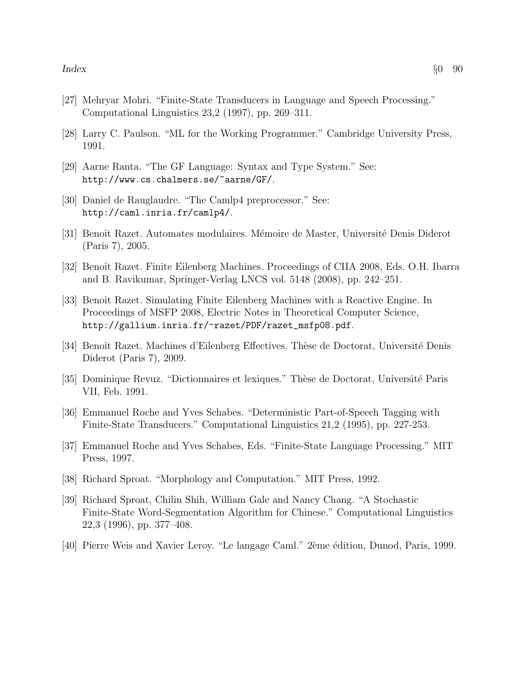- [27] Mehryar Mohri. "Finite-State Transducers in Language and Speech Processing." Computational Linguistics 23,2 (1997), pp. 269–311.
- [28] Larry C. Paulson. "ML for the Working Programmer." Cambridge University Press, 1991.
- [29] Aarne Ranta. "The GF Language: Syntax and Type System." See: http://www.cs.chalmers.se/~aarne/GF/.
- [30] Daniel de Rauglaudre. "The Camlp4 preprocessor." See: http://caml.inria.fr/camlp4/.
- [31] Benoît Razet. Automates modulaires. Mémoire de Master, Université Denis Diderot (Paris 7), 2005.
- [32] Benoît Razet. Finite Eilenberg Machines. Proceedings of CIIA 2008, Eds. O.H. Ibarra and B. Ravikumar, Springer-Verlag LNCS vol. 5148 (2008), pp. 242–251.
- [33] Benoît Razet. Simulating Finite Eilenberg Machines with a Reactive Engine. In Proceedings of MSFP 2008, Electric Notes in Theoretical Computer Science, http://gallium.inria.fr/~razet/PDF/razet\_msfp08.pdf.
- [34] Benoît Razet. Machines d'Eilenberg Effectives. Thèse de Doctorat, Université Denis Diderot (Paris 7), 2009.
- [35] Dominique Revuz. "Dictionnaires et lexiques." Thèse de Doctorat, Université Paris VII, Feb. 1991.
- [36] Emmanuel Roche and Yves Schabes. "Deterministic Part-of-Speech Tagging with Finite-State Transducers." Computational Linguistics 21,2 (1995), pp. 227-253.
- [37] Emmanuel Roche and Yves Schabes, Eds. "Finite-State Language Processing." MIT Press, 1997.
- [38] Richard Sproat. "Morphology and Computation." MIT Press, 1992.
- [39] Richard Sproat, Chilin Shih, William Gale and Nancy Chang. "A Stochastic Finite-State Word-Segmentation Algorithm for Chinese." Computational Linguistics 22,3 (1996), pp. 377–408.
- [40] Pierre Weis and Xavier Leroy. "Le langage Caml." 2ème édition, Dunod, Paris, 1999.